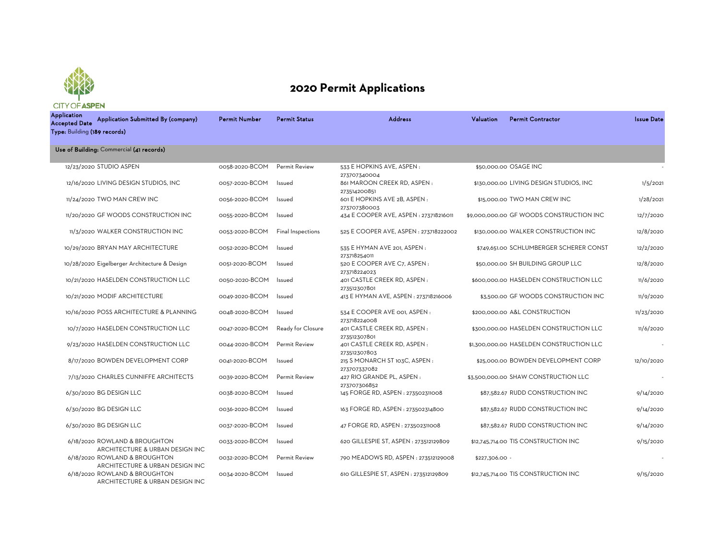

## **2020 Permit Applications**

| <b>Application</b><br><b>Accepted Date</b><br>Type: Building (189 records) | Application Submitted By (company)                               | <b>Permit Number</b> | <b>Permit Status</b> | <b>Address</b>                                | Valuation      | <b>Permit Contractor</b>                 | <b>Issue Date</b> |
|----------------------------------------------------------------------------|------------------------------------------------------------------|----------------------|----------------------|-----------------------------------------------|----------------|------------------------------------------|-------------------|
|                                                                            | Use of Building: Commercial (41 records)                         |                      |                      |                                               |                |                                          |                   |
|                                                                            | 12/23/2020 STUDIO ASPEN                                          | 0058-2020-BCOM       | Permit Review        | 533 E HOPKINS AVE, ASPEN:<br>273707340004     |                | \$50,000,00 OSAGE INC                    |                   |
|                                                                            | 12/16/2020 LIVING DESIGN STUDIOS, INC                            | 0057-2020-BCOM       | Issued               | 861 MAROON CREEK RD, ASPEN:<br>273514200851   |                | \$130,000.00 LIVING DESIGN STUDIOS, INC  | 1/5/2021          |
|                                                                            | 11/24/2020 TWO MAN CREW INC                                      | 0056-2020-BCOM       | Issued               | 601 E HOPKINS AVE 2B, ASPEN :<br>273707380003 |                | \$15,000.00 TWO MAN CREW INC             | 1/28/2021         |
|                                                                            | 11/20/2020 GF WOODS CONSTRUCTION INC                             | 0055-2020-BCOM       | Issued               | 434 E COOPER AVE, ASPEN : 273718216011        |                | \$9,000,000.00 GF WOODS CONSTRUCTION INC | 12/7/2020         |
|                                                                            | 11/3/2020 WALKER CONSTRUCTION INC                                | 0053-2020-BCOM       | Final Inspections    | 525 E COOPER AVE, ASPEN : 273718222002        |                | \$130,000.00 WALKER CONSTRUCTION INC     | 12/8/2020         |
|                                                                            | 10/29/2020 BRYAN MAY ARCHITECTURE                                | 0052-2020-BCOM       | Issued               | 535 E HYMAN AVE 201, ASPEN:<br>273718254011   |                | \$749,651.00 SCHLUMBERGER SCHERER CONST  | 12/2/2020         |
|                                                                            | 10/28/2020 Eigelberger Architecture & Design                     | 0051-2020-BCOM       | Issued               | 520 E COOPER AVE C7, ASPEN:<br>273718224023   |                | \$50,000,00 SH BUILDING GROUP LLC        | 12/8/2020         |
|                                                                            | 10/21/2020 HASELDEN CONSTRUCTION LLC                             | 0050-2020-BCOM       | Issued               | 401 CASTLE CREEK RD, ASPEN:<br>273512307801   |                | \$600,000.00 HASELDEN CONSTRUCTION LLC   | 11/6/2020         |
|                                                                            | 10/21/2020 MODIF ARCHITECTURE                                    | 0049-2020-BCOM       | Issued               | 413 E HYMAN AVE, ASPEN : 273718216006         |                | \$3,500.00 GF WOODS CONSTRUCTION INC     | 11/9/2020         |
|                                                                            | 10/16/2020 POSS ARCHITECTURE & PLANNING                          | 0048-2020-BCOM       | Issued               | 534 E COOPER AVE 001, ASPEN:<br>273718224008  |                | \$200,000,00 A&L CONSTRUCTION            | 11/23/2020        |
|                                                                            | 10/7/2020 HASELDEN CONSTRUCTION LLC                              | 0047-2020-BCOM       | Ready for Closure    | 401 CASTLE CREEK RD, ASPEN:<br>273512307801   |                | \$300,000.00 HASELDEN CONSTRUCTION LLC   | 11/6/2020         |
|                                                                            | 9/23/2020 HASELDEN CONSTRUCTION LLC                              | 0044-2020-BCOM       | Permit Review        | 401 CASTLE CREEK RD, ASPEN:<br>273512307803   |                | \$1,300,000.00 HASELDEN CONSTRUCTION LLC |                   |
|                                                                            | 8/17/2020 BOWDEN DEVELOPMENT CORP                                | 0041-2020-BCOM       | Issued               | 215 S MONARCH ST 103C, ASPEN:<br>273707337082 |                | \$25,000.00 BOWDEN DEVELOPMENT CORP      | 12/10/2020        |
|                                                                            | 7/13/2020 CHARLES CUNNIFFE ARCHITECTS                            | 0039-2020-BCOM       | Permit Review        | 427 RIO GRANDE PL, ASPEN:<br>273707306852     |                | \$3,500,000.00 SHAW CONSTRUCTION LLC     |                   |
|                                                                            | 6/30/2020 BG DESIGN LLC                                          | 0038-2020-BCOM       | Issued               | 145 FORGE RD, ASPEN : 273502311008            |                | \$87,582.67 RUDD CONSTRUCTION INC        | 9/14/2020         |
|                                                                            | 6/30/2020 BG DESIGN LLC                                          | 0036-2020-BCOM       | Issued               | 163 FORGE RD, ASPEN: 273502314800             |                | \$87,582.67 RUDD CONSTRUCTION INC        | 9/14/2020         |
|                                                                            | 6/30/2020 BG DESIGN LLC                                          | 0037-2020-BCOM       | Issued               | 47 FORGE RD, ASPEN : 273502311008             |                | \$87,582.67 RUDD CONSTRUCTION INC        | 9/14/2020         |
|                                                                            | 6/18/2020 ROWLAND & BROUGHTON<br>ARCHITECTURE & URBAN DESIGN INC | 0033-2020-BCOM       | Issued               | 620 GILLESPIE ST, ASPEN: 273512129809         |                | \$12,745,714.00 TIS CONSTRUCTION INC     | 9/15/2020         |
|                                                                            | 6/18/2020 ROWLAND & BROUGHTON<br>ARCHITECTURE & URBAN DESIGN INC | 0032-2020-BCOM       | Permit Review        | 790 MEADOWS RD, ASPEN: 273512129008           | \$227,306.00 - |                                          |                   |
|                                                                            | 6/18/2020 ROWLAND & BROUGHTON<br>ARCHITECTURE & URBAN DESIGN INC | 0034-2020-BCOM       | Issued               | 610 GILLESPIE ST, ASPEN : 273512129809        |                | \$12,745,714.00 TIS CONSTRUCTION INC     | 9/15/2020         |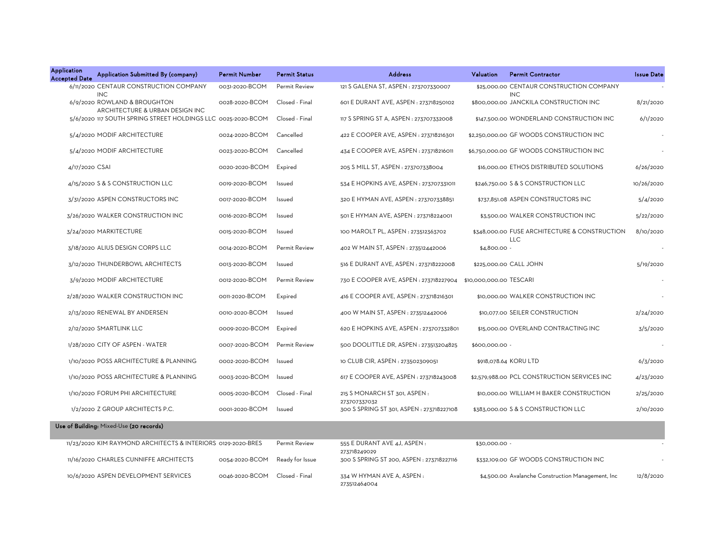| <b>Application</b><br><b>Accepted Date</b> | Application Submitted By (company)                              | <b>Permit Number</b> | <b>Permit Status</b> | <b>Address</b>                                            | Valuation               | <b>Permit Contractor</b>                                    | <b>Issue Date</b> |
|--------------------------------------------|-----------------------------------------------------------------|----------------------|----------------------|-----------------------------------------------------------|-------------------------|-------------------------------------------------------------|-------------------|
|                                            | 6/11/2020 CENTAUR CONSTRUCTION COMPANY<br><b>INC</b>            | 0031-2020-BCOM       | Permit Review        | 121 S GALENA ST, ASPEN : 273707330007                     |                         | \$25,000.00 CENTAUR CONSTRUCTION COMPANY<br><b>INC</b>      |                   |
|                                            | 6/9/2020 ROWLAND & BROUGHTON<br>ARCHITECTURE & URBAN DESIGN INC | 0028-2020-BCOM       | Closed - Final       | 601 E DURANT AVE, ASPEN : 273718250102                    |                         | \$800,000.00 JANCKILA CONSTRUCTION INC                      | 8/21/2020         |
|                                            | 5/6/2020 117 SOUTH SPRING STREET HOLDINGS LLC 0025-2020-BCOM    |                      | Closed - Final       | 117 S SPRING ST A, ASPEN : 273707332008                   |                         | \$147,500.00 WONDERLAND CONSTRUCTION INC                    | 6/1/2020          |
|                                            | 5/4/2020 MODIF ARCHITECTURE                                     | 0024-2020-BCOM       | Cancelled            | 422 E COOPER AVE, ASPEN : 273718216301                    |                         | \$2,250,000.00 GF WOODS CONSTRUCTION INC                    |                   |
|                                            | 5/4/2020 MODIF ARCHITECTURE                                     | 0023-2020-BCOM       | Cancelled            | 434 E COOPER AVE, ASPEN : 273718216011                    |                         | \$6,750,000.00 GF WOODS CONSTRUCTION INC                    |                   |
| 4/17/2020 CSAI                             |                                                                 | 0020-2020-BCOM       | Expired              | 205 S MILL ST, ASPEN : 273707338004                       |                         | \$16,000.00 ETHOS DISTRIBUTED SOLUTIONS                     | 6/26/2020         |
|                                            | 4/15/2020 S & S CONSTRUCTION LLC                                | 0019-2020-BCOM       | Issued               | 534 E HOPKINS AVE, ASPEN : 273707331011                   |                         | \$246,750.00 S & S CONSTRUCTION LLC                         | 10/26/2020        |
|                                            | 3/31/2020 ASPEN CONSTRUCTORS INC                                | 0017-2020-BCOM       | Issued               | 320 E HYMAN AVE, ASPEN : 273707338851                     |                         | \$737,851.08 ASPEN CONSTRUCTORS INC                         | 5/4/2020          |
|                                            | 3/26/2020 WALKER CONSTRUCTION INC                               | 0016-2020-BCOM       | Issued               | 501 E HYMAN AVE, ASPEN : 273718224001                     |                         | \$3,500.00 WALKER CONSTRUCTION INC                          | 5/22/2020         |
|                                            | 3/24/2020 MARKITECTURE                                          | 0015-2020-BCOM       | Issued               | 100 MAROLT PL, ASPEN : 273512363702                       |                         | \$348,000.00 FUSE ARCHITECTURE & CONSTRUCTION<br><b>LLC</b> | 8/10/2020         |
|                                            | 3/18/2020 ALIUS DESIGN CORPS LLC                                | 0014-2020-BCOM       | Permit Review        | 402 W MAIN ST, ASPEN : 273512442006                       | \$4,800.00 -            |                                                             |                   |
|                                            | 3/12/2020 THUNDERBOWL ARCHITECTS                                | 0013-2020-BCOM       | Issued               | 516 E DURANT AVE, ASPEN : 273718222008                    |                         | \$225,000.00 CALL JOHN                                      | 5/19/2020         |
|                                            | 3/9/2020 MODIF ARCHITECTURE                                     | 0012-2020-BCOM       | Permit Review        | 730 E COOPER AVE, ASPEN : 273718227904                    | \$10,000,000.00 TESCARI |                                                             |                   |
|                                            | 2/28/2020 WALKER CONSTRUCTION INC                               | 0011-2020-BCOM       | Expired              | 416 E COOPER AVE, ASPEN : 273718216301                    |                         | \$10,000.00 WALKER CONSTRUCTION INC                         |                   |
|                                            | 2/13/2020 RENEWAL BY ANDERSEN                                   | 0010-2020-BCOM       | Issued               | 400 W MAIN ST, ASPEN: 273512442006                        |                         | \$10,077.00 SEILER CONSTRUCTION                             | 2/24/2020         |
|                                            | 2/12/2020 SMARTLINK LLC                                         | 0009-2020-BCOM       | Expired              | 620 E HOPKINS AVE, ASPEN : 273707332801                   |                         | \$15,000.00 OVERLAND CONTRACTING INC                        | 3/5/2020          |
|                                            | 1/28/2020 CITY OF ASPEN - WATER                                 | 0007-2020-BCOM       | <b>Permit Review</b> | 500 DOOLITTLE DR, ASPEN: 273513204825                     | \$600,000.00 -          |                                                             |                   |
|                                            | 1/10/2020 POSS ARCHITECTURE & PLANNING                          | 0002-2020-BCOM       | Issued               | 10 CLUB CIR, ASPEN : 273502309051                         |                         | \$918,078.64 KORU LTD                                       | 6/3/2020          |
|                                            | 1/10/2020 POSS ARCHITECTURE & PLANNING                          | 0003-2020-BCOM       | Issued               | 617 E COOPER AVE, ASPEN : 273718243008                    |                         | \$2,579,988.00 PCL CONSTRUCTION SERVICES INC                | 4/23/2020         |
|                                            | 1/10/2020 FORUM PHI ARCHITECTURE                                | 0005-2020-BCOM       | Closed - Final       | 215 S MONARCH ST 301, ASPEN :                             |                         | \$10,000.00 WILLIAM H BAKER CONSTRUCTION                    | 2/25/2020         |
|                                            | 1/2/2020 Z GROUP ARCHITECTS P.C.                                | 0001-2020-BCOM       | Issued               | 273707337032<br>300 S SPRING ST 301, ASPEN : 273718227108 |                         | \$383,000.00 S & S CONSTRUCTION LLC                         | 2/10/2020         |
|                                            | Use of Building: Mixed-Use (20 records)                         |                      |                      |                                                           |                         |                                                             |                   |
|                                            | 11/23/2020 KIM RAYMOND ARCHITECTS & INTERIORS 0129-2020-BRES    |                      | Permit Review        | 555 E DURANT AVE 4J, ASPEN :<br>273718249029              | \$30,000.00 -           |                                                             |                   |
|                                            | 11/16/2020 CHARLES CUNNIFFE ARCHITECTS                          | 0054-2020-BCOM       | Ready for Issue      | 300 S SPRING ST 200, ASPEN : 273718227116                 |                         | \$332,109.00 GF WOODS CONSTRUCTION INC                      |                   |
|                                            | 10/6/2020 ASPEN DEVELOPMENT SERVICES                            | 0046-2020-BCOM       | Closed - Final       | 334 W HYMAN AVE A, ASPEN:<br>273512464004                 |                         | \$4,500.00 Avalanche Construction Management, Inc           | 12/8/2020         |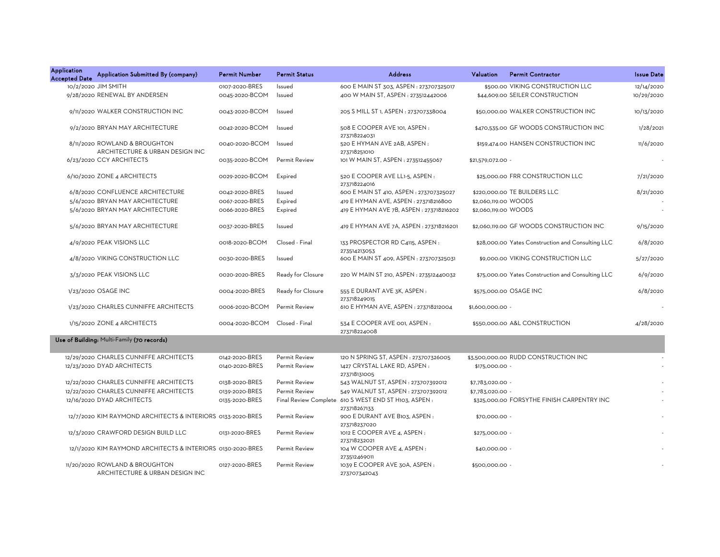| <b>Application</b><br><b>Accepted Date</b> | Application Submitted By (company)                                | <b>Permit Number</b> | <b>Permit Status</b> | <b>Address</b>                                                       | Valuation            | <b>Permit Contractor</b>                          | <b>Issue Date</b> |
|--------------------------------------------|-------------------------------------------------------------------|----------------------|----------------------|----------------------------------------------------------------------|----------------------|---------------------------------------------------|-------------------|
|                                            | 10/2/2020 JIM SMITH                                               | 0107-2020-BRES       | Issued               | 600 E MAIN ST 303, ASPEN : 273707325017                              |                      | \$500.00 VIKING CONSTRUCTION LLC                  | 12/14/2020        |
|                                            | 9/28/2020 RENEWAL BY ANDERSEN                                     | 0045-2020-BCOM       | Issued               | 400 W MAIN ST, ASPEN: 273512442006                                   |                      | \$44,609.00 SEILER CONSTRUCTION                   | 10/29/2020        |
|                                            | 9/11/2020 WALKER CONSTRUCTION INC                                 | 0043-2020-BCOM       | Issued               | 205 S MILL ST 1, ASPEN : 273707338004                                |                      | \$50,000.00 WALKER CONSTRUCTION INC               | 10/13/2020        |
|                                            | 9/2/2020 BRYAN MAY ARCHITECTURE                                   | 0042-2020-BCOM       | Issued               | 508 E COOPER AVE 101, ASPEN :<br>273718224031                        |                      | \$470,535.00 GF WOODS CONSTRUCTION INC            | 1/28/2021         |
|                                            | 8/11/2020 ROWLAND & BROUGHTON<br>ARCHITECTURE & URBAN DESIGN INC  | 0040-2020-BCOM       | Issued               | 520 E HYMAN AVE 2AB, ASPEN:<br>273718251010                          |                      | \$159,474.00 HANSEN CONSTRUCTION INC              | 11/6/2020         |
|                                            | 6/23/2020 CCY ARCHITECTS                                          | 0035-2020-BCOM       | Permit Review        | 101 W MAIN ST, ASPEN : 273512455067                                  | \$21,579,072.00 -    |                                                   |                   |
|                                            | 6/10/2020 ZONE 4 ARCHITECTS                                       | 0029-2020-BCOM       | Expired              | 520 E COOPER AVE LL1-5, ASPEN :<br>273718224016                      |                      | \$25,000.00 FRR CONSTRUCTION LLC                  | 7/21/2020         |
|                                            | 6/8/2020 CONFLUENCE ARCHITECTURE                                  | 0042-2020-BRES       | Issued               | 600 E MAIN ST 410, ASPEN : 273707325027                              |                      | \$220,000.00 TE BUILDERS LLC                      | 8/21/2020         |
|                                            | 5/6/2020 BRYAN MAY ARCHITECTURE                                   | 0067-2020-BRES       | Expired              | 419 E HYMAN AVE, ASPEN : 273718216800                                | \$2,060,119.00 WOODS |                                                   |                   |
|                                            | 5/6/2020 BRYAN MAY ARCHITECTURE                                   | 0066-2020-BRES       | Expired              | 419 E HYMAN AVE 7B, ASPEN : 273718216202                             | \$2,060,119.00 WOODS |                                                   |                   |
|                                            | 5/6/2020 BRYAN MAY ARCHITECTURE                                   | 0037-2020-BRES       | Issued               | 419 E HYMAN AVE 7A, ASPEN : 273718216201                             |                      | \$2,060,119.00 GF WOODS CONSTRUCTION INC          | 9/15/2020         |
|                                            | 4/9/2020 PEAK VISIONS LLC                                         | 0018-2020-BCOM       | Closed - Final       | 133 PROSPECTOR RD C4115, ASPEN:                                      |                      | \$28,000.00 Yates Construction and Consulting LLC | 6/8/2020          |
|                                            | 4/8/2020 VIKING CONSTRUCTION LLC                                  | 0030-2020-BRES       | Issued               | 273514213053<br>600 E MAIN ST 409, ASPEN : 273707325031              |                      | \$9,000.00 VIKING CONSTRUCTION LLC                | 5/27/2020         |
|                                            | 3/3/2020 PEAK VISIONS LLC                                         | 0020-2020-BRES       | Ready for Closure    | 220 W MAIN ST 210, ASPEN: 273512440032                               |                      | \$75,000.00 Yates Construction and Consulting LLC | 6/9/2020          |
|                                            | 1/23/2020 OSAGE INC                                               | 0004-2020-BRES       | Ready for Closure    | 555 E DURANT AVE 3K, ASPEN :                                         |                      | \$575,000.00 OSAGE INC                            | 6/8/2020          |
|                                            | 1/23/2020 CHARLES CUNNIFFE ARCHITECTS                             | 0006-2020-BCOM       | <b>Permit Review</b> | 273718249015<br>610 E HYMAN AVE, ASPEN : 273718212004                | \$1,600,000.00 -     |                                                   |                   |
|                                            | 1/15/2020 ZONE 4 ARCHITECTS                                       | 0004-2020-BCOM       | Closed - Final       | 534 E COOPER AVE 001, ASPEN :<br>273718224008                        |                      | \$550,000.00 A&L CONSTRUCTION                     | 4/28/2020         |
|                                            | Use of Building: Multi-Family (70 records)                        |                      |                      |                                                                      |                      |                                                   |                   |
|                                            | 12/29/2020 CHARLES CUNNIFFE ARCHITECTS                            | 0142-2020-BRES       | Permit Review        | 120 N SPRING ST, ASPEN: 273707326005                                 |                      | \$3,500,000.00 RUDD CONSTRUCTION INC              |                   |
|                                            | 12/23/2020 DYAD ARCHITECTS                                        | 0140-2020-BRES       | Permit Review        | 1427 CRYSTAL LAKE RD, ASPEN:<br>273718131005                         | \$175,000.00 -       |                                                   |                   |
|                                            | 12/22/2020 CHARLES CUNNIFFE ARCHITECTS                            | 0138-2020-BRES       | Permit Review        | 543 WALNUT ST, ASPEN : 273707392012                                  | \$7,783,020.00 -     |                                                   |                   |
|                                            | 12/22/2020 CHARLES CUNNIFFE ARCHITECTS                            | 0139-2020-BRES       | Permit Review        | 549 WALNUT ST, ASPEN : 273707392012                                  | \$7,783,020.00 -     |                                                   |                   |
|                                            | 12/16/2020 DYAD ARCHITECTS                                        | 0135-2020-BRES       |                      | Final Review Complete 610 S WEST END ST H103, ASPEN:<br>273718267133 |                      | \$325,000.00 FORSYTHE FINISH CARPENTRY INC        |                   |
|                                            | 12/7/2020 KIM RAYMOND ARCHITECTS & INTERIORS 0133-2020-BRES       |                      | Permit Review        | 900 E DURANT AVE B103, ASPEN:                                        | \$70,000.00 -        |                                                   |                   |
|                                            | 12/3/2020 CRAWFORD DESIGN BUILD LLC                               | 0131-2020-BRES       | Permit Review        | 273718237020<br>1012 E COOPER AVE 4, ASPEN :<br>273718232021         | \$275,000.00 -       |                                                   |                   |
|                                            | 12/1/2020 KIM RAYMOND ARCHITECTS & INTERIORS 0130-2020-BRES       |                      | Permit Review        | 104 W COOPER AVE 4, ASPEN :                                          | \$40,000.00 -        |                                                   |                   |
|                                            | 11/20/2020 ROWLAND & BROUGHTON<br>ARCHITECTURE & URBAN DESIGN INC | 0127-2020-BRES       | Permit Review        | 273512469011<br>1039 E COOPER AVE 30A, ASPEN :<br>273707342043       | \$500,000.00 -       |                                                   |                   |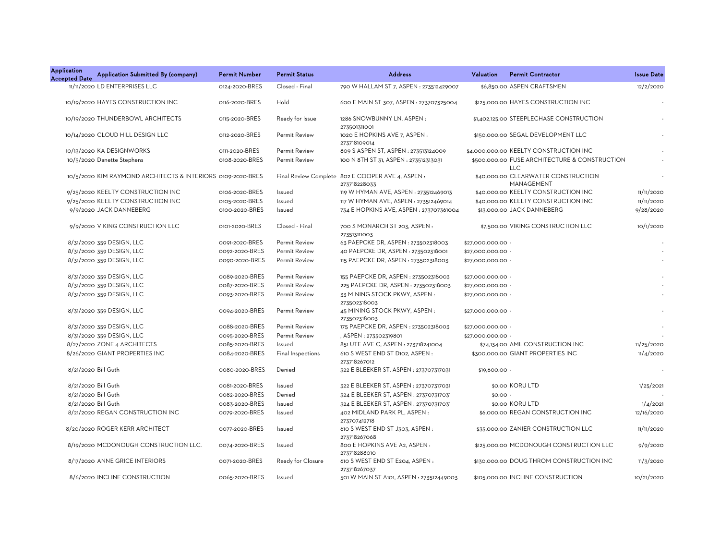| <b>Application</b><br><b>Accepted Date</b> | Application Submitted By (company)                          | <b>Permit Number</b> | <b>Permit Status</b> | <b>Address</b>                                                    | Valuation         | <b>Permit Contractor</b>                                    | <b>Issue Date</b> |
|--------------------------------------------|-------------------------------------------------------------|----------------------|----------------------|-------------------------------------------------------------------|-------------------|-------------------------------------------------------------|-------------------|
|                                            | 11/11/2020 LD ENTERPRISES LLC                               | 0124-2020-BRES       | Closed - Final       | 790 W HALLAM ST 7, ASPEN : 273512429007                           |                   | \$6,850.00 ASPEN CRAFTSMEN                                  | 12/2/2020         |
|                                            | 10/19/2020 HAYES CONSTRUCTION INC                           | 0116-2020-BRES       | Hold                 | 600 E MAIN ST 307, ASPEN : 273707325004                           |                   | \$125,000.00 HAYES CONSTRUCTION INC                         |                   |
|                                            | 10/19/2020 THUNDERBOWL ARCHITECTS                           | 0115-2020-BRES       | Ready for Issue      | 1286 SNOWBUNNY LN, ASPEN:<br>273501311001                         |                   | \$1,402,125.00 STEEPLECHASE CONSTRUCTION                    |                   |
|                                            | 10/14/2020 CLOUD HILL DESIGN LLC                            | 0112-2020-BRES       | <b>Permit Review</b> | 1020 E HOPKINS AVE 7, ASPEN:<br>273718109014                      |                   | \$150,000.00 SEGAL DEVELOPMENT LLC                          |                   |
|                                            | 10/13/2020 KA DESIGNWORKS                                   | 0111-2020-BRES       | <b>Permit Review</b> | 809 S ASPEN ST, ASPEN : 273513124009                              |                   | \$4,000,000.00 KEELTY CONSTRUCTION INC                      |                   |
|                                            | 10/5/2020 Danette Stephens                                  | 0108-2020-BRES       | Permit Review        | 100 N 8TH ST 31, ASPEN : 273512313031                             |                   | \$500,000.00 FUSE ARCHITECTURE & CONSTRUCTION<br><b>LLC</b> |                   |
|                                            | 10/5/2020 KIM RAYMOND ARCHITECTS & INTERIORS 0109-2020-BRES |                      |                      | Final Review Complete 802 E COOPER AVE 4, ASPEN :<br>273718228033 |                   | \$40,000.00 CLEARWATER CONSTRUCTION<br>MANAGEMENT           |                   |
|                                            | 9/25/2020 KEELTY CONSTRUCTION INC                           | 0106-2020-BRES       | Issued               | 119 W HYMAN AVE, ASPEN : 273512469013                             |                   | \$40,000.00 KEELTY CONSTRUCTION INC                         | 11/11/2020        |
|                                            | 9/25/2020 KEELTY CONSTRUCTION INC                           | 0105-2020-BRES       | Issued               | 117 W HYMAN AVE, ASPEN : 273512469014                             |                   | \$40,000,00 KEELTY CONSTRUCTION INC                         | 11/11/2020        |
|                                            | 9/9/2020 JACK DANNEBERG                                     | 0100-2020-BRES       | Issued               | 734 E HOPKINS AVE, ASPEN : 273707361004                           |                   | \$13,000.00 JACK DANNEBERG                                  | 9/28/2020         |
|                                            | 9/9/2020 VIKING CONSTRUCTION LLC                            | 0101-2020-BRES       | Closed - Final       | 700 S MONARCH ST 203, ASPEN:<br>273513111003                      |                   | \$7,500.00 VIKING CONSTRUCTION LLC                          | 10/1/2020         |
|                                            | 8/31/2020 359 DESIGN, LLC                                   | 0091-2020-BRES       | Permit Review        | 63 PAEPCKE DR, ASPEN : 273502318003                               | \$27,000,000.00 - |                                                             |                   |
|                                            | 8/31/2020 359 DESIGN, LLC                                   | 0092-2020-BRES       | Permit Review        | 40 PAEPCKE DR, ASPEN : 273502318001                               | \$27,000,000.00 - |                                                             |                   |
|                                            | 8/31/2020 359 DESIGN, LLC                                   | 0090-2020-BRES       | Permit Review        | 115 PAEPCKE DR, ASPEN: 273502318003                               | \$27,000,000.00 - |                                                             |                   |
|                                            | 8/31/2020 359 DESIGN, LLC                                   | 0089-2020-BRES       | Permit Review        | 155 PAEPCKE DR, ASPEN: 273502318003                               | \$27,000,000.00 - |                                                             |                   |
|                                            | 8/31/2020 359 DESIGN, LLC                                   | 0087-2020-BRES       | Permit Review        | 225 PAEPCKE DR, ASPEN: 273502318003                               | \$27,000,000.00 - |                                                             |                   |
|                                            | 8/31/2020 359 DESIGN, LLC                                   | 0093-2020-BRES       | <b>Permit Review</b> | 33 MINING STOCK PKWY, ASPEN:<br>273502318003                      | \$27,000,000.00 - |                                                             |                   |
|                                            | 8/31/2020 359 DESIGN, LLC                                   | 0094-2020-BRES       | Permit Review        | 45 MINING STOCK PKWY, ASPEN:<br>273502318003                      | \$27,000,000.00 - |                                                             |                   |
|                                            | 8/31/2020 359 DESIGN, LLC                                   | 0088-2020-BRES       | Permit Review        | 175 PAEPCKE DR, ASPEN : 273502318003                              | \$27,000,000.00 - |                                                             |                   |
|                                            | 8/31/2020 359 DESIGN, LLC                                   | 0095-2020-BRES       | Permit Review        | , ASPEN : 273502319801                                            | \$27.000.000.00 - |                                                             |                   |
|                                            | 8/27/2020 ZONE 4 ARCHITECTS                                 | 0085-2020-BRES       | Issued               | 851 UTE AVE C, ASPEN : 273718241004                               |                   | \$74,134.00 AML CONSTRUCTION INC                            | 11/25/2020        |
|                                            | 8/26/2020 GIANT PROPERTIES INC                              | 0084-2020-BRES       | Final Inspections    | 610 S WEST END ST D102, ASPEN:<br>273718267012                    |                   | \$300,000.00 GIANT PROPERTIES INC                           | 11/4/2020         |
|                                            | 8/21/2020 Bill Guth                                         | 0080-2020-BRES       | Denied               | 322 E BLEEKER ST, ASPEN : 273707317031                            | \$19,600.00 -     |                                                             |                   |
|                                            | 8/21/2020 Bill Guth                                         | 0081-2020-BRES       | Issued               | 322 E BLEEKER ST, ASPEN : 273707317031                            |                   | \$0.00 KORU LTD                                             | 1/25/2021         |
|                                            | 8/21/2020 Bill Guth                                         | 0082-2020-BRES       | Denied               | 324 E BLEEKER ST, ASPEN : 273707317031                            | $$0.00 -$         |                                                             |                   |
|                                            | 8/21/2020 Bill Guth                                         | 0083-2020-BRES       | Issued               | 324 E BLEEKER ST, ASPEN : 273707317031                            |                   | \$0.00 KORU LTD                                             | 1/4/2021          |
|                                            | 8/21/2020 REGAN CONSTRUCTION INC                            | 0079-2020-BRES       | Issued               | 402 MIDLAND PARK PL, ASPEN:                                       |                   | \$6,000.00 REGAN CONSTRUCTION INC                           | 12/16/2020        |
|                                            | 8/20/2020 ROGER KERR ARCHITECT                              | 0077-2020-BRES       | Issued               | 273707412718<br>610 S WEST END ST J303, ASPEN:<br>273718267068    |                   | \$35,000.00 ZANIER CONSTRUCTION LLC                         | 11/11/2020        |
|                                            | 8/19/2020 MCDONOUGH CONSTRUCTION LLC.                       | 0074-2020-BRES       | Issued               | 800 E HOPKINS AVE A2, ASPEN:<br>273718288010                      |                   | \$125,000.00 MCDONOUGH CONSTRUCTION LLC                     | 9/9/2020          |
|                                            | 8/17/2020 ANNE GRICE INTERIORS                              | 0071-2020-BRES       | Ready for Closure    | 610 S WEST END ST E204, ASPEN:<br>273718267037                    |                   | \$130,000.00 DOUG THROM CONSTRUCTION INC                    | 11/3/2020         |
|                                            | 8/6/2020 INCLINE CONSTRUCTION                               | 0065-2020-BRES       | Issued               | 501 W MAIN ST A101, ASPEN : 273512449003                          |                   | \$105,000.00 INCLINE CONSTRUCTION                           | 10/21/2020        |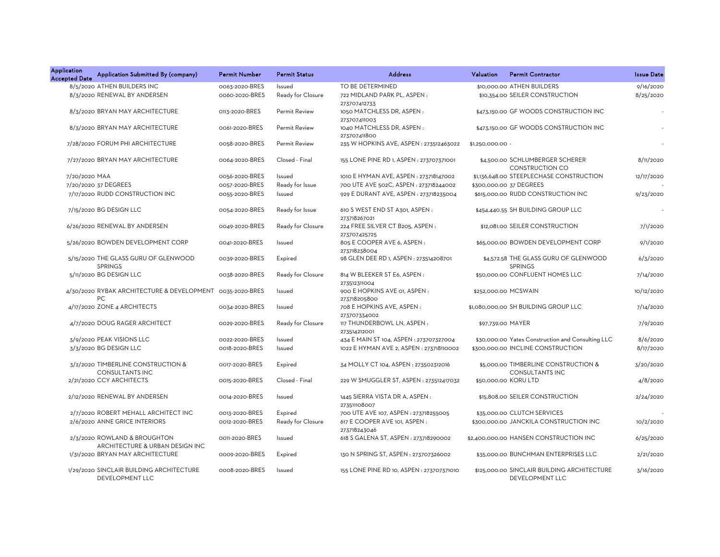| Application<br><b>Accepted Date</b> | Application Submitted By (company)                               | Permit Number  | <b>Permit Status</b> | <b>Address</b>                                  | Valuation         | <b>Permit Contractor</b>                                       | <b>Issue Date</b> |
|-------------------------------------|------------------------------------------------------------------|----------------|----------------------|-------------------------------------------------|-------------------|----------------------------------------------------------------|-------------------|
|                                     | 8/5/2020 ATHEN BUILDERS INC                                      | 0063-2020-BRES | Issued               | TO BE DETERMINED                                |                   | \$10,000.00 ATHEN BUILDERS                                     | 9/16/2020         |
|                                     | 8/3/2020 RENEWAL BY ANDERSEN                                     | 0060-2020-BRES | Ready for Closure    | 722 MIDLAND PARK PL, ASPEN:<br>273707412733     |                   | \$10,354.00 SEILER CONSTRUCTION                                | 8/25/2020         |
|                                     | 8/3/2020 BRYAN MAY ARCHITECTURE                                  | 0113-2020-BRES | Permit Review        | 1050 MATCHLESS DR, ASPEN:<br>273707411003       |                   | \$473,150.00 GF WOODS CONSTRUCTION INC                         |                   |
|                                     | 8/3/2020 BRYAN MAY ARCHITECTURE                                  | 0061-2020-BRES | Permit Review        | 1040 MATCHLESS DR, ASPEN:<br>273707411800       |                   | \$473,150.00 GF WOODS CONSTRUCTION INC                         |                   |
|                                     | 7/28/2020 FORUM PHI ARCHITECTURE                                 | 0058-2020-BRES | Permit Review        | 235 W HOPKINS AVE, ASPEN : 273512463022         | $$1,250,000.00 -$ |                                                                |                   |
|                                     | 7/27/2020 BRYAN MAY ARCHITECTURE                                 | 0064-2020-BRES | Closed - Final       | 155 LONE PINE RD 1, ASPEN : 273707371001        |                   | \$4,500.00 SCHLUMBERGER SCHERER<br>CONSTRUCTION CO             | 8/11/2020         |
| 7/20/2020 MAA                       |                                                                  | 0056-2020-BRES | Issued               | 1010 E HYMAN AVE, ASPEN : 273718147002          |                   | \$1,136,648.00 STEEPLECHASE CONSTRUCTION                       | 12/17/2020        |
|                                     | 7/20/2020 37 DEGREES                                             | 0057-2020-BRES | Ready for Issue      | 700 UTE AVE 502C, ASPEN : 273718244002          |                   | \$300,000.00 37 DEGREES                                        |                   |
|                                     | 7/17/2020 RUDD CONSTRUCTION INC                                  | 0055-2020-BRES | Issued               | 929 E DURANT AVE, ASPEN : 273718235004          |                   | \$615,000.00 RUDD CONSTRUCTION INC                             | 9/23/2020         |
|                                     | 7/15/2020 BG DESIGN LLC                                          | 0054-2020-BRES | Ready for Issue      | 610 S WEST END ST A301, ASPEN:<br>273718267021  |                   | \$454,440.55 SH BUILDING GROUP LLC                             |                   |
|                                     | 6/26/2020 RENEWAL BY ANDERSEN                                    | 0049-2020-BRES | Ready for Closure    | 224 FREE SILVER CT B205, ASPEN:<br>273707425725 |                   | \$12,081.00 SEILER CONSTRUCTION                                | 7/1/2020          |
|                                     | 5/26/2020 BOWDEN DEVELOPMENT CORP                                | 0041-2020-BRES | Issued               | 805 E COOPER AVE 6, ASPEN :<br>273718238004     |                   | \$65,000.00 BOWDEN DEVELOPMENT CORP                            | 9/1/2020          |
|                                     | 5/15/2020 THE GLASS GURU OF GLENWOOD<br><b>SPRINGS</b>           | 0039-2020-BRES | Expired              | 98 GLEN DEE RD 1, ASPEN : 273514208701          |                   | \$4,572.58 THE GLASS GURU OF GLENWOOD<br><b>SPRINGS</b>        | 6/3/2020          |
|                                     | 5/11/2020 BG DESIGN LLC                                          | 0038-2020-BRES | Ready for Closure    | 814 W BLEEKER ST E6, ASPEN:<br>273512311004     |                   | \$50,000.00 CONFLUENT HOMES LLC                                | 7/14/2020         |
|                                     | 4/30/2020 RYBAK ARCHITECTURE & DEVELOPMENT 0035-2020-BRES<br>PC. |                | Issued               | 900 E HOPKINS AVE 01, ASPEN:<br>273718205800    |                   | \$252,000.00 MCSWAIN                                           | 10/12/2020        |
|                                     | 4/17/2020 ZONE 4 ARCHITECTS                                      | 0034-2020-BRES | Issued               | 708 E HOPKINS AVE, ASPEN:<br>273707334002       |                   | \$1,080,000.00 SH BUILDING GROUP LLC                           | 7/14/2020         |
|                                     | 4/7/2020 DOUG RAGER ARCHITECT                                    | 0029-2020-BRES | Ready for Closure    | 117 THUNDERBOWL LN, ASPEN:<br>273514212001      | \$97,739.00 MAYER |                                                                | 7/9/2020          |
|                                     | 3/9/2020 PEAK VISIONS LLC                                        | 0022-2020-BRES | Issued               | 434 E MAIN ST 104, ASPEN : 273707327004         |                   | \$30,000.00 Yates Construction and Consulting LLC              | 8/6/2020          |
|                                     | 3/3/2020 BG DESIGN LLC                                           | 0018-2020-BRES | Issued               | 1022 E HYMAN AVE 2, ASPEN : 273718110002        |                   | \$300,000.00 INCLINE CONSTRUCTION                              | 8/17/2020         |
|                                     | 3/2/2020 TIMBERLINE CONSTRUCTION &<br><b>CONSULTANTS INC</b>     | 0017-2020-BRES | Expired              | 34 MOLLY CT 104, ASPEN : 273502312016           |                   | \$5,000.00 TIMBERLINE CONSTRUCTION &<br><b>CONSULTANTS INC</b> | 3/20/2020         |
|                                     | 2/21/2020 CCY ARCHITECTS                                         | 0015-2020-BRES | Closed - Final       | 229 W SMUGGLER ST, ASPEN: 273512417032          |                   | \$50,000.00 KORU LTD                                           | 4/8/2020          |
|                                     | 2/12/2020 RENEWAL BY ANDERSEN                                    | 0014-2020-BRES | Issued               | 1445 SIERRA VISTA DR A, ASPEN:<br>273511108007  |                   | \$15,808.00 SEILER CONSTRUCTION                                | 2/24/2020         |
|                                     | 2/7/2020 ROBERT MEHALL ARCHITECT INC                             | 0013-2020-BRES | Expired              | 700 UTE AVE 107, ASPEN : 273718255005           |                   | \$35,000.00 CLUTCH SERVICES                                    |                   |
|                                     | 2/6/2020 ANNE GRICE INTERIORS                                    | 0012-2020-BRES | Ready for Closure    | 617 E COOPER AVE 101, ASPEN:<br>273718243046    |                   | \$300,000.00 JANCKILA CONSTRUCTION INC                         | 10/2/2020         |
|                                     | 2/3/2020 ROWLAND & BROUGHTON<br>ARCHITECTURE & URBAN DESIGN INC  | 0011-2020-BRES | Issued               | 618 S GALENA ST, ASPEN : 273718290002           |                   | \$2,400,000.00 HANSEN CONSTRUCTION INC                         | 6/25/2020         |
|                                     | 1/31/2020 BRYAN MAY ARCHITECTURE                                 | 0009-2020-BRES | Expired              | 130 N SPRING ST, ASPEN : 273707326002           |                   | \$35,000.00 BUNCHMAN ENTERPRISES LLC                           | 2/21/2020         |
|                                     | 1/29/2020 SINCLAIR BUILDING ARCHITECTURE<br>DEVELOPMENT LLC      | 0008-2020-BRES | Issued               | 155 LONE PINE RD 10, ASPEN : 273707371010       |                   | \$125,000.00 SINCLAIR BUILDING ARCHITECTURE<br>DEVELOPMENT LLC | 3/16/2020         |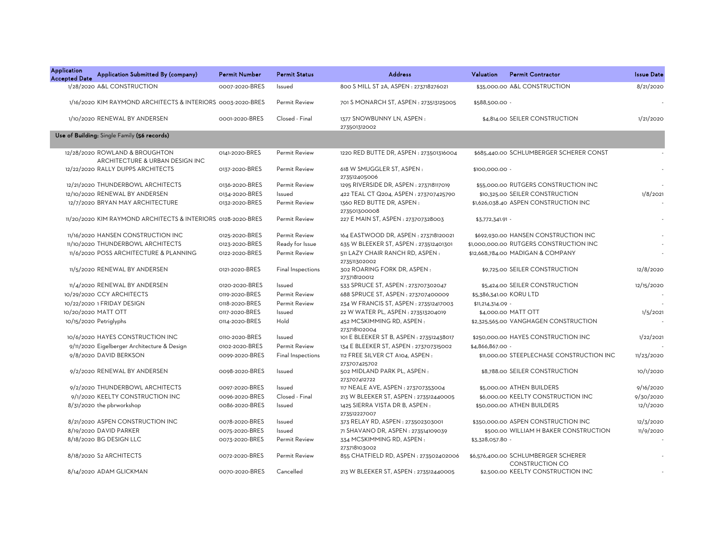| <b>Application</b><br><b>Accepted Date</b> | Application Submitted By (company)                           | <b>Permit Number</b> | <b>Permit Status</b> | <b>Address</b>                                              | Valuation               | <b>Permit Contractor</b>                                      | <b>Issue Date</b> |
|--------------------------------------------|--------------------------------------------------------------|----------------------|----------------------|-------------------------------------------------------------|-------------------------|---------------------------------------------------------------|-------------------|
|                                            | 1/28/2020 A&L CONSTRUCTION                                   | 0007-2020-BRES       | Issued               | 800 S MILL ST 2A, ASPEN : 273718276021                      |                         | \$35,000.00 A&L CONSTRUCTION                                  | 8/21/2020         |
|                                            | 1/16/2020 KIM RAYMOND ARCHITECTS & INTERIORS 0003-2020-BRES  |                      | <b>Permit Review</b> | 701 S MONARCH ST, ASPEN : 273513125005                      | \$588,500.00 -          |                                                               |                   |
|                                            | 1/10/2020 RENEWAL BY ANDERSEN                                | 0001-2020-BRES       | Closed - Final       | 1377 SNOWBUNNY LN, ASPEN:<br>273501312002                   |                         | \$4.814.00 SEILER CONSTRUCTION                                | 1/21/2020         |
|                                            | Use of Building: Single Family (56 records)                  |                      |                      |                                                             |                         |                                                               |                   |
|                                            | 12/28/2020 ROWLAND & BROUGHTON                               | 0141-2020-BRES       | Permit Review        | 1220 RED BUTTE DR, ASPEN : 273501316004                     |                         | \$685,440.00 SCHLUMBERGER SCHERER CONST                       |                   |
|                                            | ARCHITECTURE & URBAN DESIGN INC                              |                      |                      |                                                             |                         |                                                               |                   |
|                                            | 12/22/2020 RALLY DUPPS ARCHITECTS                            | 0137-2020-BRES       | <b>Permit Review</b> | 618 W SMUGGLER ST, ASPEN:<br>273512405006                   | \$100,000.00 -          |                                                               |                   |
|                                            | 12/21/2020 THUNDERBOWL ARCHITECTS                            | 0136-2020-BRES       | Permit Review        | 1295 RIVERSIDE DR, ASPEN : 273718117019                     |                         | \$55,000.00 RUTGERS CONSTRUCTION INC                          |                   |
|                                            | 12/10/2020 RENEWAL BY ANDERSEN                               | 0134-2020-BRES       | Issued               | 422 TEAL CT Q204, ASPEN: 273707425790                       |                         | \$10,325.00 SEILER CONSTRUCTION                               | 1/8/2021          |
|                                            | 12/7/2020 BRYAN MAY ARCHITECTURE                             | 0132-2020-BRES       | Permit Review        | 1360 RED BUTTE DR, ASPEN:                                   |                         | \$1,626,038.40 ASPEN CONSTRUCTION INC                         |                   |
|                                            |                                                              |                      |                      | 273501300008                                                |                         |                                                               |                   |
|                                            | 11/20/2020 KIM RAYMOND ARCHITECTS & INTERIORS 0128-2020-BRES |                      | <b>Permit Review</b> | 227 E MAIN ST, ASPEN : 273707328003                         | \$3,772,341.91 -        |                                                               |                   |
|                                            | 11/16/2020 HANSEN CONSTRUCTION INC                           | 0125-2020-BRES       | <b>Permit Review</b> | 164 EASTWOOD DR, ASPEN: 273718120021                        |                         | \$692,930.00 HANSEN CONSTRUCTION INC                          |                   |
|                                            | 11/10/2020 THUNDERBOWL ARCHITECTS                            | 0123-2020-BRES       | Ready for Issue      | 635 W BLEEKER ST, ASPEN : 273512401301                      |                         | \$1,000,000.00 RUTGERS CONSTRUCTION INC                       |                   |
|                                            | 11/6/2020 POSS ARCHITECTURE & PLANNING                       | 0122-2020-BRES       | Permit Review        | 511 LAZY CHAIR RANCH RD, ASPEN:                             |                         | \$12,668,784.00 MADIGAN & COMPANY                             | ÷,                |
|                                            |                                                              |                      |                      | 273511302002                                                |                         |                                                               |                   |
|                                            | 11/5/2020 RENEWAL BY ANDERSEN                                | 0121-2020-BRES       | Final Inspections    | 302 ROARING FORK DR, ASPEN:<br>273718120012                 |                         | \$9,725.00 SEILER CONSTRUCTION                                | 12/8/2020         |
|                                            | 11/4/2020 RENEWAL BY ANDERSEN                                | 0120-2020-BRES       | Issued               | 533 SPRUCE ST, ASPEN : 273707302047                         |                         | \$5,424.00 SEILER CONSTRUCTION                                | 12/15/2020        |
|                                            | 10/29/2020 CCY ARCHITECTS                                    | 0119-2020-BRES       | Permit Review        | 688 SPRUCE ST, ASPEN : 273707400009                         | \$5,386,341.00 KORU LTD |                                                               |                   |
|                                            | 10/22/2020 1 FRIDAY DESIGN                                   | 0118-2020-BRES       | Permit Review        | 234 W FRANCIS ST, ASPEN : 273512417003                      | \$11,214,314.09 -       |                                                               |                   |
|                                            | 10/20/2020 MATT OTT                                          | 0117-2020-BRES       | Issued               | 22 W WATER PL, ASPEN : 273513204019                         |                         | \$4,000.00 MATT OTT                                           | 1/5/2021          |
|                                            | 10/15/2020 Petriglyphs                                       | 0114-2020-BRES       | Hold                 | 452 MCSKIMMING RD, ASPEN:                                   |                         | \$2,325,565.00 VANGHAGEN CONSTRUCTION                         |                   |
|                                            |                                                              |                      |                      | 273718102004                                                |                         |                                                               |                   |
|                                            | 10/6/2020 HAYES CONSTRUCTION INC                             | 0110-2020-BRES       | Issued               | 101 E BLEEKER ST B, ASPEN : 273512438017                    |                         | \$250,000.00 HAYES CONSTRUCTION INC                           | 1/22/2021         |
|                                            | 9/11/2020 Eigelberger Architecture & Design                  | 0102-2020-BRES       | Permit Review        | 134 E BLEEKER ST, ASPEN: 273707315002                       | \$4,866,867.00 -        |                                                               |                   |
|                                            | 9/8/2020 DAVID BERKSON                                       | 0099-2020-BRES       | Final Inspections    | 112 FREE SILVER CT A104, ASPEN:                             |                         | \$11,000.00 STEEPLECHASE CONSTRUCTION INC                     | 11/23/2020        |
|                                            | 9/2/2020 RENEWAL BY ANDERSEN                                 | 0098-2020-BRES       | Issued               | 273707425702<br>502 MIDLAND PARK PL, ASPEN:<br>273707412722 |                         | \$8,788.00 SEILER CONSTRUCTION                                | 10/1/2020         |
|                                            | 9/2/2020 THUNDERBOWL ARCHITECTS                              | 0097-2020-BRES       | Issued               | 117 NEALE AVE, ASPEN : 273707353004                         |                         | \$5,000.00 ATHEN BUILDERS                                     | 9/16/2020         |
|                                            | 9/1/2020 KEELTY CONSTRUCTION INC                             | 0096-2020-BRES       | Closed - Final       | 213 W BLEEKER ST, ASPEN : 273512440005                      |                         | \$6,000.00 KEELTY CONSTRUCTION INC                            | 9/30/2020         |
|                                            | 8/31/2020 the pbrworkshop                                    | 0086-2020-BRES       | Issued               | 1425 SIERRA VISTA DR B, ASPEN:                              |                         | \$50,000.00 ATHEN BUILDERS                                    | 12/1/2020         |
|                                            |                                                              |                      |                      | 273512227007                                                |                         |                                                               |                   |
|                                            | 8/21/2020 ASPEN CONSTRUCTION INC                             | 0078-2020-BRES       | Issued               | 373 RELAY RD, ASPEN : 273502303001                          |                         | \$350,000.00 ASPEN CONSTRUCTION INC                           | 12/3/2020         |
|                                            | 8/19/2020 DAVID PARKER                                       | 0075-2020-BRES       | Issued               | 71 SHAVANO DR, ASPEN : 273514109039                         |                         | \$500.00 WILLIAM H BAKER CONSTRUCTION                         | 11/9/2020         |
|                                            | 8/18/2020 BG DESIGN LLC                                      | 0073-2020-BRES       | Permit Review        | 334 MCSKIMMING RD, ASPEN:                                   | \$3,328,057.80 -        |                                                               |                   |
|                                            |                                                              |                      |                      | 273718103002                                                |                         |                                                               |                   |
|                                            | 8/18/2020 S2 ARCHITECTS                                      | 0072-2020-BRES       | Permit Review        | 855 CHATFIELD RD, ASPEN : 273502402006                      |                         | \$6,576,400.00 SCHLUMBERGER SCHERER<br><b>CONSTRUCTION CO</b> |                   |
|                                            | 8/14/2020 ADAM GLICKMAN                                      | 0070-2020-BRES       | Cancelled            | 213 W BLEEKER ST, ASPEN : 273512440005                      |                         | \$2,500.00 KEELTY CONSTRUCTION INC                            |                   |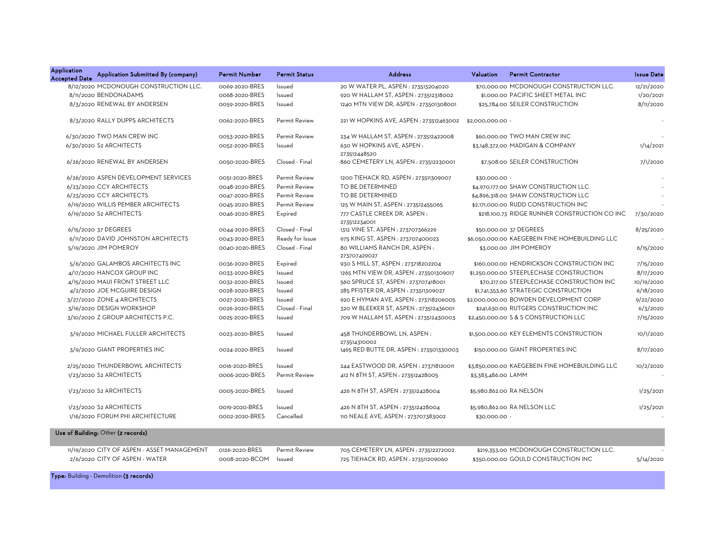| Application<br><b>Accepted Date</b> | Application Submitted By (company)          | <b>Permit Number</b> | <b>Permit Status</b> | <b>Address</b>                               | Valuation           | <b>Permit Contractor</b>                       | <b>Issue Date</b> |
|-------------------------------------|---------------------------------------------|----------------------|----------------------|----------------------------------------------|---------------------|------------------------------------------------|-------------------|
|                                     | 8/12/2020 MCDONOUGH CONSTRUCTION LLC.       | 0069-2020-BRES       | Issued               | 20 W WATER PL, ASPEN : 273513204020          |                     | \$70,000,00 MCDONOUGH CONSTRUCTION LLC.        | 12/21/2020        |
|                                     | 8/11/2020 BENDONADAMS                       | 0068-2020-BRES       | Issued               | 920 W HALLAM ST, ASPEN : 273512318002        |                     | \$1,000.00 PACIFIC SHEET METAL INC             | 1/20/2021         |
|                                     | 8/3/2020 RENEWAL BY ANDERSEN                | 0059-2020-BRES       | Issued               | 1240 MTN VIEW DR, ASPEN: 273501308001        |                     | \$25,784.00 SEILER CONSTRUCTION                | 8/11/2020         |
|                                     | 8/3/2020 RALLY DUPPS ARCHITECTS             | 0062-2020-BRES       | <b>Permit Review</b> | 221 W HOPKINS AVE, ASPEN : 273512463002      | \$2,000,000,00 -    |                                                |                   |
|                                     | 6/30/2020 TWO MAN CREW INC                  | 0053-2020-BRES       | <b>Permit Review</b> | 234 W HALLAM ST, ASPEN: 273512422008         |                     | \$60,000,00 TWO MAN CREW INC                   |                   |
|                                     | 6/30/2020 S2 ARCHITECTS                     | 0052-2020-BRES       | Issued               | 630 W HOPKINS AVE, ASPEN:<br>273512448520    |                     | \$3,148,372.00 MADIGAN & COMPANY               | 1/14/2021         |
|                                     | 6/26/2020 RENEWAL BY ANDERSEN               | 0050-2020-BRES       | Closed - Final       | 860 CEMETERY LN, ASPEN : 273512230001        |                     | \$7,508.00 SEILER CONSTRUCTION                 | 7/1/2020          |
|                                     | 6/26/2020 ASPEN DEVELOPMENT SERVICES        | 0051-2020-BRES       | <b>Permit Review</b> | 1200 TIEHACK RD, ASPEN : 273511309007        | \$30,000.00 -       |                                                |                   |
|                                     | 6/23/2020 CCY ARCHITECTS                    | 0048-2020-BRES       | Permit Review        | TO BE DETERMINED                             |                     | \$4,970,177.00 SHAW CONSTRUCTION LLC           |                   |
|                                     | 6/23/2020 CCY ARCHITECTS                    | 0047-2020-BRES       | <b>Permit Review</b> | TO BE DETERMINED                             |                     | \$4,896,318.00 SHAW CONSTRUCTION LLC           |                   |
|                                     | 6/19/2020 WILLIS PEMBER ARCHITECTS          | 0045-2020-BRES       | Permit Review        | 125 W MAIN ST, ASPEN : 273512455065          |                     | \$2,171,000.00 RUDD CONSTRUCTION INC           |                   |
|                                     | 6/19/2020 S2 ARCHITECTS                     | 0046-2020-BRES       | Expired              | 777 CASTLE CREEK DR, ASPEN:<br>273512234001  |                     | \$218,100.73 RIDGE RUNNER CONSTRUCTION CO INC  | 7/30/2020         |
|                                     | 6/15/2020 37 DEGREES                        | 0044-2020-BRES       | Closed - Final       | 1312 VINE ST, ASPEN: 273707366229            |                     | \$50,000.00 37 DEGREES                         | 8/25/2020         |
|                                     | 6/11/2020 DAVID JOHNSTON ARCHITECTS         | 0043-2020-BRES       | Ready for Issue      | 975 KING ST, ASPEN : 273707400023            |                     | \$6,050,000.00 KAEGEBEIN FINE HOMEBUILDING LLC |                   |
|                                     | 5/19/2020 JIM POMEROY                       | 0040-2020-BRES       | Closed - Final       | 80 WILLIAMS RANCH DR, ASPEN:<br>273707429027 |                     | \$3,000.00 JIM POMEROY                         | 6/15/2020         |
|                                     | 5/6/2020 GALAMBOS ARCHITECTS INC            | 0036-2020-BRES       | Expired              | 930 S MILL ST, ASPEN : 273718202204          |                     | \$160,000.00 HENDRICKSON CONSTRUCTION INC      | 7/15/2020         |
|                                     | 4/17/2020 HANCOX GROUP INC                  | 0033-2020-BRES       | Issued               | 1265 MTN VIEW DR, ASPEN : 273501309017       |                     | \$1,250,000.00 STEEPLECHASE CONSTRUCTION       | 8/17/2020         |
|                                     | 4/15/2020 MAUI FRONT STREET LLC             | 0032-2020-BRES       | Issued               | 560 SPRUCE ST, ASPEN: 273707418001           |                     | \$70,217.00 STEEPLECHASE CONSTRUCTION INC      | 10/19/2020        |
|                                     | 4/2/2020 JOE MCGUIRE DESIGN                 | 0028-2020-BRES       | Issued               | 285 PFISTER DR, ASPEN : 273511309027         |                     | \$1,741,353.60 STRATEGIC CONSTRUCTION          | 6/18/2020         |
|                                     | 3/27/2020 ZONE 4 ARCHITECTS                 | 0027-2020-BRES       | Issued               | 920 E HYMAN AVE, ASPEN : 273718206005        |                     | \$2,000,000.00 BOWDEN DEVELOPMENT CORP         | 9/22/2020         |
|                                     | 3/16/2020 DESIGN WORKSHOP                   | 0026-2020-BRES       | Closed - Final       | 320 W BLEEKER ST, ASPEN : 273512436001       |                     | \$241,630.00 RUTGERS CONSTRUCTION INC          | 6/3/2020          |
|                                     | 3/10/2020 Z GROUP ARCHITECTS P.C.           | 0025-2020-BRES       | Issued               | 709 W HALLAM ST, ASPEN: 273512430003         |                     | \$2,450,000.00 S & S CONSTRUCTION LLC          | 7/15/2020         |
|                                     | 3/9/2020 MICHAEL FULLER ARCHITECTS          | 0023-2020-BRES       | Issued               | 458 THUNDERBOWL LN, ASPEN:<br>273514310002   |                     | \$1,500,000.00 KEY ELEMENTS CONSTRUCTION       | 10/1/2020         |
|                                     | 3/9/2020 GIANT PROPERTIES INC               | 0024-2020-BRES       | Issued               | 1465 RED BUTTE DR, ASPEN : 273501330003      |                     | \$150,000.00 GIANT PROPERTIES INC              | 8/17/2020         |
|                                     | 2/25/2020 THUNDERBOWL ARCHITECTS            | 0016-2020-BRES       | Issued               | 244 EASTWOOD DR, ASPEN : 273718120011        |                     | \$3,850,000.00 KAEGEBEIN FINE HOMEBUILDING LLC | 10/2/2020         |
|                                     | 1/23/2020 S2 ARCHITECTS                     | 0006-2020-BRES       | <b>Permit Review</b> | 412 N 8TH ST, ASPEN: 273512428005            | \$3,383,486.00 LAMM |                                                |                   |
|                                     | 1/23/2020 S2 ARCHITECTS                     | 0005-2020-BRES       | Issued               | 426 N 8TH ST, ASPEN: 273512428004            |                     | \$5,980,862.00 RA NELSON                       | 1/25/2021         |
|                                     | 1/23/2020 S2 ARCHITECTS                     | 0019-2020-BRES       | Issued               | 426 N 8TH ST, ASPEN: 273512428004            |                     | \$5,980,862.00 RA NELSON LLC                   | 1/25/2021         |
|                                     | 1/16/2020 FORUM PHI ARCHITECTURE            | 0002-2020-BRES       | Cancelled            | 110 NEALE AVE, ASPEN : 273707383002          | \$30,000.00 -       |                                                |                   |
|                                     | Use of Building: Other (2 records)          |                      |                      |                                              |                     |                                                |                   |
|                                     | 11/19/2020 CITY OF ASPEN - ASSET MANAGEMENT | 0126-2020-BRES       | <b>Permit Review</b> | 705 CEMETERY LN, ASPEN : 273512272002        |                     | \$219,353.00 MCDONOUGH CONSTRUCTION LLC.       |                   |
|                                     | 2/6/2020 CITY OF ASPEN - WATER              | 0008-2020-BCOM       | Issued               | 725 TIEHACK RD, ASPEN : 273511209060         |                     | \$350,000.00 GOULD CONSTRUCTION INC            | 5/14/2020         |

Type: Building - Demolition (3 records)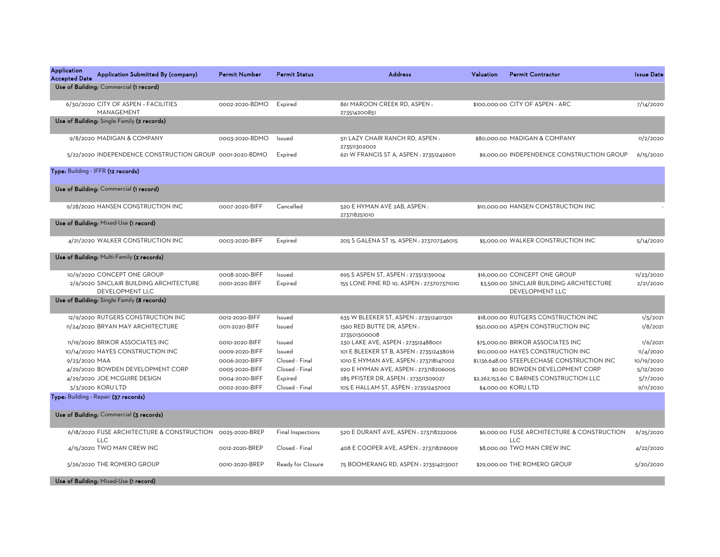| <b>Application</b><br><b>Accepted Date</b> | Application Submitted By (company)                                      | <b>Permit Number</b> | <b>Permit Status</b> | <b>Address</b>                                  | Valuation | <b>Permit Contractor</b>                                     | <b>Issue Date</b> |
|--------------------------------------------|-------------------------------------------------------------------------|----------------------|----------------------|-------------------------------------------------|-----------|--------------------------------------------------------------|-------------------|
|                                            | Use of Building: Commercial (1 record)                                  |                      |                      |                                                 |           |                                                              |                   |
|                                            | 6/30/2020 CITY OF ASPEN - FACILITIES<br>MANAGEMENT                      | 0002-2020-BDMO       | Expired              | 861 MAROON CREEK RD, ASPEN:<br>273514200851     |           | \$100,000,00 CITY OF ASPEN - ARC                             | 7/14/2020         |
|                                            | Use of Building: Single Family (2 records)                              |                      |                      |                                                 |           |                                                              |                   |
|                                            | 9/8/2020 MADIGAN & COMPANY                                              | 0003-2020-BDMO       | Issued               | 511 LAZY CHAIR RANCH RD, ASPEN:<br>273511302002 |           | \$80,000.00 MADIGAN & COMPANY                                | 11/2/2020         |
|                                            | 5/22/2020 INDEPENDENCE CONSTRUCTION GROUP 0001-2020-BDMO                |                      | Expired              | 621 W FRANCIS ST A, ASPEN : 273512426011        |           | \$9,000.00 INDEPENDENCE CONSTRUCTION GROUP                   | 6/15/2020         |
|                                            | Type: Building - IFFR (12 records)                                      |                      |                      |                                                 |           |                                                              |                   |
|                                            | Use of Building: Commercial (1 record)                                  |                      |                      |                                                 |           |                                                              |                   |
|                                            | 9/28/2020 HANSEN CONSTRUCTION INC                                       | 0007-2020-BIFF       | Cancelled            | 520 E HYMAN AVE 2AB, ASPEN:<br>273718251010     |           | \$10,000.00 HANSEN CONSTRUCTION INC                          |                   |
|                                            | Use of Building: Mixed-Use (1 record)                                   |                      |                      |                                                 |           |                                                              |                   |
|                                            | 4/21/2020 WALKER CONSTRUCTION INC                                       | 0003-2020-BIFF       | Expired              | 205 S GALENA ST 15, ASPEN : 273707346015        |           | \$5,000.00 WALKER CONSTRUCTION INC                           | 5/14/2020         |
|                                            | Use of Building: Multi-Family (2 records)                               |                      |                      |                                                 |           |                                                              |                   |
|                                            | 10/9/2020 CONCEPT ONE GROUP                                             | 0008-2020-BIFF       | Issued               | 695 S ASPEN ST, ASPEN : 273513139004            |           | \$16,000.00 CONCEPT ONE GROUP                                | 11/23/2020        |
|                                            | 2/6/2020 SINCLAIR BUILDING ARCHITECTURE<br>DEVELOPMENT LLC              | 0001-2020-BIFF       | Expired              | 155 LONE PINE RD 10, ASPEN : 273707371010       |           | \$3,500.00 SINCLAIR BUILDING ARCHITECTURE<br>DEVELOPMENT LLC | 2/21/2020         |
|                                            | Use of Building: Single Family (8 records)                              |                      |                      |                                                 |           |                                                              |                   |
|                                            | 12/9/2020 RUTGERS CONSTRUCTION INC                                      | 0012-2020-BIFF       | Issued               | 635 W BLEEKER ST, ASPEN : 273512401301          |           | \$18,000.00 RUTGERS CONSTRUCTION INC                         | 1/5/2021          |
|                                            | 11/24/2020 BRYAN MAY ARCHITECTURE                                       | 0011-2020-BIFF       | Issued               | 1360 RED BUTTE DR, ASPEN:<br>273501300008       |           | \$50,000.00 ASPEN CONSTRUCTION INC                           | 1/8/2021          |
|                                            | 11/19/2020 BRIKOR ASSOCIATES INC                                        | 0010-2020-BIFF       | Issued               | 230 LAKE AVE, ASPEN : 273512488001              |           | \$75,000.00 BRIKOR ASSOCIATES INC                            | 1/6/2021          |
|                                            | 10/14/2020 HAYES CONSTRUCTION INC                                       | 0009-2020-BIFF       | <b>Issued</b>        | 101 E BLEEKER ST B, ASPEN : 273512438016        |           | \$10,000.00 HAYES CONSTRUCTION INC                           | 11/4/2020         |
| 9/23/2020 MAA                              |                                                                         | 0006-2020-BIFF       | Closed - Final       | 1010 E HYMAN AVE, ASPEN : 273718147002          |           | \$1,136,648.00 STEEPLECHASE CONSTRUCTION INC                 | 10/19/2020        |
|                                            | 4/29/2020 BOWDEN DEVELOPMENT CORP                                       | 0005-2020-BIFF       | Closed - Final       | 920 E HYMAN AVE, ASPEN : 273718206005           |           | \$0.00 BOWDEN DEVELOPMENT CORP                               | 5/12/2020         |
|                                            | 4/29/2020 JOE MCGUIRE DESIGN                                            | 0004-2020-BIFF       | Expired              | 285 PFISTER DR, ASPEN : 273511309027            |           | \$2,262,153.60 C BARNES CONSTRUCTION LLC                     | 5/7/2020          |
|                                            | 3/3/2020 KORU LTD                                                       | 0002-2020-BIFF       | Closed - Final       | 105 E HALLAM ST, ASPEN : 273512437002           |           | \$4,000.00 KORU LTD                                          | 9/11/2020         |
|                                            | Type: Building - Repair (37 records)                                    |                      |                      |                                                 |           |                                                              |                   |
|                                            | Use of Building: Commercial (3 records)                                 |                      |                      |                                                 |           |                                                              |                   |
|                                            | 6/18/2020 FUSE ARCHITECTURE & CONSTRUCTION 0025-2020-BREP<br><b>LLC</b> |                      | Final Inspections    | 520 E DURANT AVE, ASPEN : 273718222006          |           | \$6,000.00 FUSE ARCHITECTURE & CONSTRUCTION<br><b>LLC</b>    | 6/25/2020         |
|                                            | 4/15/2020 TWO MAN CREW INC                                              | 0012-2020-BREP       | Closed - Final       | 408 E COOPER AVE, ASPEN : 273718216009          |           | \$8,000.00 TWO MAN CREW INC                                  | 4/22/2020         |
|                                            | 3/26/2020 THE ROMERO GROUP                                              | 0010-2020-BREP       | Ready for Closure    | 75 BOOMERANG RD, ASPEN: 273514213007            |           | \$29,000.00 THE ROMERO GROUP                                 | 5/20/2020         |
|                                            | Use of Building: Mixed-Use (1 record)                                   |                      |                      |                                                 |           |                                                              |                   |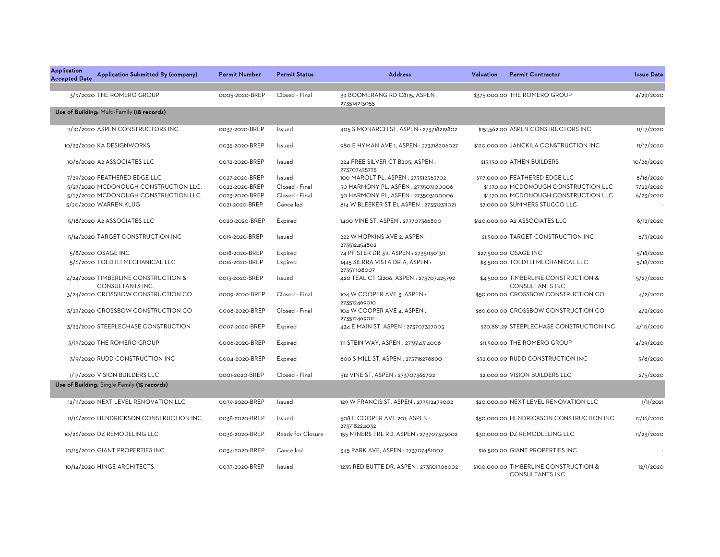| Application<br><b>Accepted Date</b> | Application Submitted By (company)                            | <b>Permit Number</b> | <b>Permit Status</b> | <b>Address</b>                                     | Valuation | <b>Permit Contractor</b>                                         | <b>Issue Date</b> |
|-------------------------------------|---------------------------------------------------------------|----------------------|----------------------|----------------------------------------------------|-----------|------------------------------------------------------------------|-------------------|
|                                     | 3/9/2020 THE ROMERO GROUP                                     | 0005-2020-BREP       | Closed - Final       | 39 BOOMERANG RD C8115, ASPEN:<br>273514213055      |           | \$375,000.00 THE ROMERO GROUP                                    | 4/29/2020         |
|                                     | Use of Building: Multi-Family (18 records)                    |                      |                      |                                                    |           |                                                                  |                   |
|                                     | 11/10/2020 ASPEN CONSTRUCTORS INC                             | 0037-2020-BREP       | Issued               | 405 S MONARCH ST, ASPEN : 273718219802             |           | \$151,562.00 ASPEN CONSTRUCTORS INC                              | 11/17/2020        |
|                                     | 10/23/2020 KA DESIGNWORKS                                     | 0035-2020-BREP       | Issued               | 980 E HYMAN AVE 1, ASPEN : 273718206027            |           | \$120,000.00 JANCKILA CONSTRUCTION INC                           | 11/17/2020        |
|                                     | 10/6/2020 A2 ASSOCIATES LLC                                   | 0032-2020-BREP       | Issued               | 224 FREE SILVER CT B205, ASPEN:                    |           | \$15,150.00 ATHEN BUILDERS                                       | 10/26/2020        |
|                                     | 7/29/2020 FEATHERED EDGE LLC                                  | 0027-2020-BREP       | Issued               | 273707425725<br>100 MAROLT PL, ASPEN: 273512363702 |           | \$117,000.00 FEATHERED EDGE LLC                                  | 8/18/2020         |
|                                     | 5/27/2020 MCDONOUGH CONSTRUCTION LLC.                         | 0022-2020-BREP       | Closed - Final       | 50 HARMONY PL, ASPEN : 273503100006                |           | \$1,170.00 MCDONOUGH CONSTRUCTION LLC                            | 7/22/2020         |
|                                     | 5/27/2020 MCDONOUGH CONSTRUCTION LLC.                         | 0023-2020-BREP       | Closed - Final       | 50 HARMONY PL, ASPEN : 273503100006                |           | \$1,170.00 MCDONOUGH CONSTRUCTION LLC                            | 6/23/2020         |
|                                     | 5/20/2020 WARREN KLUG                                         | 0021-2020-BREP       | Cancelled            | 814 W BLEEKER ST E1, ASPEN : 273512311021          |           | \$7,000.00 SUMMERS STUCCO LLC                                    |                   |
|                                     | 5/18/2020 A2 ASSOCIATES LLC                                   | 0020-2020-BREP       | Expired              | 1400 VINE ST, ASPEN: 273707366800                  |           | \$120,000.00 A2 ASSOCIATES LLC                                   | 6/12/2020         |
|                                     | 5/14/2020 TARGET CONSTRUCTION INC                             | 0019-2020-BREP       | Issued               | 222 W HOPKINS AVE 2. ASPEN:<br>273512454802        |           | \$1,500.00 TARGET CONSTRUCTION INC                               | 6/3/2020          |
|                                     | 5/8/2020 OSAGE INC                                            | 0018-2020-BREP       | Expired              | 74 PFISTER DR 311, ASPEN : 273511301311            |           | \$27,500.00 OSAGE INC                                            | 5/18/2020         |
|                                     | 5/6/2020 TOEDTLI MECHANICAL LLC                               | 0016-2020-BREP       | Expired              | 1445 SIERRA VISTA DR A, ASPEN:<br>273511108007     |           | \$3,500.00 TOEDTLI MECHANICAL LLC                                | 5/18/2020         |
|                                     | 4/24/2020 TIMBERLINE CONSTRUCTION &<br><b>CONSULTANTS INC</b> | 0013-2020-BREP       | Issued               | 420 TEAL CT Q206, ASPEN: 273707425792              |           | \$4,500.00 TIMBERLINE CONSTRUCTION &<br><b>CONSULTANTS INC</b>   | 5/27/2020         |
|                                     | 3/24/2020 CROSSBOW CONSTRUCTION CO                            | 0009-2020-BREP       | Closed - Final       | 104 W COOPER AVE 3, ASPEN:<br>273512469010         |           | \$50,000.00 CROSSBOW CONSTRUCTION CO                             | 4/2/2020          |
|                                     | 3/23/2020 CROSSBOW CONSTRUCTION CO                            | 0008-2020-BREP       | Closed - Final       | 104 W COOPER AVE 4, ASPEN :<br>273512469011        |           | \$60,000.00 CROSSBOW CONSTRUCTION CO                             | 4/2/2020          |
|                                     | 3/23/2020 STEEPLECHASE CONSTRUCTION                           | 0007-2020-BREP       | Expired              | 434 E MAIN ST, ASPEN : 273707327005                |           | \$20,881.29 STEEPLECHASE CONSTRUCTION INC                        | 4/10/2020         |
|                                     | 3/13/2020 THE ROMERO GROUP                                    | 0006-2020-BREP       | Expired              | 111 STEIN WAY, ASPEN : 273514314006                |           | \$11,500.00 THE ROMERO GROUP                                     | 4/29/2020         |
|                                     | 3/9/2020 RUDD CONSTRUCTION INC                                | 0004-2020-BREP       | Expired              | 800 S MILL ST, ASPEN : 273718276800                |           | \$32,000.00 RUDD CONSTRUCTION INC                                | 5/8/2020          |
|                                     | 1/17/2020 VISION BUILDERS LLC                                 | 0001-2020-BREP       | Closed - Final       | 512 VINE ST, ASPEN : 273707366702                  |           | \$2,000.00 VISION BUILDERS LLC                                   | 2/5/2020          |
|                                     | Use of Building: Single Family (15 records)                   |                      |                      |                                                    |           |                                                                  |                   |
|                                     | 12/11/2020 NEXT LEVEL RENOVATION LLC                          | 0039-2020-BREP       | Issued               | 129 W FRANCIS ST, ASPEN: 273512479002              |           | \$20,000.00 NEXT LEVEL RENOVATION LLC                            | 1/11/2021         |
|                                     | 11/16/2020 HENDRICKSON CONSTRUCTION INC                       | 0038-2020-BREP       | Issued               | 508 E COOPER AVE 201, ASPEN :<br>273718224032      |           | \$50,000.00 HENDRICKSON CONSTRUCTION INC                         | 12/16/2020        |
|                                     | 10/26/2020 DZ REMODELING LLC                                  | 0036-2020-BREP       | Ready for Closure    | 155 MINERS TRL RD, ASPEN : 273707323002            |           | \$30,000.00 DZ REMODLELING LLC                                   | 11/23/2020        |
|                                     | 10/15/2020 GIANT PROPERTIES INC                               | 0034-2020-BREP       | Cancelled            | 345 PARK AVE, ASPEN : 273707481002                 |           | \$16,500.00 GIANT PROPERTIES INC                                 |                   |
|                                     | 10/14/2020 HINGE ARCHITECTS                                   | 0033-2020-BREP       | Issued               | 1235 RED BUTTE DR, ASPEN : 273501306002            |           | \$100,000.00 TIMBERLINE CONSTRUCTION &<br><b>CONSULTANTS INC</b> | 12/1/2020         |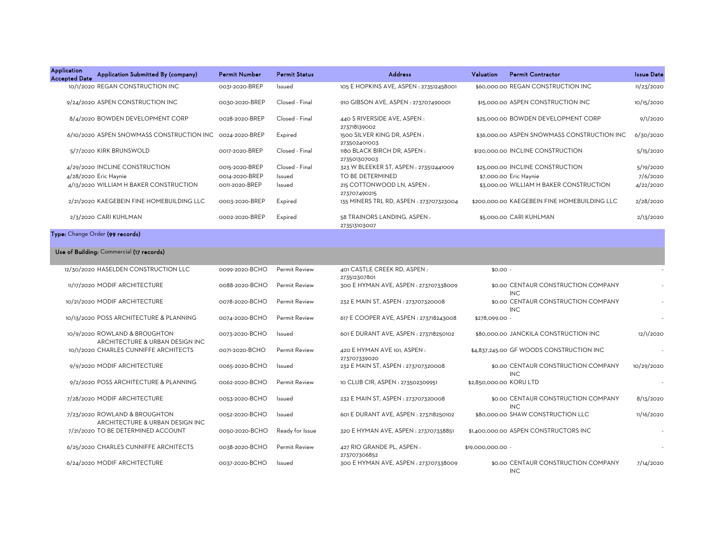| <b>Application</b><br><b>Accepted Date</b> | Application Submitted By (company)                               | <b>Permit Number</b> | <b>Permit Status</b> | <b>Address</b>                               | Valuation               | <b>Permit Contractor</b>                          | <b>Issue Date</b> |
|--------------------------------------------|------------------------------------------------------------------|----------------------|----------------------|----------------------------------------------|-------------------------|---------------------------------------------------|-------------------|
|                                            | 10/1/2020 REGAN CONSTRUCTION INC                                 | 0031-2020-BREP       | Issued               | 105 E HOPKINS AVE, ASPEN : 273512458001      |                         | \$60,000,00 REGAN CONSTRUCTION INC                | 11/23/2020        |
|                                            | 9/24/2020 ASPEN CONSTRUCTION INC                                 | 0030-2020-BREP       | Closed - Final       | 910 GIBSON AVE, ASPEN : 273707490001         |                         | \$15,000.00 ASPEN CONSTRUCTION INC                | 10/15/2020        |
|                                            | 8/4/2020 BOWDEN DEVELOPMENT CORP                                 | 0028-2020-BREP       | Closed - Final       | 440 S RIVERSIDE AVE, ASPEN :<br>273718139002 |                         | \$25,000.00 BOWDEN DEVELOPMENT CORP               | 9/1/2020          |
|                                            | 6/10/2020 ASPEN SNOWMASS CONSTRUCTION INC 0024-2020-BREP         |                      | Expired              | 1500 SILVER KING DR, ASPEN:<br>273502401003  |                         | \$36,000.00 ASPEN SNOWMASS CONSTRUCTION INC       | 6/30/2020         |
|                                            | 5/7/2020 KIRK BRUNSWOLD                                          | 0017-2020-BREP       | Closed - Final       | 1180 BLACK BIRCH DR, ASPEN:<br>273501307003  |                         | \$120,000.00 INCLINE CONSTRUCTION                 | 5/15/2020         |
|                                            | 4/29/2020 INCLINE CONSTRUCTION                                   | 0015-2020-BREP       | Closed - Final       | 323 W BLEEKER ST, ASPEN : 273512441009       |                         | \$25,000.00 INCLINE CONSTRUCTION                  | 5/19/2020         |
|                                            | 4/28/2020 Eric Haynie                                            | 0014-2020-BREP       | Issued               | TO BE DETERMINED                             |                         | \$7,000.00 Eric Haynie                            | 7/6/2020          |
|                                            | 4/13/2020 WILLIAM H BAKER CONSTRUCTION                           | 0011-2020-BREP       | Issued               | 215 COTTONWOOD LN, ASPEN:<br>273707490215    |                         | \$3,000.00 WILLIAM H BAKER CONSTRUCTION           | 4/22/2020         |
|                                            | 2/21/2020 KAEGEBEIN FINE HOMEBUILDING LLC                        | 0003-2020-BREP       | Expired              | 135 MINERS TRL RD, ASPEN : 273707323004      |                         | \$200,000,00 KAEGEBEIN FINE HOMEBUILDING LLC      | 2/28/2020         |
|                                            | 2/3/2020 CARI KUHLMAN                                            | 0002-2020-BREP       | Expired              | 58 TRAINORS LANDING, ASPEN:<br>273513103007  |                         | \$5,000.00 CARI KUHLMAN                           | 2/13/2020         |
|                                            | Type: Change Order (99 records)                                  |                      |                      |                                              |                         |                                                   |                   |
|                                            | Use of Building: Commercial (17 records)                         |                      |                      |                                              |                         |                                                   |                   |
|                                            | 12/30/2020 HASELDEN CONSTRUCTION LLC                             | 0099-2020-BCHO       | Permit Review        | 401 CASTLE CREEK RD, ASPEN:<br>273512307801  | $$0.00 -$               |                                                   |                   |
|                                            | 11/17/2020 MODIF ARCHITECTURE                                    | 0088-2020-BCHO       | Permit Review        | 300 E HYMAN AVE, ASPEN : 273707338009        |                         | \$0.00 CENTAUR CONSTRUCTION COMPANY<br><b>INC</b> |                   |
|                                            | 10/21/2020 MODIF ARCHITECTURE                                    | 0078-2020-BCHO       | <b>Permit Review</b> | 232 E MAIN ST, ASPEN : 273707320008          |                         | \$0.00 CENTAUR CONSTRUCTION COMPANY<br><b>INC</b> |                   |
|                                            | 10/13/2020 POSS ARCHITECTURE & PLANNING                          | 0074-2020-BCHO       | Permit Review        | 617 E COOPER AVE, ASPEN : 273718243008       | \$278,099.00 -          |                                                   |                   |
|                                            | 10/9/2020 ROWLAND & BROUGHTON<br>ARCHITECTURE & URBAN DESIGN INC | 0073-2020-BCHO       | Issued               | 601 E DURANT AVE, ASPEN : 273718250102       |                         | \$80,000.00 JANCKILA CONSTRUCTION INC             | 12/1/2020         |
|                                            | 10/1/2020 CHARLES CUNNIFFE ARCHITECTS                            | 0071-2020-BCHO       | <b>Permit Review</b> | 420 E HYMAN AVE 101, ASPEN:<br>273707339020  |                         | \$4,837,245.00 GF WOODS CONSTRUCTION INC          |                   |
|                                            | 9/9/2020 MODIF ARCHITECTURE                                      | 0065-2020-BCHO       | Issued               | 232 E MAIN ST, ASPEN : 273707320008          |                         | \$0.00 CENTAUR CONSTRUCTION COMPANY<br><b>INC</b> | 10/29/2020        |
|                                            | 9/2/2020 POSS ARCHITECTURE & PLANNING                            | 0062-2020-BCHO       | <b>Permit Review</b> | 10 CLUB CIR, ASPEN : 273502309951            | \$2,850,000.00 KORU LTD |                                                   |                   |
|                                            | 7/28/2020 MODIF ARCHITECTURE                                     | 0053-2020-BCHO       | Issued               | 232 E MAIN ST, ASPEN : 273707320008          |                         | \$0.00 CENTAUR CONSTRUCTION COMPANY<br><b>INC</b> | 8/13/2020         |
|                                            | 7/23/2020 ROWLAND & BROUGHTON<br>ARCHITECTURE & URBAN DESIGN INC | 0052-2020-BCHO       | Issued               | 601 E DURANT AVE, ASPEN : 273718250102       |                         | \$80,000.00 SHAW CONSTRUCTION LLC                 | 11/16/2020        |
|                                            | 7/21/2020 TO BE DETERMINED ACCOUNT                               | 0050-2020-BCHO       | Ready for Issue      | 320 E HYMAN AVE, ASPEN : 273707338851        |                         | \$1,400,000.00 ASPEN CONSTRUCTORS INC             |                   |
|                                            | 6/25/2020 CHARLES CUNNIFFE ARCHITECTS                            | 0038-2020-BCHO       | Permit Review        | 427 RIO GRANDE PL, ASPEN :<br>273707306852   | \$19,000,000.00 -       |                                                   |                   |
|                                            | 6/24/2020 MODIF ARCHITECTURE                                     | 0037-2020-BCHO       | Issued               | 300 E HYMAN AVE, ASPEN : 273707338009        |                         | \$0.00 CENTAUR CONSTRUCTION COMPANY<br><b>INC</b> | 7/14/2020         |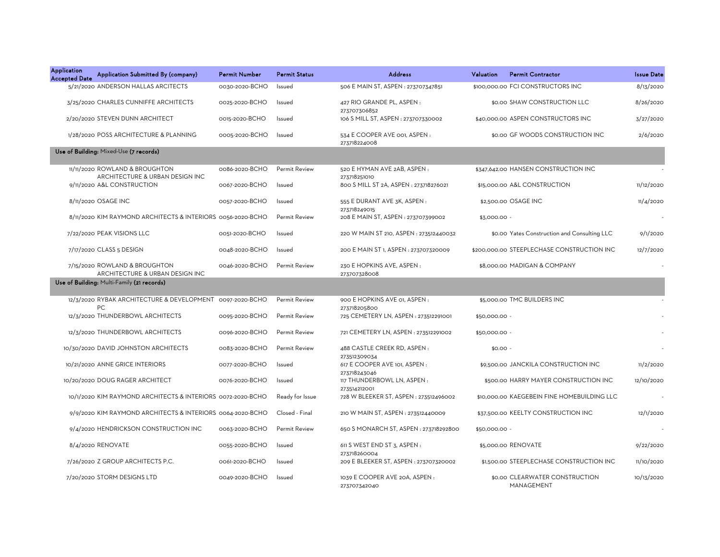| <b>Application</b><br><b>Accepted Date</b> | Application Submitted By (company)                                | <b>Permit Number</b> | <b>Permit Status</b> | <b>Address</b>                                         | Valuation     | <b>Permit Contractor</b>                     | <b>Issue Date</b> |
|--------------------------------------------|-------------------------------------------------------------------|----------------------|----------------------|--------------------------------------------------------|---------------|----------------------------------------------|-------------------|
|                                            | 5/21/2020 ANDERSON HALLAS ARCITECTS                               | 0030-2020-BCHO       | Issued               | 506 E MAIN ST, ASPEN : 273707347851                    |               | \$100,000.00 FCI CONSTRUCTORS INC            | 8/13/2020         |
|                                            | 3/25/2020 CHARLES CUNNIFFE ARCHITECTS                             | 0025-2020-BCHO       | Issued               | 427 RIO GRANDE PL, ASPEN :<br>273707306852             |               | \$0.00 SHAW CONSTRUCTION LLC                 | 8/26/2020         |
|                                            | 2/20/2020 STEVEN DUNN ARCHITECT                                   | 0015-2020-BCHO       | Issued               | 106 S MILL ST, ASPEN : 273707330002                    |               | \$40,000.00 ASPEN CONSTRUCTORS INC           | 3/27/2020         |
|                                            | 1/28/2020 POSS ARCHITECTURE & PLANNING                            | 0005-2020-BCHO       | Issued               | 534 E COOPER AVE 001, ASPEN :<br>273718224008          |               | \$0.00 GF WOODS CONSTRUCTION INC             | 2/6/2020          |
|                                            | Use of Building: Mixed-Use (7 records)                            |                      |                      |                                                        |               |                                              |                   |
|                                            | 11/11/2020 ROWLAND & BROUGHTON<br>ARCHITECTURE & URBAN DESIGN INC | 0086-2020-BCHO       | <b>Permit Review</b> | 520 E HYMAN AVE 2AB, ASPEN:<br>273718251010            |               | \$347,642.00 HANSEN CONSTRUCTION INC         |                   |
|                                            | 9/11/2020 A&L CONSTRUCTION                                        | 0067-2020-BCHO       | Issued               | 800 S MILL ST 2A, ASPEN : 273718276021                 |               | \$15,000.00 A&L CONSTRUCTION                 | 11/12/2020        |
|                                            | 8/11/2020 OSAGE INC                                               | 0057-2020-BCHO       | Issued               | 555 E DURANT AVE 3K, ASPEN :<br>273718249015           |               | \$2,500.00 OSAGE INC                         | 11/4/2020         |
|                                            | 8/11/2020 KIM RAYMOND ARCHITECTS & INTERIORS 0056-2020-BCHO       |                      | Permit Review        | 208 E MAIN ST, ASPEN : 273707399002                    | $$3,000.00 -$ |                                              |                   |
|                                            | 7/22/2020 PEAK VISIONS LLC                                        | 0051-2020-BCHO       | Issued               | 220 W MAIN ST 210, ASPEN : 273512440032                |               | \$0.00 Yates Construction and Consulting LLC | 9/1/2020          |
|                                            | 7/17/2020 CLASS 5 DESIGN                                          | 0048-2020-BCHO       | Issued               | 200 E MAIN ST 1, ASPEN : 273707320009                  |               | \$200,000,00 STEEPLECHASE CONSTRUCTION INC   | 12/7/2020         |
|                                            | 7/15/2020 ROWLAND & BROUGHTON<br>ARCHITECTURE & URBAN DESIGN INC  | 0046-2020-BCHO       | <b>Permit Review</b> | 230 E HOPKINS AVE, ASPEN:<br>273707328008              |               | \$8,000.00 MADIGAN & COMPANY                 |                   |
|                                            | Use of Building: Multi-Family (21 records)                        |                      |                      |                                                        |               |                                              |                   |
|                                            | 12/3/2020 RYBAK ARCHITECTURE & DEVELOPMENT 0097-2020-BCHO<br>PC.  |                      | Permit Review        | 900 E HOPKINS AVE 01, ASPEN :<br>273718205800          |               | \$5,000.00 TMC BUILDERS INC                  |                   |
|                                            | 12/3/2020 THUNDERBOWL ARCHITECTS                                  | 0095-2020-BCHO       | Permit Review        | 725 CEMETERY LN, ASPEN : 273512291001                  | \$50,000.00 - |                                              |                   |
|                                            | 12/3/2020 THUNDERBOWL ARCHITECTS                                  | 0096-2020-BCHO       | Permit Review        | 721 CEMETERY LN, ASPEN : 273512291002                  | \$50,000.00 - |                                              |                   |
|                                            | 10/30/2020 DAVID JOHNSTON ARCHITECTS                              | 0083-2020-BCHO       | <b>Permit Review</b> | 488 CASTLE CREEK RD, ASPEN:<br>273512309034            | $$0.00 -$     |                                              |                   |
|                                            | 10/21/2020 ANNE GRICE INTERIORS                                   | 0077-2020-BCHO       | Issued               | 617 E COOPER AVE 101, ASPEN :<br>273718243046          |               | \$9,500.00 JANCKILA CONSTRUCTION INC         | 11/2/2020         |
|                                            | 10/20/2020 DOUG RAGER ARCHITECT                                   | 0076-2020-BCHO       | Issued               | 117 THUNDERBOWL LN, ASPEN:<br>273514212001             |               | \$500.00 HARRY MAYER CONSTRUCTION INC        | 12/10/2020        |
|                                            | 10/1/2020 KIM RAYMOND ARCHITECTS & INTERIORS 0072-2020-BCHO       |                      | Ready for Issue      | 728 W BLEEKER ST, ASPEN: 273512496002                  |               | \$10,000.00 KAEGEBEIN FINE HOMEBUILDING LLC  |                   |
|                                            | 9/9/2020 KIM RAYMOND ARCHITECTS & INTERIORS 0064-2020-BCHO        |                      | Closed - Final       | 210 W MAIN ST, ASPEN : 273512440009                    |               | \$37,500.00 KEELTY CONSTRUCTION INC          | 12/1/2020         |
|                                            | 9/4/2020 HENDRICKSON CONSTRUCTION INC                             | 0063-2020-BCHO       | Permit Review        | 650 S MONARCH ST, ASPEN : 273718292800                 | \$50,000.00 - |                                              |                   |
|                                            | 8/4/2020 RENOVATE                                                 | 0055-2020-BCHO       | Issued               | 611 S WEST END ST 3, ASPEN :                           |               | \$5,000.00 RENOVATE                          | 9/22/2020         |
|                                            | 7/26/2020 Z GROUP ARCHITECTS P.C.                                 | 0061-2020-BCHO       | Issued               | 273718260004<br>209 E BLEEKER ST, ASPEN : 273707320002 |               | \$1,500.00 STEEPLECHASE CONSTRUCTION INC     | 11/10/2020        |
|                                            | 7/20/2020 STORM DESIGNS LTD                                       | 0049-2020-BCHO       | Issued               | 1039 E COOPER AVE 20A, ASPEN:<br>273707342040          |               | \$0.00 CLEARWATER CONSTRUCTION<br>MANAGEMENT | 10/13/2020        |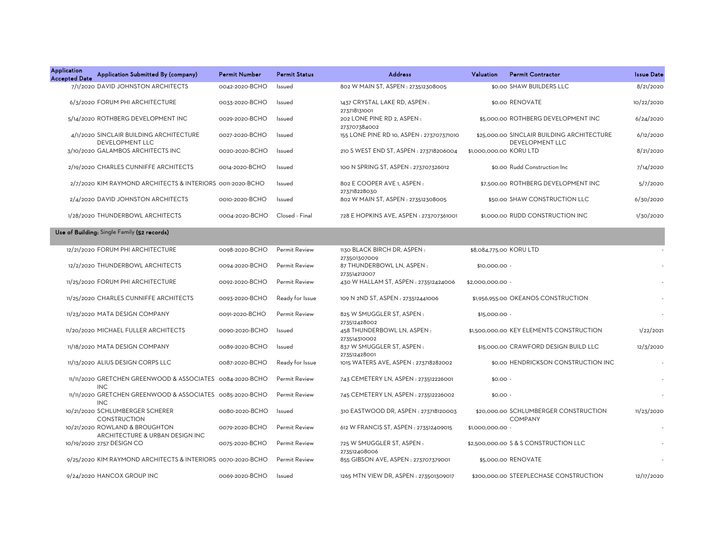| <b>Application</b><br><b>Accepted Date</b> | Application Submitted By (company)                                      | <b>Permit Number</b> | <b>Permit Status</b> | <b>Address</b>                                            | Valuation               | <b>Permit Contractor</b>                                      | <b>Issue Date</b> |
|--------------------------------------------|-------------------------------------------------------------------------|----------------------|----------------------|-----------------------------------------------------------|-------------------------|---------------------------------------------------------------|-------------------|
|                                            | 7/1/2020 DAVID JOHNSTON ARCHITECTS                                      | 0042-2020-BCHO       | Issued               | 802 W MAIN ST, ASPEN : 273512308005                       |                         | \$0.00 SHAW BUILDERS LLC                                      | 8/21/2020         |
|                                            | 6/3/2020 FORUM PHI ARCHITECTURE                                         | 0033-2020-BCHO       | Issued               | 1437 CRYSTAL LAKE RD, ASPEN:                              |                         | \$0.00 RENOVATE                                               | 10/22/2020        |
|                                            | 5/14/2020 ROTHBERG DEVELOPMENT INC                                      | 0029-2020-BCHO       | Issued               | 273718131001<br>202 LONE PINE RD 2, ASPEN :               |                         | \$5,000.00 ROTHBERG DEVELOPMENT INC                           | 6/24/2020         |
|                                            | 4/1/2020 SINCLAIR BUILDING ARCHITECTURE<br><b>DEVELOPMENT LLC</b>       | 0027-2020-BCHO       | Issued               | 273707384002<br>155 LONE PINE RD 10, ASPEN : 273707371010 |                         | \$25,000.00 SINCLAIR BUILDING ARCHITECTURE<br>DEVELOPMENT LLC | 6/12/2020         |
|                                            | 3/10/2020 GALAMBOS ARCHITECTS INC                                       | 0020-2020-BCHO       | Issued               | 210 S WEST END ST, ASPEN : 273718206004                   | \$1,000,000.00 KORU LTD |                                                               | 8/21/2020         |
|                                            | 2/19/2020 CHARLES CUNNIFFE ARCHITECTS                                   | 0014-2020-BCHO       | Issued               | 100 N SPRING ST, ASPEN : 273707326012                     |                         | \$0.00 Rudd Construction Inc                                  | 7/14/2020         |
|                                            | 2/7/2020 KIM RAYMOND ARCHITECTS & INTERIORS 0011-2020-BCHO              |                      | Issued               | 802 E COOPER AVE 1, ASPEN :<br>273718228030               |                         | \$7,500.00 ROTHBERG DEVELOPMENT INC                           | 5/7/2020          |
|                                            | 2/4/2020 DAVID JOHNSTON ARCHITECTS                                      | 0010-2020-BCHO       | Issued               | 802 W MAIN ST, ASPEN : 273512308005                       |                         | \$50.00 SHAW CONSTRUCTION LLC                                 | 6/30/2020         |
|                                            | 1/28/2020 THUNDERBOWL ARCHITECTS                                        | 0004-2020-BCHO       | Closed - Final       | 728 E HOPKINS AVE, ASPEN : 273707361001                   |                         | \$1,000.00 RUDD CONSTRUCTION INC                              | 1/30/2020         |
|                                            | Use of Building: Single Family (52 records)                             |                      |                      |                                                           |                         |                                                               |                   |
|                                            | 12/21/2020 FORUM PHI ARCHITECTURE                                       | 0098-2020-BCHO       | <b>Permit Review</b> | 1130 BLACK BIRCH DR, ASPEN:                               | \$8,084,775.00 KORU LTD |                                                               |                   |
|                                            | 12/2/2020 THUNDERBOWL ARCHITECTS                                        | 0094-2020-BCHO       | Permit Review        | 273501307009<br>87 THUNDERBOWL LN, ASPEN:<br>273514212007 | \$10,000.00 -           |                                                               |                   |
|                                            | 11/25/2020 FORUM PHI ARCHITECTURE                                       | 0092-2020-BCHO       | Permit Review        | 430 W HALLAM ST, ASPEN : 273512424006                     | \$2,000,000.00 -        |                                                               |                   |
|                                            | 11/25/2020 CHARLES CUNNIFFE ARCHITECTS                                  | 0093-2020-BCHO       | Ready for Issue      | 109 N 2ND ST, ASPEN : 273512441006                        |                         | \$1,956,955.00 OKEANOS CONSTRUCTION                           |                   |
|                                            | 11/23/2020 MATA DESIGN COMPANY                                          | 0091-2020-BCHO       | Permit Review        | 825 W SMUGGLER ST, ASPEN:<br>273512428002                 | \$15,000.00 -           |                                                               |                   |
|                                            | 11/20/2020 MICHAEL FULLER ARCHITECTS                                    | 0090-2020-BCHO       | Issued               | 458 THUNDERBOWL LN, ASPEN:<br>273514310002                |                         | \$1,500,000.00 KEY ELEMENTS CONSTRUCTION                      | 1/22/2021         |
|                                            | 11/18/2020 MATA DESIGN COMPANY                                          | 0089-2020-BCHO       | Issued               | 837 W SMUGGLER ST, ASPEN:<br>273512428001                 |                         | \$15,000.00 CRAWFORD DESIGN BUILD LLC                         | 12/3/2020         |
|                                            | 11/13/2020 ALIUS DESIGN CORPS LLC                                       | 0087-2020-BCHO       | Ready for Issue      | 1015 WATERS AVE, ASPEN : 273718282002                     |                         | \$0.00 HENDRICKSON CONSTRUCTION INC                           |                   |
|                                            | 11/11/2020 GRETCHEN GREENWOOD & ASSOCIATES 0084-2020-BCHO<br><b>INC</b> |                      | Permit Review        | 743 CEMETERY LN, ASPEN : 273512226001                     | $$0.00 -$               |                                                               |                   |
|                                            | 11/11/2020 GRETCHEN GREENWOOD & ASSOCIATES 0085-2020-BCHO<br><b>INC</b> |                      | <b>Permit Review</b> | 745 CEMETERY LN, ASPEN : 273512226002                     | $$0.00 -$               |                                                               |                   |
|                                            | 10/21/2020 SCHLUMBERGER SCHERER<br><b>CONSTRUCTION</b>                  | 0080-2020-BCHO       | Issued               | 310 EASTWOOD DR, ASPEN: 273718120003                      |                         | \$20,000.00 SCHLUMBERGER CONSTRUCTION<br><b>COMPANY</b>       | 11/23/2020        |
|                                            | 10/21/2020 ROWLAND & BROUGHTON<br>ARCHITECTURE & URBAN DESIGN INC       | 0079-2020-BCHO       | Permit Review        | 612 W FRANCIS ST, ASPEN : 273512409015                    | \$1,000,000.00 -        |                                                               |                   |
|                                            | 10/19/2020 2757 DESIGN CO                                               | 0075-2020-BCHO       | <b>Permit Review</b> | 725 W SMUGGLER ST, ASPEN:<br>273512408006                 |                         | \$2,500,000.00 S & S CONSTRUCTION LLC                         |                   |
|                                            | 9/25/2020 KIM RAYMOND ARCHITECTS & INTERIORS 0070-2020-BCHO             |                      | Permit Review        | 855 GIBSON AVE, ASPEN : 273707379001                      |                         | \$5,000.00 RENOVATE                                           |                   |
|                                            | 9/24/2020 HANCOX GROUP INC                                              | 0069-2020-BCHO       | Issued               | 1265 MTN VIEW DR, ASPEN : 273501309017                    |                         | \$200,000,00 STEEPLECHASE CONSTRUCTION                        | 12/17/2020        |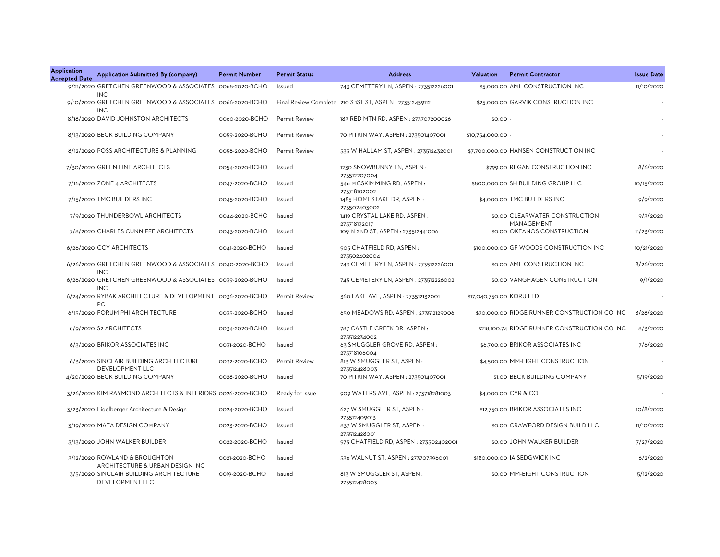| <b>Application</b><br><b>Accepted Date</b> | Application Submitted By (company)                                                   | <b>Permit Number</b> | <b>Permit Status</b> | <b>Address</b>                                           | Valuation                | <b>Permit Contractor</b>                      | <b>Issue Date</b> |
|--------------------------------------------|--------------------------------------------------------------------------------------|----------------------|----------------------|----------------------------------------------------------|--------------------------|-----------------------------------------------|-------------------|
|                                            | 9/21/2020 GRETCHEN GREENWOOD & ASSOCIATES 0068-2020-BCHO                             |                      | Issued               | 743 CEMETERY LN, ASPEN: 273512226001                     |                          | \$5,000.00 AML CONSTRUCTION INC               | 11/10/2020        |
|                                            | <b>INC</b><br>9/10/2020 GRETCHEN GREENWOOD & ASSOCIATES 0066-2020-BCHO<br><b>INC</b> |                      |                      | Final Review Complete 210 S 1ST ST, ASPEN : 273512459112 |                          | \$25,000.00 GARVIK CONSTRUCTION INC           |                   |
|                                            | 8/18/2020 DAVID JOHNSTON ARCHITECTS                                                  | 0060-2020-BCHO       | Permit Review        | 183 RED MTN RD, ASPEN: 273707200026                      | $$0.00 -$                |                                               |                   |
|                                            | 8/13/2020 BECK BUILDING COMPANY                                                      | 0059-2020-BCHO       | Permit Review        | 70 PITKIN WAY, ASPEN : 273501407001                      | \$10,754,000.00 -        |                                               |                   |
|                                            | 8/12/2020 POSS ARCHITECTURE & PLANNING                                               | 0058-2020-BCHO       | <b>Permit Review</b> | 533 W HALLAM ST, ASPEN : 273512432001                    |                          | \$7,700,000.00 HANSEN CONSTRUCTION INC        |                   |
|                                            | 7/30/2020 GREEN LINE ARCHITECTS                                                      | 0054-2020-BCHO       | Issued               | 1230 SNOWBUNNY LN, ASPEN:<br>273512207004                |                          | \$799.00 REGAN CONSTRUCTION INC               | 8/6/2020          |
|                                            | 7/16/2020 ZONE 4 ARCHITECTS                                                          | 0047-2020-BCHO       | Issued               | 546 MCSKIMMING RD, ASPEN:<br>273718102002                |                          | \$800,000,00 SH BUILDING GROUP LLC            | 10/15/2020        |
|                                            | 7/15/2020 TMC BUILDERS INC                                                           | 0045-2020-BCHO       | Issued               | 1485 HOMESTAKE DR, ASPEN:<br>273502403002                |                          | \$4,000.00 TMC BUILDERS INC                   | 9/9/2020          |
|                                            | 7/9/2020 THUNDERBOWL ARCHITECTS                                                      | 0044-2020-BCHO       | Issued               | 1419 CRYSTAL LAKE RD, ASPEN:<br>273718132017             |                          | \$0.00 CLEARWATER CONSTRUCTION<br>MANAGEMENT  | 9/3/2020          |
|                                            | 7/8/2020 CHARLES CUNNIFFE ARCHITECTS                                                 | 0043-2020-BCHO       | Issued               | 109 N 2ND ST, ASPEN : 273512441006                       |                          | \$0.00 OKEANOS CONSTRUCTION                   | 11/23/2020        |
|                                            | 6/26/2020 CCY ARCHITECTS                                                             | 0041-2020-BCHO       | Issued               | 905 CHATFIELD RD, ASPEN:<br>273502402004                 |                          | \$100,000,00 GF WOODS CONSTRUCTION INC        | 10/21/2020        |
|                                            | 6/26/2020 GRETCHEN GREENWOOD & ASSOCIATES 0040-2020-BCHO<br><b>INC</b>               |                      | Issued               | 743 CEMETERY LN, ASPEN : 273512226001                    |                          | \$0.00 AML CONSTRUCTION INC                   | 8/26/2020         |
|                                            | 6/26/2020 GRETCHEN GREENWOOD & ASSOCIATES 0039-2020-BCHO<br><b>INC</b>               |                      | Issued               | 745 CEMETERY LN, ASPEN : 273512226002                    |                          | \$0.00 VANGHAGEN CONSTRUCTION                 | 9/1/2020          |
|                                            | 6/24/2020 RYBAK ARCHITECTURE & DEVELOPMENT 0036-2020-BCHO<br>PC.                     |                      | Permit Review        | 360 LAKE AVE, ASPEN : 273512132001                       | \$17,040,750.00 KORU LTD |                                               |                   |
|                                            | 6/15/2020 FORUM PHI ARCHITECTURE                                                     | 0035-2020-BCHO       | Issued               | 650 MEADOWS RD, ASPEN : 273512129006                     |                          | \$30,000.00 RIDGE RUNNER CONSTRUCTION CO INC  | 8/28/2020         |
|                                            | 6/9/2020 S2 ARCHITECTS                                                               | 0034-2020-BCHO       | Issued               | 787 CASTLE CREEK DR, ASPEN:<br>273512234002              |                          | \$218,100.74 RIDGE RUNNER CONSTRUCTION CO INC | 8/3/2020          |
|                                            | 6/3/2020 BRIKOR ASSOCIATES INC                                                       | 0031-2020-BCHO       | Issued               | 63 SMUGGLER GROVE RD, ASPEN:<br>273718106004             |                          | \$6,700.00 BRIKOR ASSOCIATES INC              | 7/6/2020          |
|                                            | 6/3/2020 SINCLAIR BUILDING ARCHITECTURE<br>DEVELOPMENT LLC                           | 0032-2020-BCHO       | Permit Review        | 813 W SMUGGLER ST, ASPEN:<br>273512428003                |                          | \$4,500.00 MM-EIGHT CONSTRUCTION              |                   |
|                                            | 4/20/2020 BECK BUILDING COMPANY                                                      | 0028-2020-BCHO       | Issued               | 70 PITKIN WAY, ASPEN : 273501407001                      |                          | \$1.00 BECK BUILDING COMPANY                  | 5/19/2020         |
|                                            | 3/26/2020 KIM RAYMOND ARCHITECTS & INTERIORS 0026-2020-BCHO                          |                      | Ready for Issue      | 909 WATERS AVE, ASPEN : 273718281003                     |                          | \$4,000.00 CYR & CO                           |                   |
|                                            | 3/23/2020 Eigelberger Architecture & Design                                          | 0024-2020-BCHO       | Issued               | 627 W SMUGGLER ST, ASPEN:<br>273512409013                |                          | \$12,750.00 BRIKOR ASSOCIATES INC             | 10/8/2020         |
|                                            | 3/19/2020 MATA DESIGN COMPANY                                                        | 0023-2020-BCHO       | Issued               | 837 W SMUGGLER ST, ASPEN:                                |                          | \$0.00 CRAWFORD DESIGN BUILD LLC              | 11/10/2020        |
|                                            | 3/13/2020 JOHN WALKER BUILDER                                                        | 0022-2020-BCHO       | Issued               | 273512428001<br>975 CHATFIELD RD, ASPEN : 273502402001   |                          | \$0.00 JOHN WALKER BUILDER                    | 7/27/2020         |
|                                            | 3/12/2020 ROWLAND & BROUGHTON<br>ARCHITECTURE & URBAN DESIGN INC                     | 0021-2020-BCHO       | Issued               | 536 WALNUT ST, ASPEN : 273707396001                      |                          | \$180,000.00 IA SEDGWICK INC                  | 6/2/2020          |
|                                            | 3/5/2020 SINCLAIR BUILDING ARCHITECTURE<br>DEVELOPMENT LLC                           | 0019-2020-BCHO       | Issued               | 813 W SMUGGLER ST, ASPEN:<br>273512428003                |                          | \$0.00 MM-EIGHT CONSTRUCTION                  | 5/12/2020         |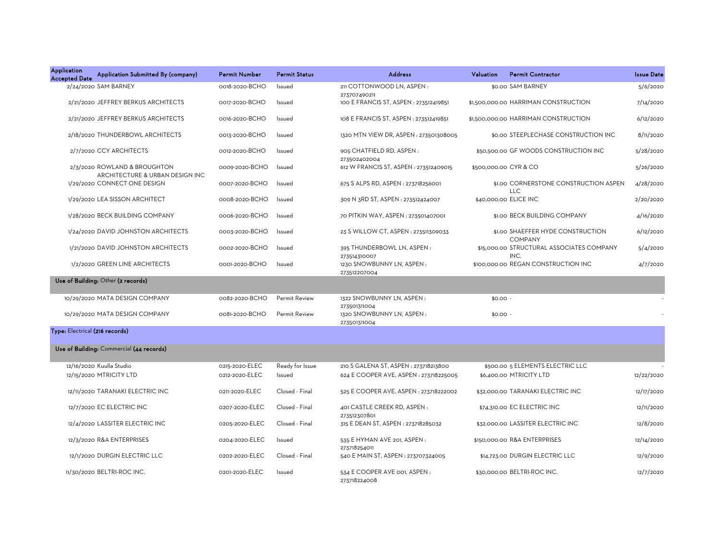| <b>Application</b><br><b>Accepted Date</b> | Application Submitted By (company)                              | <b>Permit Number</b> | <b>Permit Status</b> | <b>Address</b>                                            | Valuation | <b>Permit Contractor</b>                            | <b>Issue Date</b> |
|--------------------------------------------|-----------------------------------------------------------------|----------------------|----------------------|-----------------------------------------------------------|-----------|-----------------------------------------------------|-------------------|
|                                            | 2/24/2020 SAM BARNEY                                            | 0018-2020-BCHO       | Issued               | 211 COTTONWOOD LN, ASPEN:                                 |           | \$0.00 SAM BARNEY                                   | 5/6/2020          |
|                                            | 2/21/2020 JEFFREY BERKUS ARCHITECTS                             | 0017-2020-BCHO       | Issued               | 273707490211<br>100 E FRANCIS ST, ASPEN : 273512419851    |           | \$1,500,000.00 HARRIMAN CONSTRUCTION                | 7/14/2020         |
|                                            | 2/21/2020 JEFFREY BERKUS ARCHITECTS                             | 0016-2020-BCHO       | Issued               | 108 E FRANCIS ST, ASPEN : 273512419851                    |           | \$1,500,000.00 HARRIMAN CONSTRUCTION                | 6/12/2020         |
|                                            | 2/18/2020 THUNDERBOWL ARCHITECTS                                | 0013-2020-BCHO       | Issued               | 1320 MTN VIEW DR, ASPEN : 273501308005                    |           | \$0.00 STEEPLECHASE CONSTRUCTION INC                | 8/11/2020         |
|                                            | 2/7/2020 CCY ARCHITECTS                                         | 0012-2020-BCHO       | Issued               | 905 CHATFIELD RD, ASPEN:<br>273502402004                  |           | \$50,500.00 GF WOODS CONSTRUCTION INC               | 5/28/2020         |
|                                            | 2/3/2020 ROWLAND & BROUGHTON<br>ARCHITECTURE & URBAN DESIGN INC | 0009-2020-BCHO       | Issued               | 612 W FRANCIS ST, ASPEN : 273512409015                    |           | \$500,000.00 CYR & CO                               | 5/26/2020         |
|                                            | 1/29/2020 CONNECT ONE DESIGN                                    | 0007-2020-BCHO       | Issued               | 675 S ALPS RD, ASPEN : 273718256001                       |           | \$1.00 CORNERSTONE CONSTRUCTION ASPEN<br><b>LLC</b> | 4/28/2020         |
|                                            | 1/29/2020 LEA SISSON ARCHITECT                                  | 0008-2020-BCHO       | Issued               | 309 N 3RD ST, ASPEN : 273512424007                        |           | \$40,000.00 ELICE INC                               | 2/20/2020         |
|                                            | 1/28/2020 BECK BUILDING COMPANY                                 | 0006-2020-BCHO       | Issued               | 70 PITKIN WAY, ASPEN: 273501407001                        |           | \$1.00 BECK BUILDING COMPANY                        | 4/16/2020         |
|                                            | 1/24/2020 DAVID JOHNSTON ARCHITECTS                             | 0003-2020-BCHO       | Issued               | 23 S WILLOW CT, ASPEN : 273511309033                      |           | \$1.00 SHAEFFER HYDE CONSTRUCTION<br><b>COMPANY</b> | 6/12/2020         |
|                                            | 1/21/2020 DAVID JOHNSTON ARCHITECTS                             | 0002-2020-BCHO       | Issued               | 395 THUNDERBOWL LN, ASPEN:<br>273514310007                |           | \$15,000.00 STRUCTURAL ASSOCIATES COMPANY<br>INC.   | 5/4/2020          |
|                                            | 1/2/2020 GREEN LINE ARCHITECTS                                  | 0001-2020-BCHO       | Issued               | 1230 SNOWBUNNY LN, ASPEN:<br>273512207004                 |           | \$100,000.00 REGAN CONSTRUCTION INC                 | 4/7/2020          |
|                                            | Use of Building: Other (2 records)                              |                      |                      |                                                           |           |                                                     |                   |
|                                            | 10/29/2020 MATA DESIGN COMPANY                                  | 0082-2020-BCHO       | Permit Review        | 1322 SNOWBUNNY LN, ASPEN:                                 | $$0.00 -$ |                                                     |                   |
|                                            | 10/29/2020 MATA DESIGN COMPANY                                  | 0081-2020-BCHO       | Permit Review        | 273501311004<br>1320 SNOWBUNNY LN, ASPEN:<br>273501311004 | $$0.00 -$ |                                                     |                   |
| Type: Electrical (216 records)             |                                                                 |                      |                      |                                                           |           |                                                     |                   |
|                                            | Use of Building: Commercial (44 records)                        |                      |                      |                                                           |           |                                                     |                   |
|                                            | 12/16/2020 Kuulla Studio                                        | 0215-2020-ELEC       | Ready for Issue      | 210 S GALENA ST, ASPEN : 273718213800                     |           | \$500.00 5 ELEMENTS ELECTRIC LLC                    |                   |
|                                            | 12/15/2020 MTRICITY LTD                                         | 0212-2020-ELEC       | Issued               | 624 E COOPER AVE, ASPEN : 273718225005                    |           | \$6,400.00 MTRICITY LTD                             | 12/22/2020        |
|                                            | 12/11/2020 TARANAKI ELECTRIC INC                                | 0211-2020-ELEC       | Closed - Final       | 525 E COOPER AVE, ASPEN : 273718222002                    |           | \$32,000.00 TARANAKI ELECTRIC INC                   | 12/17/2020        |
|                                            | 12/7/2020 EC ELECTRIC INC                                       | 0207-2020-ELEC       | Closed - Final       | 401 CASTLE CREEK RD, ASPEN:                               |           | \$74,310.00 EC ELECTRIC INC                         | 12/11/2020        |
|                                            | 12/4/2020 LASSITER ELECTRIC INC                                 | 0205-2020-ELEC       | Closed - Final       | 273512307801<br>315 E DEAN ST, ASPEN : 273718285032       |           | \$32,000.00 LASSITER ELECTRIC INC                   | 12/8/2020         |
|                                            | 12/3/2020 R&A ENTERPRISES                                       | 0204-2020-ELEC       | Issued               | 535 E HYMAN AVE 201, ASPEN :                              |           | \$150,000.00 R&A ENTERPRISES                        | 12/14/2020        |
|                                            | 12/1/2020 DURGIN ELECTRIC LLC                                   | 0202-2020-ELEC       | Closed - Final       | 273718254011<br>540 E MAIN ST, ASPEN : 273707324005       |           | \$14,723.00 DURGIN ELECTRIC LLC                     | 12/9/2020         |
|                                            | 11/30/2020 BELTRI-ROC INC.                                      | 0201-2020-ELEC       | Issued               | 534 E COOPER AVE 001, ASPEN :<br>273718224008             |           | \$30,000.00 BELTRI-ROC INC.                         | 12/7/2020         |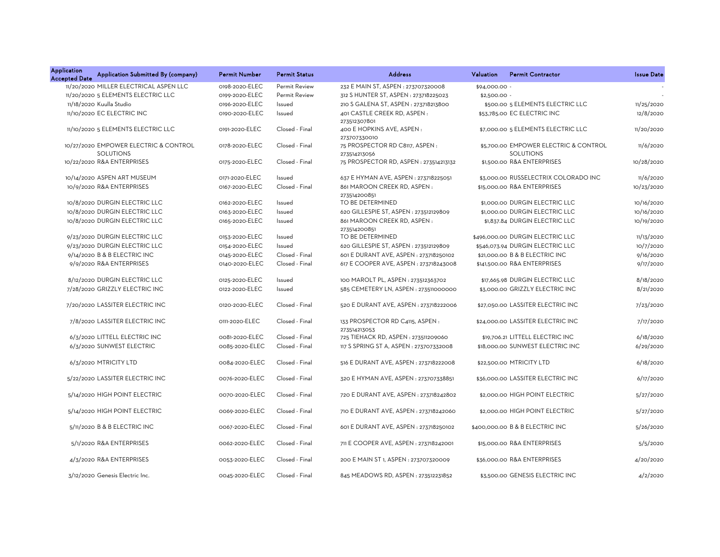| <b>Application</b><br><b>Accepted Date</b> | Application Submitted By (company)                        | <b>Permit Number</b> | <b>Permit Status</b> | <b>Address</b>                                  | Valuation     | <b>Permit Contractor</b>                                  | <b>Issue Date</b> |
|--------------------------------------------|-----------------------------------------------------------|----------------------|----------------------|-------------------------------------------------|---------------|-----------------------------------------------------------|-------------------|
|                                            | 11/20/2020 MILLER ELECTRICAL ASPEN LLC                    | 0198-2020-ELEC       | Permit Review        | 232 E MAIN ST, ASPEN : 273707320008             | \$94,000.00 - |                                                           |                   |
|                                            | 11/20/2020 5 ELEMENTS ELECTRIC LLC                        | 0199-2020-ELEC       | Permit Review        | 312 S HUNTER ST, ASPEN : 273718225023           | \$2,500.00 -  |                                                           |                   |
|                                            | 11/18/2020 Kuulla Studio                                  | 0196-2020-ELEC       | Issued               | 210 S GALENA ST, ASPEN : 273718213800           |               | \$500.00 5 ELEMENTS ELECTRIC LLC                          | 11/25/2020        |
|                                            | 11/10/2020 EC ELECTRIC INC                                | 0190-2020-ELEC       | Issued               | 401 CASTLE CREEK RD, ASPEN:<br>273512307801     |               | \$53,785.00 EC ELECTRIC INC                               | 12/8/2020         |
|                                            | 11/10/2020 5 ELEMENTS ELECTRIC LLC                        | 0191-2020-ELEC       | Closed - Final       | 400 E HOPKINS AVE, ASPEN:<br>273707330010       |               | \$7,000.00 5 ELEMENTS ELECTRIC LLC                        | 11/20/2020        |
|                                            | 10/27/2020 EMPOWER ELECTRIC & CONTROL<br><b>SOLUTIONS</b> | 0178-2020-ELEC       | Closed - Final       | 75 PROSPECTOR RD C8117, ASPEN:<br>273514213056  |               | \$5,700.00 EMPOWER ELECTRIC & CONTROL<br><b>SOLUTIONS</b> | 11/6/2020         |
|                                            | 10/22/2020 R&A ENTERPRISES                                | 0175-2020-ELEC       | Closed - Final       | 75 PROSPECTOR RD, ASPEN: 273514213132           |               | \$1,500.00 R&A ENTERPRISES                                | 10/28/2020        |
|                                            | 10/14/2020 ASPEN ART MUSEUM                               | 0171-2020-ELEC       | Issued               | 637 E HYMAN AVE, ASPEN : 273718225051           |               | \$3,000.00 RUSSELECTRIX COLORADO INC                      | 11/6/2020         |
|                                            | 10/9/2020 R&A ENTERPRISES                                 | 0167-2020-ELEC       | Closed - Final       | 861 MAROON CREEK RD, ASPEN:<br>273514200851     |               | \$15,000.00 R&A ENTERPRISES                               | 10/23/2020        |
|                                            | 10/8/2020 DURGIN ELECTRIC LLC                             | 0162-2020-ELEC       | Issued               | TO BE DETERMINED                                |               | \$1,000.00 DURGIN ELECTRIC LLC                            | 10/16/2020        |
|                                            | 10/8/2020 DURGIN ELECTRIC LLC                             | 0163-2020-ELEC       | Issued               | 620 GILLESPIE ST, ASPEN : 273512129809          |               | \$1,000.00 DURGIN ELECTRIC LLC                            | 10/16/2020        |
|                                            | 10/8/2020 DURGIN ELECTRIC LLC                             | 0165-2020-ELEC       | Issued               | 861 MAROON CREEK RD, ASPEN:<br>273514200851     |               | \$1,837.84 DURGIN ELECTRIC LLC                            | 10/19/2020        |
|                                            | 9/23/2020 DURGIN ELECTRIC LLC                             | 0153-2020-ELEC       | Issued               | TO BE DETERMINED                                |               | \$496,000.00 DURGIN ELECTRIC LLC                          | 11/13/2020        |
|                                            | 9/23/2020 DURGIN ELECTRIC LLC                             | 0154-2020-ELEC       | Issued               | 620 GILLESPIE ST, ASPEN : 273512129809          |               | \$546,073.94 DURGIN ELECTRIC LLC                          | 10/7/2020         |
|                                            | 9/14/2020 B & B ELECTRIC INC                              | 0145-2020-ELEC       | Closed - Final       | 601 E DURANT AVE, ASPEN : 273718250102          |               | \$21,000.00 B & B ELECTRIC INC                            | 9/16/2020         |
|                                            | 9/9/2020 R&A ENTERPRISES                                  | 0140-2020-ELEC       | Closed - Final       | 617 E COOPER AVE, ASPEN : 273718243008          |               | \$141,500.00 R&A ENTERPRISES                              | 9/17/2020         |
|                                            | 8/12/2020 DURGIN ELECTRIC LLC                             | 0125-2020-ELEC       | Issued               | 100 MAROLT PL, ASPEN: 273512363702              |               | \$17,665.98 DURGIN ELECTRIC LLC                           | 8/18/2020         |
|                                            | 7/28/2020 GRIZZLY ELECTRIC INC                            | 0122-2020-ELEC       | Issued               | 585 CEMETERY LN, ASPEN: 273511000000            |               | \$3,000.00 GRIZZLY ELECTRIC INC                           | 8/21/2020         |
|                                            | 7/20/2020 LASSITER ELECTRIC INC                           | 0120-2020-ELEC       | Closed - Final       | 520 E DURANT AVE, ASPEN: 273718222006           |               | \$27,050.00 LASSITER ELECTRIC INC                         | 7/23/2020         |
|                                            | 7/8/2020 LASSITER ELECTRIC INC                            | 0111-2020-ELEC       | Closed - Final       | 133 PROSPECTOR RD C4115, ASPEN:<br>273514213053 |               | \$24,000.00 LASSITER ELECTRIC INC                         | 7/17/2020         |
|                                            | 6/3/2020 LITTELL ELECTRIC INC                             | 0081-2020-ELEC       | Closed - Final       | 725 TIEHACK RD, ASPEN : 273511209060            |               | \$19.706.21 LITTELL ELECTRIC INC                          | 6/18/2020         |
|                                            | 6/3/2020 SUNWEST ELECTRIC                                 | 0085-2020-ELEC       | Closed - Final       | 117 S SPRING ST A, ASPEN : 273707332008         |               | \$18,000.00 SUNWEST ELECTRIC INC                          | 6/29/2020         |
|                                            | 6/3/2020 MTRICITY LTD                                     | 0084-2020-ELEC       | Closed - Final       | 516 E DURANT AVE, ASPEN : 273718222008          |               | \$22,500.00 MTRICITY LTD                                  | 6/18/2020         |
|                                            | 5/22/2020 LASSITER ELECTRIC INC                           | 0076-2020-ELEC       | Closed - Final       | 320 E HYMAN AVE, ASPEN : 273707338851           |               | \$36,000.00 LASSITER ELECTRIC INC                         | 6/17/2020         |
|                                            | 5/14/2020 HIGH POINT ELECTRIC                             | 0070-2020-ELEC       | Closed - Final       | 720 E DURANT AVE. ASPEN: 273718242802           |               | \$2,000,00 HIGH POINT ELECTRIC                            | 5/27/2020         |
|                                            | 5/14/2020 HIGH POINT ELECTRIC                             | 0069-2020-ELEC       | Closed - Final       | 710 E DURANT AVE, ASPEN : 273718242060          |               | \$2,000.00 HIGH POINT ELECTRIC                            | 5/27/2020         |
|                                            | 5/11/2020 B & B ELECTRIC INC                              | 0067-2020-ELEC       | Closed - Final       | 601 E DURANT AVE, ASPEN : 273718250102          |               | \$400,000.00 B & B ELECTRIC INC                           | 5/26/2020         |
|                                            | 5/1/2020 R&A ENTERPRISES                                  | 0062-2020-ELEC       | Closed - Final       | 711 E COOPER AVE, ASPEN : 273718242001          |               | \$15,000.00 R&A ENTERPRISES                               | 5/5/2020          |
|                                            | 4/3/2020 R&A ENTERPRISES                                  | 0053-2020-ELEC       | Closed - Final       | 200 E MAIN ST 1, ASPEN : 273707320009           |               | \$36,000.00 R&A ENTERPRISES                               | 4/20/2020         |
|                                            | 3/12/2020 Genesis Electric Inc.                           | 0045-2020-ELEC       | Closed - Final       | 845 MEADOWS RD, ASPEN: 273512231852             |               | \$3,500.00 GENESIS ELECTRIC INC                           | 4/2/2020          |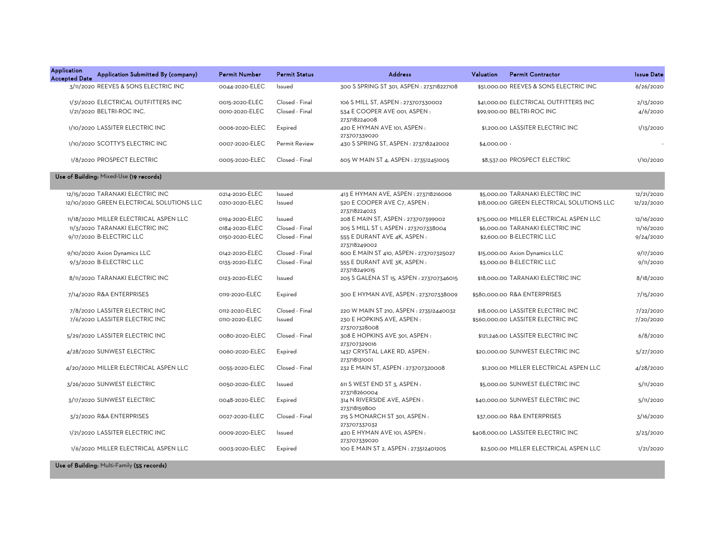| Application<br><b>Accepted Date</b> | Application Submitted By (company)        | <b>Permit Number</b> | <b>Permit Status</b> | <b>Address</b>                                | Valuation    | <b>Permit Contractor</b>                   | <b>Issue Date</b> |
|-------------------------------------|-------------------------------------------|----------------------|----------------------|-----------------------------------------------|--------------|--------------------------------------------|-------------------|
|                                     | 3/11/2020 REEVES & SONS ELECTRIC INC      | 0044-2020-ELEC       | Issued               | 300 S SPRING ST 301, ASPEN : 273718227108     |              | \$51,000,00 REEVES & SONS ELECTRIC INC     | 6/26/2020         |
|                                     | 1/31/2020 ELECTRICAL OUTFITTERS INC       | 0015-2020-ELEC       | Closed - Final       | 106 S MILL ST, ASPEN : 273707330002           |              | \$41,000.00 ELECTRICAL OUTFITTERS INC      | 2/13/2020         |
|                                     | 1/21/2020 BELTRI-ROC INC.                 | 0010-2020-ELEC       | Closed - Final       | 534 E COOPER AVE 001. ASPEN:<br>273718224008  |              | \$99,900.00 BELTRI-ROC INC                 | 4/6/2020          |
|                                     | 1/10/2020 LASSITER ELECTRIC INC           | 0006-2020-ELEC       | Expired              | 420 E HYMAN AVE 101, ASPEN:<br>273707339020   |              | \$1,200.00 LASSITER ELECTRIC INC           | 1/13/2020         |
|                                     | 1/10/2020 SCOTTY'S ELECTRIC INC           | 0007-2020-ELEC       | <b>Permit Review</b> | 430 S SPRING ST, ASPEN : 273718242002         | \$4,000.00 - |                                            |                   |
|                                     | 1/8/2020 PROSPECT ELECTRIC                | 0005-2020-ELEC       | Closed - Final       | 605 W MAIN ST 4, ASPEN : 273512451005         |              | \$8,537.00 PROSPECT ELECTRIC               | 1/10/2020         |
|                                     | Use of Building: Mixed-Use (19 records)   |                      |                      |                                               |              |                                            |                   |
|                                     | 12/15/2020 TARANAKI ELECTRIC INC          | 0214-2020-ELEC       | Issued               | 413 E HYMAN AVE, ASPEN : 273718216006         |              | \$5,000.00 TARANAKI ELECTRIC INC           | 12/21/2020        |
|                                     | 12/10/2020 GREEN ELECTRICAL SOLUTIONS LLC | 0210-2020-ELEC       | Issued               | 520 E COOPER AVE C7, ASPEN:<br>273718224023   |              | \$18,000.00 GREEN ELECTRICAL SOLUTIONS LLC | 12/22/2020        |
|                                     | 11/18/2020 MILLER ELECTRICAL ASPEN LLC    | 0194-2020-ELEC       | Issued               | 208 E MAIN ST, ASPEN : 273707399002           |              | \$75,000.00 MILLER ELECTRICAL ASPEN LLC    | 12/16/2020        |
|                                     | 11/3/2020 TARANAKI ELECTRIC INC           | 0184-2020-ELEC       | Closed - Final       | 205 S MILL ST 1, ASPEN : 273707338004         |              | \$6,000.00 TARANAKI ELECTRIC INC           | 11/16/2020        |
|                                     | 9/17/2020 B-ELECTRIC LLC                  | 0150-2020-ELEC       | Closed - Final       | 555 E DURANT AVE 4K, ASPEN:<br>273718249002   |              | \$2,600.00 B-ELECTRIC LLC                  | 9/24/2020         |
|                                     | 9/10/2020 Axion Dynamics LLC              | 0142-2020-ELEC       | Closed - Final       | 600 E MAIN ST 410, ASPEN : 273707325027       |              | \$15,000.00 Axion Dynamics LLC             | 9/17/2020         |
|                                     | 9/3/2020 B-ELECTRIC LLC                   | 0135-2020-ELEC       | Closed - Final       | 555 E DURANT AVE 3K, ASPEN:<br>273718249015   |              | \$3,000.00 B-ELECTRIC LLC                  | 9/11/2020         |
|                                     | 8/11/2020 TARANAKI ELECTRIC INC           | 0123-2020-ELEC       | Issued               | 205 S GALENA ST 15, ASPEN : 273707346015      |              | \$18,000,00 TARANAKI ELECTRIC INC          | 8/18/2020         |
|                                     | 7/14/2020 R&A ENTERPRISES                 | 0119-2020-ELEC       | Expired              | 300 E HYMAN AVE, ASPEN : 273707338009         |              | \$580,000.00 R&A ENTERPRISES               | 7/15/2020         |
|                                     | 7/8/2020 LASSITER ELECTRIC INC            | 0112-2020-ELEC       | Closed - Final       | 220 W MAIN ST 210, ASPEN: 273512440032        |              | \$18,000,00 LASSITER ELECTRIC INC          | 7/22/2020         |
|                                     | 7/6/2020 LASSITER ELECTRIC INC            | 0110-2020-ELEC       | Issued               | 230 E HOPKINS AVE. ASPEN:<br>273707328008     |              | \$560,000.00 LASSITER ELECTRIC INC         | 7/20/2020         |
|                                     | 5/29/2020 LASSITER ELECTRIC INC           | 0080-2020-ELEC       | Closed - Final       | 308 E HOPKINS AVE 301, ASPEN:<br>273707329016 |              | \$121,246.00 LASSITER ELECTRIC INC         | 6/8/2020          |
|                                     | 4/28/2020 SUNWEST ELECTRIC                | 0060-2020-ELEC       | Expired              | 1437 CRYSTAL LAKE RD, ASPEN:<br>273718131001  |              | \$20,000.00 SUNWEST ELECTRIC INC           | 5/27/2020         |
|                                     | 4/20/2020 MILLER ELECTRICAL ASPEN LLC     | 0055-2020-ELEC       | Closed - Final       | 232 E MAIN ST, ASPEN : 273707320008           |              | \$1,200.00 MILLER ELECTRICAL ASPEN LLC     | 4/28/2020         |
|                                     | 3/26/2020 SUNWEST ELECTRIC                | 0050-2020-ELEC       | Issued               | 611 S WEST END ST 3, ASPEN :<br>273718260004  |              | \$5,000.00 SUNWEST ELECTRIC INC            | 5/11/2020         |
|                                     | 3/17/2020 SUNWEST ELECTRIC                | 0048-2020-ELEC       | Expired              | 314 N RIVERSIDE AVE, ASPEN :<br>273718159800  |              | \$40,000.00 SUNWEST ELECTRIC INC           | 5/11/2020         |
|                                     | 3/2/2020 R&A ENTERPRISES                  | 0027-2020-ELEC       | Closed - Final       | 215 S MONARCH ST 301, ASPEN:<br>273707337032  |              | \$37,000.00 R&A ENTERPRISES                | 3/16/2020         |
|                                     | 1/21/2020 LASSITER ELECTRIC INC           | 0009-2020-ELEC       | Issued               | 420 E HYMAN AVE 101, ASPEN :<br>273707339020  |              | \$408,000.00 LASSITER ELECTRIC INC         | 3/23/2020         |
|                                     | 1/6/2020 MILLER ELECTRICAL ASPEN LLC      | 0003-2020-ELEC       | Expired              | 100 E MAIN ST 2, ASPEN : 273512401205         |              | \$2,500.00 MILLER ELECTRICAL ASPEN LLC     | 1/21/2020         |

Use of Building: Multi-Family (55 records)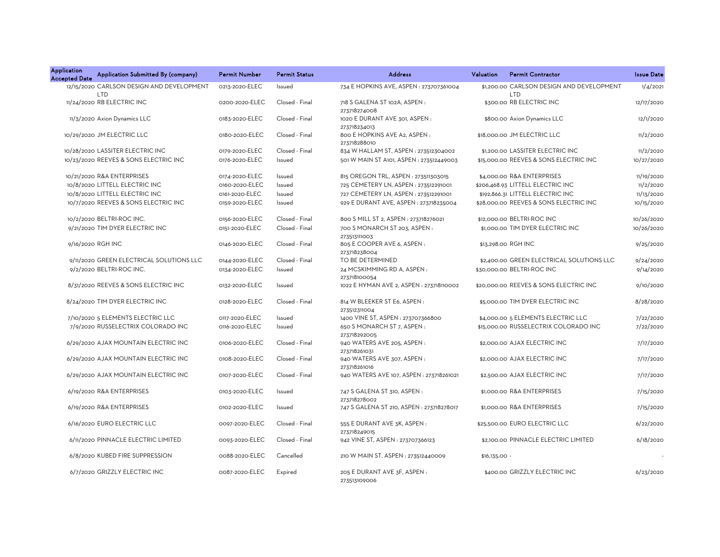| Application<br><b>Accepted Date</b> | Application Submitted By (company)                      | <b>Permit Number</b> | <b>Permit Status</b> | <b>Address</b>                                            | Valuation     | <b>Permit Contractor</b>                                | <b>Issue Date</b> |
|-------------------------------------|---------------------------------------------------------|----------------------|----------------------|-----------------------------------------------------------|---------------|---------------------------------------------------------|-------------------|
|                                     | 12/15/2020 CARLSON DESIGN AND DEVELOPMENT<br><b>LTD</b> | 0213-2020-ELEC       | Issued               | 734 E HOPKINS AVE, ASPEN : 273707361004                   |               | \$1,200.00 CARLSON DESIGN AND DEVELOPMENT<br><b>LTD</b> | 1/4/2021          |
|                                     | 11/24/2020 RB ELECTRIC INC                              | 0200-2020-ELEC       | Closed - Final       | 718 S GALENA ST 102A, ASPEN:<br>273718274008              |               | \$300.00 RB ELECTRIC INC                                | 12/17/2020        |
|                                     | 11/3/2020 Axion Dynamics LLC                            | 0183-2020-ELEC       | Closed - Final       | 1020 E DURANT AVE 301, ASPEN :<br>273718234013            |               | \$800.00 Axion Dynamics LLC                             | 12/1/2020         |
|                                     | 10/29/2020 JM ELECTRIC LLC                              | 0180-2020-ELEC       | Closed - Final       | 800 E HOPKINS AVE A2, ASPEN:<br>273718288010              |               | \$18,000,00 JM ELECTRIC LLC                             | 11/2/2020         |
|                                     | 10/28/2020 LASSITER ELECTRIC INC                        | 0179-2020-ELEC       | Closed - Final       | 834 W HALLAM ST, ASPEN: 273512304002                      |               | \$1,200.00 LASSITER ELECTRIC INC                        | 11/2/2020         |
|                                     | 10/23/2020 REEVES & SONS ELECTRIC INC                   | 0176-2020-ELEC       | Issued               | 501 W MAIN ST A101, ASPEN: 273512449003                   |               | \$15,000.00 REEVES & SONS ELECTRIC INC                  | 10/27/2020        |
|                                     | 10/21/2020 R&A ENTERPRISES                              | 0174-2020-ELEC       | Issued               | 815 OREGON TRL, ASPEN : 273511303015                      |               | \$4,000.00 R&A ENTERPRISES                              | 11/19/2020        |
|                                     | 10/8/2020 LITTELL ELECTRIC INC                          | 0160-2020-ELEC       | Issued               | 725 CEMETERY LN, ASPEN : 273512291001                     |               | \$206,468.93 LITTELL ELECTRIC INC                       | 11/2/2020         |
|                                     | 10/8/2020 LITTELL ELECTRIC INC                          | 0161-2020-ELEC       | Issued               | 727 CEMETERY LN, ASPEN : 273512291001                     |               | \$192,866.31 LITTELL ELECTRIC INC                       | 11/13/2020        |
|                                     | 10/7/2020 REEVES & SONS ELECTRIC INC                    | 0159-2020-ELEC       | Issued               | 929 E DURANT AVE, ASPEN : 273718235004                    |               | \$28,000.00 REEVES & SONS ELECTRIC INC                  | 10/15/2020        |
|                                     | 10/2/2020 BELTRI-ROC INC.                               | 0156-2020-ELEC       | Closed - Final       | 800 S MILL ST 2, ASPEN : 273718276021                     |               | \$12,000.00 BELTRI-ROC INC                              | 10/26/2020        |
|                                     | 9/21/2020 TIM DYER ELECTRIC INC                         | 0151-2020-ELEC       | Closed - Final       | 700 S MONARCH ST 203, ASPEN :<br>273513111003             |               | \$1,000,00 TIM DYER ELECTRIC INC                        | 10/26/2020        |
|                                     | 9/16/2020 RGH INC                                       | 0146-2020-ELEC       | Closed - Final       | 805 E COOPER AVE 6, ASPEN :<br>273718238004               |               | \$13,298.00 RGH INC                                     | 9/25/2020         |
|                                     | 9/11/2020 GREEN ELECTRICAL SOLUTIONS LLC                | 0144-2020-ELEC       | Closed - Final       | TO BE DETERMINED                                          |               | \$2,400.00 GREEN ELECTRICAL SOLUTIONS LLC               | 9/24/2020         |
|                                     | 9/2/2020 BELTRI-ROC INC.                                | 0134-2020-ELEC       | Issued               | 24 MCSKIMMING RD A, ASPEN:<br>273718100054                |               | \$30,000.00 BELTRI-ROC INC                              | 9/14/2020         |
|                                     | 8/31/2020 REEVES & SONS ELECTRIC INC                    | 0132-2020-ELEC       | Issued               | 1022 E HYMAN AVE 2, ASPEN : 273718110002                  |               | \$20,000,00 REEVES & SONS ELECTRIC INC                  | 9/10/2020         |
|                                     | 8/24/2020 TIM DYER ELECTRIC INC                         | 0128-2020-ELEC       | Closed - Final       | 814 W BLEEKER ST E6, ASPEN:<br>273512311004               |               | \$5,000.00 TIM DYER ELECTRIC INC                        | 8/28/2020         |
|                                     | 7/10/2020 5 ELEMENTS ELECTRIC LLC                       | 0117-2020-ELEC       | Issued               | 1400 VINE ST, ASPEN : 273707366800                        |               | \$4,000.00 5 ELEMENTS ELECTRIC LLC                      | 7/22/2020         |
|                                     | 7/9/2020 RUSSELECTRIX COLORADO INC                      | 0116-2020-ELEC       | Issued               | 650 S MONARCH ST 7, ASPEN :                               |               | \$15,000.00 RUSSELECTRIX COLORADO INC                   | 7/22/2020         |
|                                     | 6/29/2020 AJAX MOUNTAIN ELECTRIC INC                    | 0106-2020-ELEC       | Closed - Final       | 273718292005<br>940 WATERS AVE 205, ASPEN:                |               | \$2,000.00 AJAX ELECTRIC INC                            | 7/17/2020         |
|                                     | 6/29/2020 AJAX MOUNTAIN ELECTRIC INC                    | 0108-2020-ELEC       | Closed - Final       | 273718261031<br>940 WATERS AVE 307, ASPEN:                |               | \$2,000.00 AJAX ELECTRIC INC                            | 7/17/2020         |
|                                     | 6/29/2020 AJAX MOUNTAIN ELECTRIC INC                    | 0107-2020-ELEC       | Closed - Final       | 273718261016<br>940 WATERS AVE 107, ASPEN: 273718261021   |               | \$2,500.00 AJAX ELECTRIC INC                            | 7/17/2020         |
|                                     | 6/19/2020 R&A ENTERPRISES                               | 0103-2020-ELEC       | Issued               | 747 S GALENA ST 310, ASPEN :                              |               | \$1,000.00 R&A ENTERPRISES                              | 7/15/2020         |
|                                     | 6/19/2020 R&A ENTERPRISES                               | 0102-2020-ELEC       | Issued               | 273718278002<br>747 S GALENA ST 210, ASPEN : 273718278017 |               | \$1,000.00 R&A ENTERPRISES                              | 7/15/2020         |
|                                     | 6/16/2020 EURO ELECTRIC LLC                             | 0097-2020-ELEC       | Closed - Final       | 555 E DURANT AVE 3K, ASPEN :                              |               | \$25,500.00 EURO ELECTRIC LLC                           | 6/22/2020         |
|                                     | 6/11/2020 PINNACLE ELECTRIC LIMITED                     | 0093-2020-ELEC       | Closed - Final       | 273718249015<br>942 VINE ST, ASPEN : 273707366123         |               | \$2,100.00 PINNACLE ELECTRIC LIMITED                    | 6/18/2020         |
|                                     | 6/8/2020 KUBED FIRE SUPPRESSION                         | 0088-2020-ELEC       | Cancelled            | 210 W MAIN ST, ASPEN : 273512440009                       | \$16,135.00 - |                                                         |                   |
|                                     | 6/7/2020 GRIZZLY ELECTRIC INC                           | 0087-2020-ELEC       | Expired              | 205 E DURANT AVE 3F, ASPEN:<br>273513109006               |               | \$400.00 GRIZZLY ELECTRIC INC                           | 6/23/2020         |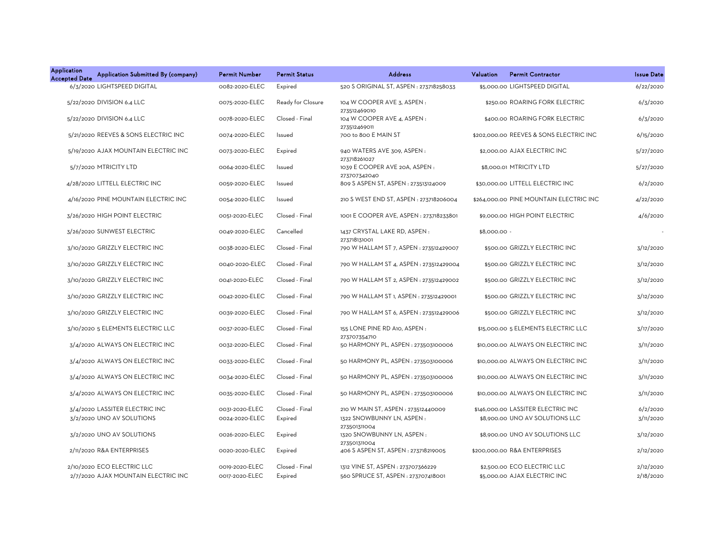| <b>Application</b><br>Application Submitted By (company)<br><b>Accepted Date</b> | <b>Permit Number</b> | <b>Permit Status</b> | <b>Address</b>                                 | <b>Permit Contractor</b><br>Valuation   | <b>Issue Date</b> |
|----------------------------------------------------------------------------------|----------------------|----------------------|------------------------------------------------|-----------------------------------------|-------------------|
| 6/3/2020 LIGHTSPEED DIGITAL                                                      | 0082-2020-ELEC       | Expired              | 520 S ORIGINAL ST, ASPEN: 273718258033         | \$5,000.00 LIGHTSPEED DIGITAL           | 6/22/2020         |
| 5/22/2020 DIVISION 6.4 LLC                                                       | 0075-2020-ELEC       | Ready for Closure    | 104 W COOPER AVE 3, ASPEN:<br>273512469010     | \$250.00 ROARING FORK ELECTRIC          | 6/3/2020          |
| 5/22/2020 DIVISION 6.4 LLC                                                       | 0078-2020-ELEC       | Closed - Final       | 104 W COOPER AVE 4, ASPEN:<br>273512469011     | \$400.00 ROARING FORK ELECTRIC          | 6/3/2020          |
| 5/21/2020 REEVES & SONS ELECTRIC INC                                             | 0074-2020-ELEC       | Issued               | 700 to 800 E MAIN ST                           | \$202,000,00 REEVES & SONS ELECTRIC INC | 6/15/2020         |
| 5/19/2020 AJAX MOUNTAIN ELECTRIC INC                                             | 0073-2020-ELEC       | Expired              | 940 WATERS AVE 309, ASPEN :<br>273718261027    | \$2,000.00 AJAX ELECTRIC INC            | 5/27/2020         |
| 5/7/2020 MTRICITY LTD                                                            | 0064-2020-ELEC       | Issued               | 1039 E COOPER AVE 20A, ASPEN :<br>273707342040 | \$8,000.01 MTRICITY LTD                 | 5/27/2020         |
| 4/28/2020 LITTELL ELECTRIC INC                                                   | 0059-2020-ELEC       | Issued               | 809 S ASPEN ST, ASPEN : 273513124009           | \$30,000.00 LITTELL ELECTRIC INC        | 6/2/2020          |
| 4/16/2020 PINE MOUNTAIN ELECTRIC INC                                             | 0054-2020-ELEC       | Issued               | 210 S WEST END ST, ASPEN : 273718206004        | \$264,000.00 PINE MOUNTAIN ELECTRIC INC | 4/22/2020         |
| 3/26/2020 HIGH POINT ELECTRIC                                                    | 0051-2020-ELEC       | Closed - Final       | 1001 E COOPER AVE, ASPEN : 273718233801        | \$9,000,00 HIGH POINT ELECTRIC          | 4/6/2020          |
| 3/26/2020 SUNWEST ELECTRIC                                                       | 0049-2020-ELEC       | Cancelled            | 1437 CRYSTAL LAKE RD, ASPEN:<br>273718131001   | \$8,000.00 -                            |                   |
| 3/10/2020 GRIZZLY ELECTRIC INC                                                   | 0038-2020-ELEC       | Closed - Final       | 790 W HALLAM ST 7, ASPEN : 273512429007        | \$500.00 GRIZZLY ELECTRIC INC           | 3/12/2020         |
| 3/10/2020 GRIZZLY ELECTRIC INC                                                   | 0040-2020-ELEC       | Closed - Final       | 790 W HALLAM ST 4, ASPEN : 273512429004        | \$500.00 GRIZZLY ELECTRIC INC           | 3/12/2020         |
| 3/10/2020 GRIZZLY ELECTRIC INC                                                   | 0041-2020-ELEC       | Closed - Final       | 790 W HALLAM ST 2, ASPEN : 273512429002        | \$500.00 GRIZZLY ELECTRIC INC           | 3/12/2020         |
| 3/10/2020 GRIZZLY ELECTRIC INC                                                   | 0042-2020-ELEC       | Closed - Final       | 790 W HALLAM ST 1, ASPEN : 273512429001        | \$500.00 GRIZZLY ELECTRIC INC           | 3/12/2020         |
| 3/10/2020 GRIZZLY ELECTRIC INC                                                   | 0039-2020-ELEC       | Closed - Final       | 790 W HALLAM ST 6, ASPEN : 273512429006        | \$500.00 GRIZZLY ELECTRIC INC           | 3/12/2020         |
| 3/10/2020 5 ELEMENTS ELECTRIC LLC                                                | 0037-2020-ELEC       | Closed - Final       | 155 LONE PINE RD A10, ASPEN:<br>273707354710   | \$15,000.00 5 ELEMENTS ELECTRIC LLC     | 3/17/2020         |
| 3/4/2020 ALWAYS ON ELECTRIC INC                                                  | 0032-2020-ELEC       | Closed - Final       | 50 HARMONY PL, ASPEN : 273503100006            | \$10,000,00 ALWAYS ON ELECTRIC INC      | 3/11/2020         |
| 3/4/2020 ALWAYS ON ELECTRIC INC                                                  | 0033-2020-ELEC       | Closed - Final       | 50 HARMONY PL, ASPEN: 273503100006             | \$10,000,00 ALWAYS ON ELECTRIC INC      | 3/11/2020         |
| 3/4/2020 ALWAYS ON ELECTRIC INC                                                  | 0034-2020-ELEC       | Closed - Final       | 50 HARMONY PL, ASPEN : 273503100006            | \$10,000.00 ALWAYS ON ELECTRIC INC      | 3/11/2020         |
| 3/4/2020 ALWAYS ON ELECTRIC INC                                                  | 0035-2020-ELEC       | Closed - Final       | 50 HARMONY PL, ASPEN : 273503100006            | \$10,000.00 ALWAYS ON ELECTRIC INC      | 3/11/2020         |
| 3/4/2020 LASSITER ELECTRIC INC                                                   | 0031-2020-ELEC       | Closed - Final       | 210 W MAIN ST, ASPEN : 273512440009            | \$146,000.00 LASSITER ELECTRIC INC      | 6/2/2020          |
| 3/2/2020 UNO AV SOLUTIONS                                                        | 0024-2020-ELEC       | Expired              | 1322 SNOWBUNNY LN, ASPEN:<br>273501311004      | \$8,900.00 UNO AV SOLUTIONS LLC         | 3/11/2020         |
| 3/2/2020 UNO AV SOLUTIONS                                                        | 0026-2020-ELEC       | Expired              | 1320 SNOWBUNNY LN, ASPEN:<br>273501311004      | \$8,900.00 UNO AV SOLUTIONS LLC         | 3/12/2020         |
| 2/11/2020 R&A ENTERPRISES                                                        | 0020-2020-ELEC       | Expired              | 406 S ASPEN ST, ASPEN : 273718219005           | \$200,000,00 R&A ENTERPRISES            | 2/12/2020         |
| 2/10/2020 ECO ELECTRIC LLC                                                       | 0019-2020-ELEC       | Closed - Final       | 1312 VINE ST, ASPEN : 273707366229             | \$2,500.00 ECO ELECTRIC LLC             | 2/12/2020         |
| 2/7/2020 AJAX MOUNTAIN ELECTRIC INC                                              | 0017-2020-ELEC       | Expired              | 560 SPRUCE ST, ASPEN: 273707418001             | \$5,000,00 AJAX ELECTRIC INC            | 2/18/2020         |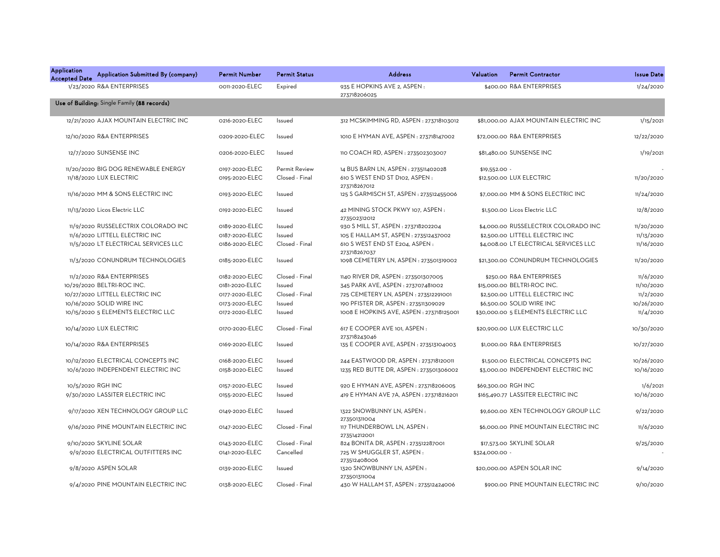| <b>Application</b><br>Application Submitted By (company)<br><b>Accepted Date</b> | <b>Permit Number</b> | <b>Permit Status</b> | <b>Address</b>                                   | Valuation<br><b>Permit Contractor</b>  | <b>Issue Date</b> |
|----------------------------------------------------------------------------------|----------------------|----------------------|--------------------------------------------------|----------------------------------------|-------------------|
| 1/23/2020 R&A ENTERPRISES                                                        | 0011-2020-ELEC       | Expired              | 935 E HOPKINS AVE 2, ASPEN :<br>273718206025     | \$400.00 R&A ENTERPRISES               | 1/24/2020         |
| Use of Building: Single Family (88 records)                                      |                      |                      |                                                  |                                        |                   |
| 12/21/2020 AJAX MOUNTAIN ELECTRIC INC                                            | 0216-2020-ELEC       | Issued               | 312 MCSKIMMING RD, ASPEN : 273718103012          | \$81,000.00 AJAX MOUNTAIN ELECTRIC INC | 1/15/2021         |
| 12/10/2020 R&A ENTERPRISES                                                       | 0209-2020-ELEC       | Issued               | 1010 E HYMAN AVE, ASPEN : 273718147002           | \$72,000.00 R&A ENTERPRISES            | 12/22/2020        |
| 12/7/2020 SUNSENSE INC                                                           | 0206-2020-ELEC       | Issued               | 110 COACH RD, ASPEN : 273502303007               | \$81,480.00 SUNSENSE INC               | 1/19/2021         |
| 11/20/2020 BIG DOG RENEWABLE ENERGY                                              | 0197-2020-ELEC       | Permit Review        | 14 BUS BARN LN, ASPEN : 273511402028             | $$19,552.00 -$                         |                   |
| 11/18/2020 LUX ELECTRIC                                                          | 0195-2020-ELEC       | Closed - Final       | 610 S WEST END ST D102, ASPEN:<br>273718267012   | \$12,500.00 LUX ELECTRIC               | 11/20/2020        |
| 11/16/2020 MM & SONS ELECTRIC INC                                                | 0193-2020-ELEC       | Issued               | 125 S GARMISCH ST, ASPEN : 273512455006          | \$7,000.00 MM & SONS ELECTRIC INC      | 11/24/2020        |
| 11/13/2020 Licos Electric LLC                                                    | 0192-2020-ELEC       | Issued               | 42 MINING STOCK PKWY 107, ASPEN:<br>273502312012 | \$1,500.00 Licos Electric LLC          | 12/8/2020         |
| 11/9/2020 RUSSELECTRIX COLORADO INC                                              | 0189-2020-ELEC       | Issued               | 930 S MILL ST, ASPEN : 273718202204              | \$4,000.00 RUSSELECTRIX COLORADO INC   | 11/20/2020        |
| 11/6/2020 LITTELL ELECTRIC INC                                                   | 0187-2020-ELEC       | Issued               | 105 E HALLAM ST, ASPEN : 273512437002            | \$2,500.00 LITTELL ELECTRIC INC        | 11/13/2020        |
| 11/5/2020 LT ELECTRICAL SERVICES LLC                                             | 0186-2020-ELEC       | Closed - Final       | 610 S WEST END ST E204, ASPEN:<br>273718267037   | \$4,008.00 LT ELECTRICAL SERVICES LLC  | 11/16/2020        |
| 11/3/2020 CONUNDRUM TECHNOLOGIES                                                 | 0185-2020-ELEC       | Issued               | 1098 CEMETERY LN, ASPEN : 273501319002           | \$21,300.00 CONUNDRUM TECHNOLOGIES     | 11/20/2020        |
| 11/2/2020 R&A ENTERPRISES                                                        | 0182-2020-ELEC       | Closed - Final       | 1140 RIVER DR, ASPEN : 273501307005              | \$250.00 R&A ENTERPRISES               | 11/6/2020         |
| 10/29/2020 BELTRI-ROC INC.                                                       | 0181-2020-ELEC       | Issued               | 345 PARK AVE, ASPEN : 273707481002               | \$15,000.00 BELTRI-ROC INC.            | 11/10/2020        |
| 10/27/2020 LITTELL ELECTRIC INC                                                  | 0177-2020-ELEC       | Closed - Final       | 725 CEMETERY LN, ASPEN : 273512291001            | \$2,500.00 LITTELL ELECTRIC INC        | 11/2/2020         |
| 10/16/2020 SOLID WIRE INC                                                        | 0173-2020-ELEC       | Issued               | 190 PFISTER DR, ASPEN : 273511309029             | \$6,500.00 SOLID WIRE INC              | 10/26/2020        |
| 10/15/2020 5 ELEMENTS ELECTRIC LLC                                               | 0172-2020-ELEC       | Issued               | 1008 E HOPKINS AVE, ASPEN : 273718125001         | \$30,000.00 5 ELEMENTS ELECTRIC LLC    | 11/4/2020         |
| 10/14/2020 LUX ELECTRIC                                                          | 0170-2020-ELEC       | Closed - Final       | 617 E COOPER AVE 101, ASPEN:<br>273718243046     | \$20,900.00 LUX ELECTRIC LLC           | 10/30/2020        |
| 10/14/2020 R&A ENTERPRISES                                                       | 0169-2020-ELEC       | Issued               | 135 E COOPER AVE, ASPEN : 273513104003           | \$1,000.00 R&A ENTERPRISES             | 10/27/2020        |
| 10/12/2020 ELECTRICAL CONCEPTS INC                                               | 0168-2020-ELEC       | Issued               | 244 EASTWOOD DR, ASPEN: 273718120011             | \$1,500.00 ELECTRICAL CONCEPTS INC     | 10/26/2020        |
| 10/6/2020 INDEPENDENT ELECTRIC INC                                               | 0158-2020-ELEC       | Issued               | 1235 RED BUTTE DR, ASPEN : 273501306002          | \$3,000.00 INDEPENDENT ELECTRIC INC    | 10/16/2020        |
| 10/5/2020 RGH INC                                                                | 0157-2020-ELEC       | Issued               | 920 E HYMAN AVE, ASPEN : 273718206005            | \$69,300.00 RGH INC                    | 1/6/2021          |
| 9/30/2020 LASSITER ELECTRIC INC                                                  | 0155-2020-ELEC       | Issued               | 419 E HYMAN AVE 7A, ASPEN : 273718216201         | \$165,490.77 LASSITER ELECTRIC INC     | 10/16/2020        |
| 9/17/2020 XEN TECHNOLOGY GROUP LLC                                               | 0149-2020-ELEC       | Issued               | 1322 SNOWBUNNY LN, ASPEN:<br>273501311004        | \$9,600.00 XEN TECHNOLOGY GROUP LLC    | 9/22/2020         |
| 9/16/2020 PINE MOUNTAIN ELECTRIC INC                                             | 0147-2020-ELEC       | Closed - Final       | 117 THUNDERBOWL LN, ASPEN:<br>273514212001       | \$6,000.00 PINE MOUNTAIN ELECTRIC INC  | 11/6/2020         |
| 9/10/2020 SKYLINE SOLAR                                                          | 0143-2020-ELEC       | Closed - Final       | 824 BONITA DR, ASPEN: 273512287001               | \$17,573.00 SKYLINE SOLAR              | 9/25/2020         |
| 9/9/2020 ELECTRICAL OUTFITTERS INC                                               | 0141-2020-ELEC       | Cancelled            | 725 W SMUGGLER ST, ASPEN:<br>273512408006        | \$324,000.00 -                         |                   |
| 9/8/2020 ASPEN SOLAR                                                             | 0139-2020-ELEC       | Issued               | 1320 SNOWBUNNY LN, ASPEN:<br>273501311004        | \$20,000.00 ASPEN SOLAR INC            | 9/14/2020         |
| 9/4/2020 PINE MOUNTAIN ELECTRIC INC                                              | 0138-2020-ELEC       | Closed - Final       | 430 W HALLAM ST, ASPEN : 273512424006            | \$900.00 PINE MOUNTAIN ELECTRIC INC    | 9/10/2020         |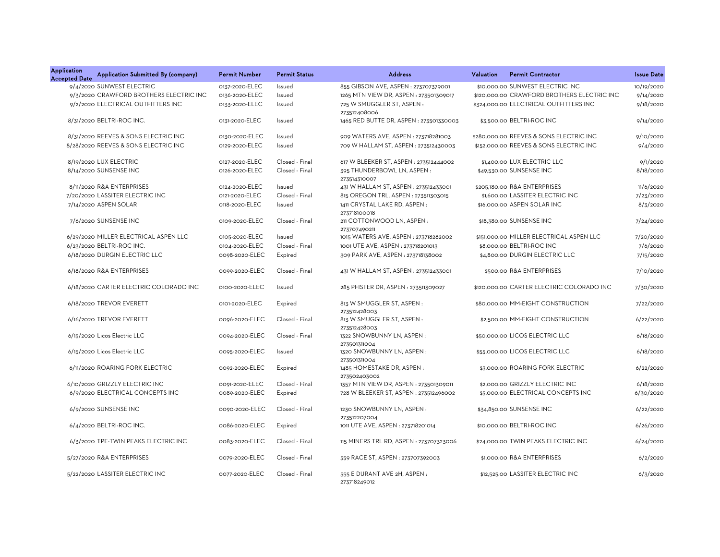| <b>Application</b><br><b>Accepted Date</b> | Application Submitted By (company)      | <b>Permit Number</b> | <b>Permit Status</b> | <b>Address</b>                               | Valuation<br><b>Permit Contractor</b>       | <b>Issue Date</b> |
|--------------------------------------------|-----------------------------------------|----------------------|----------------------|----------------------------------------------|---------------------------------------------|-------------------|
|                                            | 9/4/2020 SUNWEST ELECTRIC               | 0137-2020-ELEC       | Issued               | 855 GIBSON AVE, ASPEN : 273707379001         | \$10,000,00 SUNWEST ELECTRIC INC            | 10/19/2020        |
|                                            | 9/3/2020 CRAWFORD BROTHERS ELECTRIC INC | 0136-2020-ELEC       | Issued               | 1265 MTN VIEW DR, ASPEN : 273501309017       | \$120,000.00 CRAWFORD BROTHERS ELECTRIC INC | 9/14/2020         |
|                                            | 9/2/2020 ELECTRICAL OUTFITTERS INC      | 0133-2020-ELEC       | Issued               | 725 W SMUGGLER ST, ASPEN:<br>273512408006    | \$324,000.00 ELECTRICAL OUTFITTERS INC      | 9/18/2020         |
|                                            | 8/31/2020 BELTRI-ROC INC.               | 0131-2020-ELEC       | Issued               | 1465 RED BUTTE DR, ASPEN : 273501330003      | \$3,500.00 BELTRI-ROC INC                   | 9/14/2020         |
|                                            | 8/31/2020 REEVES & SONS ELECTRIC INC    | 0130-2020-ELEC       | Issued               | 909 WATERS AVE, ASPEN : 273718281003         | \$280,000.00 REEVES & SONS ELECTRIC INC     | 9/10/2020         |
|                                            | 8/28/2020 REEVES & SONS ELECTRIC INC    | 0129-2020-ELEC       | Issued               | 709 W HALLAM ST, ASPEN: 273512430003         | \$152,000.00 REEVES & SONS ELECTRIC INC     | 9/4/2020          |
|                                            | 8/19/2020 LUX ELECTRIC                  | 0127-2020-ELEC       | Closed - Final       | 617 W BLEEKER ST, ASPEN : 273512444002       | \$1,400.00 LUX ELECTRIC LLC                 | 9/1/2020          |
|                                            | 8/14/2020 SUNSENSE INC                  | 0126-2020-ELEC       | Closed - Final       | 395 THUNDERBOWL LN, ASPEN:<br>273514310007   | \$49,530.00 SUNSENSE INC                    | 8/18/2020         |
|                                            | 8/11/2020 R&A ENTERPRISES               | 0124-2020-ELEC       | Issued               | 431 W HALLAM ST, ASPEN : 273512433001        | \$205,180.00 R&A ENTERPRISES                | 11/6/2020         |
|                                            | 7/20/2020 LASSITER ELECTRIC INC         | 0121-2020-ELEC       | Closed - Final       | 815 OREGON TRL, ASPEN : 273511303015         | \$1,600.00 LASSITER ELECTRIC INC            | 7/23/2020         |
|                                            | 7/14/2020 ASPEN SOLAR                   | 0118-2020-ELEC       | Issued               | 1411 CRYSTAL LAKE RD, ASPEN:<br>273718100018 | \$16,000.00 ASPEN SOLAR INC                 | 8/3/2020          |
|                                            | 7/6/2020 SUNSENSE INC                   | 0109-2020-ELEC       | Closed - Final       | 211 COTTONWOOD LN, ASPEN:<br>273707490211    | \$18,380.00 SUNSENSE INC                    | 7/24/2020         |
|                                            | 6/29/2020 MILLER ELECTRICAL ASPEN LLC   | 0105-2020-ELEC       | Issued               | 1015 WATERS AVE, ASPEN : 273718282002        | \$151,000.00 MILLER ELECTRICAL ASPEN LLC    | 7/20/2020         |
|                                            | 6/23/2020 BELTRI-ROC INC.               | 0104-2020-ELEC       | Closed - Final       | 1001 UTE AVE, ASPEN : 273718201013           | \$8,000.00 BELTRI-ROC INC                   | 7/6/2020          |
|                                            | 6/18/2020 DURGIN ELECTRIC LLC           | 0098-2020-ELEC       | Expired              | 309 PARK AVE, ASPEN: 273718138002            | \$4.800.00 DURGIN ELECTRIC LLC              | 7/15/2020         |
|                                            | 6/18/2020 R&A ENTERPRISES               | 0099-2020-ELEC       | Closed - Final       | 431 W HALLAM ST, ASPEN : 273512433001        | \$500.00 R&A ENTERPRISES                    | 7/10/2020         |
|                                            | 6/18/2020 CARTER ELECTRIC COLORADO INC  | 0100-2020-ELEC       | Issued               | 285 PFISTER DR, ASPEN : 273511309027         | \$120,000.00 CARTER ELECTRIC COLORADO INC   | 7/30/2020         |
|                                            | 6/18/2020 TREVOR EVERETT                | 0101-2020-ELEC       | Expired              | 813 W SMUGGLER ST, ASPEN:<br>273512428003    | \$80,000.00 MM-EIGHT CONSTRUCTION           | 7/22/2020         |
|                                            | 6/16/2020 TREVOR EVERETT                | 0096-2020-ELEC       | Closed - Final       | 813 W SMUGGLER ST, ASPEN:<br>273512428003    | \$2,500.00 MM-EIGHT CONSTRUCTION            | 6/22/2020         |
|                                            | 6/15/2020 Licos Electric LLC            | 0094-2020-ELEC       | Closed - Final       | 1322 SNOWBUNNY LN, ASPEN:<br>273501311004    | \$50,000.00 LICOS ELECTRIC LLC              | 6/18/2020         |
|                                            | 6/15/2020 Licos Electric LLC            | 0095-2020-ELEC       | Issued               | 1320 SNOWBUNNY LN, ASPEN:<br>273501311004    | \$55,000.00 LICOS ELECTRIC LLC              | 6/18/2020         |
|                                            | 6/11/2020 ROARING FORK ELECTRIC         | 0092-2020-ELEC       | Expired              | 1485 HOMESTAKE DR, ASPEN:<br>273502403002    | \$3,000.00 ROARING FORK ELECTRIC            | 6/22/2020         |
|                                            | 6/10/2020 GRIZZLY ELECTRIC INC          | 0091-2020-ELEC       | Closed - Final       | 1357 MTN VIEW DR, ASPEN : 273501309011       | \$2,000.00 GRIZZLY ELECTRIC INC             | 6/18/2020         |
|                                            | 6/9/2020 ELECTRICAL CONCEPTS INC        | 0089-2020-ELEC       | Expired              | 728 W BLEEKER ST, ASPEN : 273512496002       | \$5,000.00 ELECTRICAL CONCEPTS INC          | 6/30/2020         |
|                                            | 6/9/2020 SUNSENSE INC                   | 0090-2020-ELEC       | Closed - Final       | 1230 SNOWBUNNY LN, ASPEN:<br>273512207004    | \$34,850.00 SUNSENSE INC                    | 6/22/2020         |
|                                            | 6/4/2020 BELTRI-ROC INC.                | 0086-2020-ELEC       | Expired              | 1011 UTE AVE, ASPEN : 273718201014           | \$10,000.00 BELTRI-ROC INC                  | 6/26/2020         |
|                                            | 6/3/2020 TPE-TWIN PEAKS ELECTRIC INC    | 0083-2020-ELEC       | Closed - Final       | 115 MINERS TRL RD, ASPEN : 273707323006      | \$24,000.00 TWIN PEAKS ELECTRIC INC         | 6/24/2020         |
|                                            | 5/27/2020 R&A ENTERPRISES               | 0079-2020-ELEC       | Closed - Final       | 559 RACE ST, ASPEN : 273707392003            | \$1,000.00 R&A ENTERPRISES                  | 6/2/2020          |
|                                            | 5/22/2020 LASSITER ELECTRIC INC         | 0077-2020-ELEC       | Closed - Final       | 555 E DURANT AVE 2H, ASPEN:<br>273718249012  | \$12,525.00 LASSITER ELECTRIC INC           | 6/3/2020          |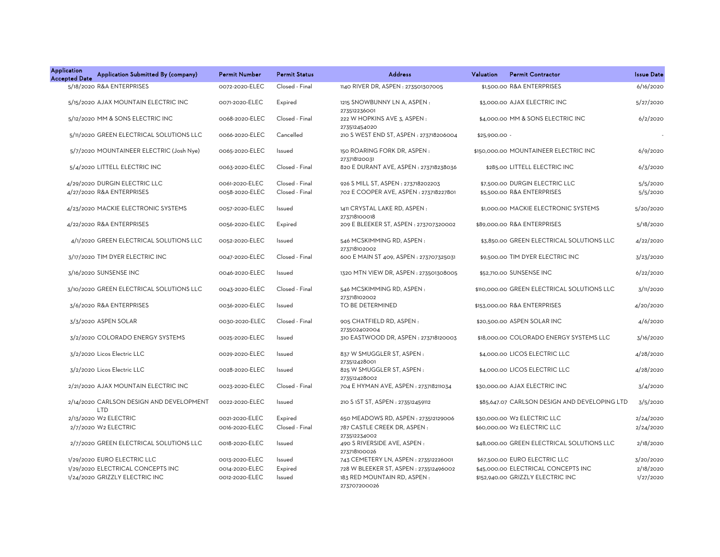| <b>Application</b><br><b>Accepted Date</b> | Application Submitted By (company)              | Permit Number  | <b>Permit Status</b> | <b>Address</b>                                              | Valuation     | <b>Permit Contractor</b>                      | <b>Issue Date</b> |
|--------------------------------------------|-------------------------------------------------|----------------|----------------------|-------------------------------------------------------------|---------------|-----------------------------------------------|-------------------|
|                                            | 5/18/2020 R&A ENTERPRISES                       | 0072-2020-ELEC | Closed - Final       | 1140 RIVER DR, ASPEN : 273501307005                         |               | \$1,500.00 R&A ENTERPRISES                    | 6/16/2020         |
|                                            | 5/15/2020 AJAX MOUNTAIN ELECTRIC INC            | 0071-2020-ELEC | Expired              | 1215 SNOWBUNNY LN A, ASPEN:<br>273512236001                 |               | \$3,000.00 AJAX ELECTRIC INC                  | 5/27/2020         |
|                                            | 5/12/2020 MM & SONS ELECTRIC INC                | 0068-2020-ELEC | Closed - Final       | 222 W HOPKINS AVE 3, ASPEN :<br>273512454020                |               | \$4,000.00 MM & SONS ELECTRIC INC             | 6/2/2020          |
|                                            | 5/11/2020 GREEN ELECTRICAL SOLUTIONS LLC        | 0066-2020-ELEC | Cancelled            | 210 S WEST END ST, ASPEN : 273718206004                     | \$25,900.00 - |                                               |                   |
|                                            | 5/7/2020 MOUNTAINEER ELECTRIC (Josh Nye)        | 0065-2020-ELEC | Issued               | 150 ROARING FORK DR, ASPEN:<br>273718120031                 |               | \$150,000.00 MOUNTAINEER ELECTRIC INC         | 6/9/2020          |
|                                            | 5/4/2020 LITTELL ELECTRIC INC                   | 0063-2020-ELEC | Closed - Final       | 820 E DURANT AVE, ASPEN : 273718238036                      |               | \$285.00 LITTELL ELECTRIC INC                 | 6/3/2020          |
|                                            | 4/29/2020 DURGIN ELECTRIC LLC                   | 0061-2020-ELEC | Closed - Final       | 926 S MILL ST, ASPEN : 273718202203                         |               | \$7,500.00 DURGIN ELECTRIC LLC                | 5/5/2020          |
|                                            | 4/27/2020 R&A ENTERPRISES                       | 0058-2020-ELEC | Closed - Final       | 702 E COOPER AVE, ASPEN : 273718227801                      |               | \$5,500.00 R&A ENTERPRISES                    | 5/5/2020          |
|                                            | 4/23/2020 MACKIE ELECTRONIC SYSTEMS             | 0057-2020-ELEC | Issued               | 1411 CRYSTAL LAKE RD, ASPEN:<br>273718100018                |               | \$1,000.00 MACKIE ELECTRONIC SYSTEMS          | 5/20/2020         |
|                                            | 4/22/2020 R&A ENTERPRISES                       | 0056-2020-ELEC | Expired              | 209 E BLEEKER ST, ASPEN : 273707320002                      |               | \$89,000.00 R&A ENTERPRISES                   | 5/18/2020         |
|                                            | 4/1/2020 GREEN ELECTRICAL SOLUTIONS LLC         | 0052-2020-ELEC | Issued               | 546 MCSKIMMING RD, ASPEN:<br>273718102002                   |               | \$3,850.00 GREEN ELECTRICAL SOLUTIONS LLC     | 4/22/2020         |
|                                            | 3/17/2020 TIM DYER ELECTRIC INC                 | 0047-2020-ELEC | Closed - Final       | 600 E MAIN ST 409, ASPEN : 273707325031                     |               | \$9,500.00 TIM DYER ELECTRIC INC              | 3/23/2020         |
|                                            | 3/16/2020 SUNSENSE INC                          | 0046-2020-ELEC | Issued               | 1320 MTN VIEW DR, ASPEN : 273501308005                      |               | \$52,710.00 SUNSENSE INC                      | 6/22/2020         |
|                                            | 3/10/2020 GREEN ELECTRICAL SOLUTIONS LLC        | 0043-2020-ELEC | Closed - Final       | 546 MCSKIMMING RD, ASPEN:<br>273718102002                   |               | \$110,000.00 GREEN ELECTRICAL SOLUTIONS LLC   | 3/11/2020         |
|                                            | 3/6/2020 R&A ENTERPRISES                        | 0036-2020-ELEC | Issued               | TO BE DETERMINED                                            |               | \$153,000.00 R&A ENTERPRISES                  | 4/20/2020         |
|                                            | 3/3/2020 ASPEN SOLAR                            | 0030-2020-ELEC | Closed - Final       | 905 CHATFIELD RD, ASPEN:<br>273502402004                    |               | \$20,500.00 ASPEN SOLAR INC                   | 4/6/2020          |
|                                            | 3/2/2020 COLORADO ENERGY SYSTEMS                | 0025-2020-ELEC | Issued               | 310 EASTWOOD DR, ASPEN: 273718120003                        |               | \$18,000.00 COLORADO ENERGY SYSTEMS LLC       | 3/16/2020         |
|                                            | 3/2/2020 Licos Electric LLC                     | 0029-2020-ELEC | Issued               | 837 W SMUGGLER ST, ASPEN:<br>273512428001                   |               | \$4,000.00 LICOS ELECTRIC LLC                 | 4/28/2020         |
|                                            | 3/2/2020 Licos Electric LLC                     | 0028-2020-ELEC | Issued               | 825 W SMUGGLER ST, ASPEN:<br>273512428002                   |               | \$4,000.00 LICOS ELECTRIC LLC                 | 4/28/2020         |
|                                            | 2/21/2020 AJAX MOUNTAIN ELECTRIC INC            | 0023-2020-ELEC | Closed - Final       | 704 E HYMAN AVE, ASPEN : 273718211034                       |               | \$30,000.00 AJAX ELECTRIC INC                 | 3/4/2020          |
|                                            | 2/14/2020 CARLSON DESIGN AND DEVELOPMENT<br>LTD | 0022-2020-ELEC | Issued               | 210 S 1ST ST, ASPEN : 273512459112                          |               | \$85,647.07 CARLSON DESIGN AND DEVELOPING LTD | 3/5/2020          |
|                                            | 2/13/2020 W2 ELECTRIC                           | 0021-2020-ELEC | Expired              | 650 MEADOWS RD, ASPEN : 273512129006                        |               | \$30,000.00 W2 ELECTRIC LLC                   | 2/24/2020         |
|                                            | 2/7/2020 W2 ELECTRIC                            | 0016-2020-ELEC | Closed - Final       | 787 CASTLE CREEK DR, ASPEN:                                 |               | \$60,000.00 W2 ELECTRIC LLC                   | 2/24/2020         |
|                                            | 2/7/2020 GREEN ELECTRICAL SOLUTIONS LLC         | 0018-2020-ELEC | Issued               | 273512234002<br>490 S RIVERSIDE AVE, ASPEN:<br>273718100026 |               | \$48,000.00 GREEN ELECTRICAL SOLUTIONS LLC    | 2/18/2020         |
|                                            | 1/29/2020 EURO ELECTRIC LLC                     | 0013-2020-ELEC | Issued               | 743 CEMETERY LN, ASPEN : 273512226001                       |               | \$67,500.00 EURO ELECTRIC LLC                 | 3/20/2020         |
|                                            | 1/29/2020 ELECTRICAL CONCEPTS INC               | 0014-2020-ELEC | Expired              | 728 W BLEEKER ST, ASPEN : 273512496002                      |               | \$45,000.00 ELECTRICAL CONCEPTS INC           | 2/18/2020         |
|                                            | 1/24/2020 GRIZZLY ELECTRIC INC                  | 0012-2020-ELEC | Issued               | 183 RED MOUNTAIN RD, ASPEN:<br>273707200026                 |               | \$152,940.00 GRIZZLY ELECTRIC INC             | 1/27/2020         |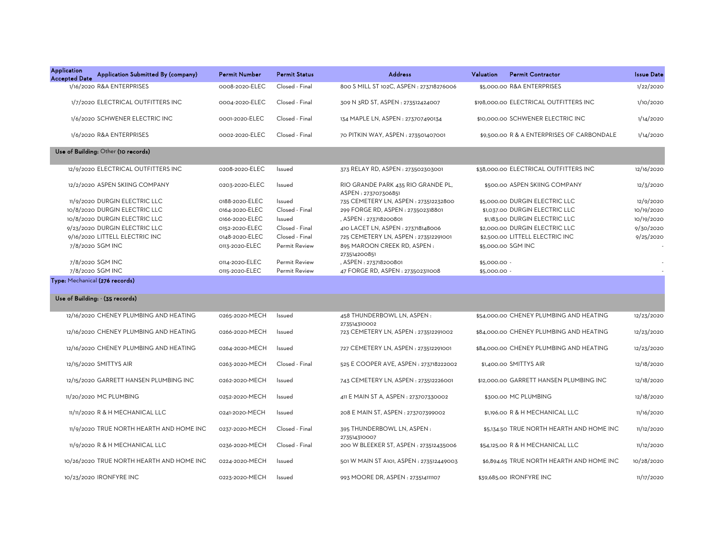| <b>Application</b><br>Application Submitted By (company)<br><b>Accepted Date</b> | <b>Permit Number</b> | <b>Permit Status</b> | <b>Address</b>                                            | Valuation    | <b>Permit Contractor</b>                   | <b>Issue Date</b> |
|----------------------------------------------------------------------------------|----------------------|----------------------|-----------------------------------------------------------|--------------|--------------------------------------------|-------------------|
| 1/16/2020 R&A ENTERPRISES                                                        | 0008-2020-ELEC       | Closed - Final       | 800 S MILL ST 102C, ASPEN : 273718276006                  |              | \$5,000.00 R&A ENTERPRISES                 | 1/22/2020         |
| 1/7/2020 ELECTRICAL OUTFITTERS INC                                               | 0004-2020-ELEC       | Closed - Final       | 309 N 3RD ST, ASPEN : 273512424007                        |              | \$198,000.00 ELECTRICAL OUTFITTERS INC     | 1/10/2020         |
| 1/6/2020 SCHWENER ELECTRIC INC                                                   | 0001-2020-ELEC       | Closed - Final       | 134 MAPLE LN, ASPEN : 273707490134                        |              | \$10,000.00 SCHWENER ELECTRIC INC          | 1/14/2020         |
| 1/6/2020 R&A ENTERPRISES                                                         | 0002-2020-ELEC       | Closed - Final       | 70 PITKIN WAY, ASPEN: 273501407001                        |              | \$9,500,00 R & A ENTERPRISES OF CARBONDALE | 1/14/2020         |
| Use of Building: Other (10 records)                                              |                      |                      |                                                           |              |                                            |                   |
| 12/9/2020 ELECTRICAL OUTFITTERS INC                                              | 0208-2020-ELEC       | Issued               | 373 RELAY RD, ASPEN : 273502303001                        |              | \$38,000.00 ELECTRICAL OUTFITTERS INC      | 12/16/2020        |
| 12/2/2020 ASPEN SKIING COMPANY                                                   | 0203-2020-ELEC       | Issued               | RIO GRANDE PARK 435 RIO GRANDE PL,<br>ASPEN: 273707306851 |              | \$500.00 ASPEN SKIING COMPANY              | 12/3/2020         |
| 11/9/2020 DURGIN ELECTRIC LLC                                                    | 0188-2020-ELEC       | Issued               | 735 CEMETERY LN, ASPEN : 273512232800                     |              | \$5,000.00 DURGIN ELECTRIC LLC             | 12/9/2020         |
| 10/8/2020 DURGIN ELECTRIC LLC                                                    | 0164-2020-ELEC       | Closed - Final       | 299 FORGE RD, ASPEN : 273502318801                        |              | \$1,037.00 DURGIN ELECTRIC LLC             | 10/19/2020        |
| 10/8/2020 DURGIN ELECTRIC LLC                                                    | 0166-2020-ELEC       | Issued               | , ASPEN: 273718200801                                     |              | \$1,183.00 DURGIN ELECTRIC LLC             | 10/19/2020        |
| 9/23/2020 DURGIN ELECTRIC LLC                                                    | 0152-2020-ELEC       | Closed - Final       | 410 LACET LN, ASPEN : 273718148006                        |              | \$2,000.00 DURGIN ELECTRIC LLC             | 9/30/2020         |
| 9/16/2020 LITTELL ELECTRIC INC                                                   | 0148-2020-ELEC       | Closed - Final       | 725 CEMETERY LN, ASPEN: 273512291001                      |              | \$2,500.00 LITTELL ELECTRIC INC            | 9/25/2020         |
| 7/8/2020 SGM INC                                                                 | 0113-2020-ELEC       | Permit Review        | 895 MAROON CREEK RD, ASPEN:<br>273514200851               |              | \$5,000.00 SGM INC                         |                   |
| 7/8/2020 SGM INC                                                                 | 0114-2020-ELEC       | Permit Review        | , ASPEN : 273718200801                                    | \$5,000.00 - |                                            |                   |
| 7/8/2020 SGM INC                                                                 | 0115-2020-ELEC       | Permit Review        | 47 FORGE RD, ASPEN : 273502311008                         | \$5,000.00 - |                                            |                   |
| Type: Mechanical (276 records)                                                   |                      |                      |                                                           |              |                                            |                   |
| Use of Building: - (35 records)                                                  |                      |                      |                                                           |              |                                            |                   |
| 12/16/2020 CHENEY PLUMBING AND HEATING                                           | 0265-2020-MECH       | Issued               | 458 THUNDERBOWL LN, ASPEN:                                |              | \$54,000.00 CHENEY PLUMBING AND HEATING    | 12/23/2020        |
| 12/16/2020 CHENEY PLUMBING AND HEATING                                           | 0266-2020-MECH       | Issued               | 273514310002<br>723 CEMETERY LN, ASPEN: 273512291002      |              | \$84,000.00 CHENEY PLUMBING AND HEATING    | 12/23/2020        |
| 12/16/2020 CHENEY PLUMBING AND HEATING                                           | 0264-2020-MECH       | Issued               | 727 CEMETERY LN, ASPEN : 273512291001                     |              | \$84,000.00 CHENEY PLUMBING AND HEATING    | 12/23/2020        |
| 12/15/2020 SMITTYS AIR                                                           | 0263-2020-MECH       | Closed - Final       | 525 E COOPER AVE, ASPEN : 273718222002                    |              | \$1,400.00 SMITTYS AIR                     | 12/18/2020        |
| 12/15/2020 GARRETT HANSEN PLUMBING INC                                           | 0262-2020-MECH       | Issued               | 743 CEMETERY LN, ASPEN : 273512226001                     |              | \$12,000.00 GARRETT HANSEN PLUMBING INC    | 12/18/2020        |
| 11/20/2020 MC PLUMBING                                                           | 0252-2020-MECH       | Issued               | 411 E MAIN ST A, ASPEN : 273707330002                     |              | \$300.00 MC PLUMBING                       | 12/18/2020        |
| 11/11/2020 R & H MECHANICAL LLC                                                  | 0241-2020-MECH       | Issued               | 208 E MAIN ST, ASPEN : 273707399002                       |              | \$1,196.00 R & H MECHANICAL LLC            | 11/16/2020        |
| 11/9/2020 TRUE NORTH HEARTH AND HOME INC                                         | 0237-2020-MECH       | Closed - Final       | 395 THUNDERBOWL LN, ASPEN:                                |              | \$5,134.50 TRUE NORTH HEARTH AND HOME INC  | 11/12/2020        |
| 11/9/2020 R & H MECHANICAL LLC                                                   | 0236-2020-MECH       | Closed - Final       | 273514310007<br>200 W BLEEKER ST, ASPEN : 273512435006    |              | \$54,125.00 R & H MECHANICAL LLC           | 11/12/2020        |
| 10/26/2020 TRUE NORTH HEARTH AND HOME INC                                        | 0224-2020-MECH       | Issued               | 501 W MAIN ST A101, ASPEN: 273512449003                   |              | \$6,894.65 TRUE NORTH HEARTH AND HOME INC  | 10/28/2020        |
| 10/23/2020 IRONFYRE INC                                                          | 0223-2020-MECH       | Issued               | 993 MOORE DR, ASPEN : 273514111107                        |              | \$39,685,00 IRONFYRE INC                   | 11/17/2020        |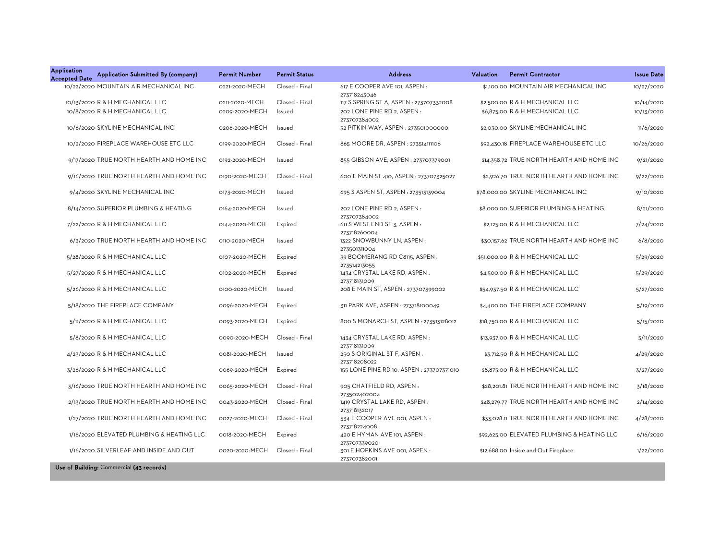| Application<br><b>Accepted Date</b> | Application Submitted By (company)        | <b>Permit Number</b> | <b>Permit Status</b> | <b>Address</b>                                | Valuation | <b>Permit Contractor</b>                    | <b>Issue Date</b> |
|-------------------------------------|-------------------------------------------|----------------------|----------------------|-----------------------------------------------|-----------|---------------------------------------------|-------------------|
|                                     | 10/22/2020 MOUNTAIN AIR MECHANICAL INC    | 0221-2020-MECH       | Closed - Final       | 617 E COOPER AVE 101, ASPEN:<br>273718243046  |           | \$1,100.00 MOUNTAIN AIR MECHANICAL INC      | 10/27/2020        |
|                                     | 10/13/2020 R & H MECHANICAL LLC           | 0211-2020-MECH       | Closed - Final       | 117 S SPRING ST A, ASPEN : 273707332008       |           | \$2,500.00 R & H MECHANICAL LLC             | 10/14/2020        |
|                                     | 10/8/2020 R & H MECHANICAL LLC            | 0209-2020-MECH       | Issued               | 202 LONE PINE RD 2, ASPEN:                    |           | \$6,875.00 R & H MECHANICAL LLC             | 10/13/2020        |
|                                     |                                           |                      |                      | 273707384002                                  |           |                                             |                   |
|                                     | 10/6/2020 SKYLINE MECHANICAL INC          | 0206-2020-MECH       | Issued               | 52 PITKIN WAY, ASPEN : 273501000000           |           | \$2,030.00 SKYLINE MECHANICAL INC           | 11/6/2020         |
|                                     | 10/2/2020 FIREPLACE WAREHOUSE ETC LLC     | 0199-2020-MECH       | Closed - Final       | 865 MOORE DR, ASPEN : 273514111106            |           | \$92,430.18 FIREPLACE WAREHOUSE ETC LLC     | 10/26/2020        |
|                                     | 9/17/2020 TRUE NORTH HEARTH AND HOME INC  | 0192-2020-MECH       | Issued               | 855 GIBSON AVE, ASPEN : 273707379001          |           | \$14,358.72 TRUE NORTH HEARTH AND HOME INC  | 9/21/2020         |
|                                     | 9/16/2020 TRUE NORTH HEARTH AND HOME INC  | 0190-2020-MECH       | Closed - Final       | 600 E MAIN ST 410, ASPEN : 273707325027       |           | \$2,926.70 TRUE NORTH HEARTH AND HOME INC   | 9/22/2020         |
|                                     | 9/4/2020 SKYLINE MECHANICAL INC           | 0173-2020-MECH       | Issued               | 695 S ASPEN ST, ASPEN : 273513139004          |           | \$78,000.00 SKYLINE MECHANICAL INC          | 9/10/2020         |
|                                     | 8/14/2020 SUPERIOR PLUMBING & HEATING     | 0164-2020-MECH       | Issued               | 202 LONE PINE RD 2, ASPEN:<br>273707384002    |           | \$8,000.00 SUPERIOR PLUMBING & HEATING      | 8/21/2020         |
|                                     | 7/22/2020 R & H MECHANICAL LLC            | 0144-2020-MECH       | Expired              | 611 S WEST END ST 3, ASPEN :<br>273718260004  |           | \$2,125.00 R & H MECHANICAL LLC             | 7/24/2020         |
|                                     | 6/3/2020 TRUE NORTH HEARTH AND HOME INC   | 0110-2020-MECH       | Issued               | 1322 SNOWBUNNY LN, ASPEN:<br>273501311004     |           | \$30,157.62 TRUE NORTH HEARTH AND HOME INC  | 6/8/2020          |
|                                     | 5/28/2020 R & H MECHANICAL LLC            | 0107-2020-MECH       | Expired              | 39 BOOMERANG RD C8115, ASPEN:<br>273514213055 |           | \$51,000.00 R & H MECHANICAL LLC            | 5/29/2020         |
|                                     | 5/27/2020 R & H MECHANICAL LLC            | 0102-2020-MECH       | Expired              | 1434 CRYSTAL LAKE RD, ASPEN:<br>273718131009  |           | \$4,500.00 R & H MECHANICAL LLC             | 5/29/2020         |
|                                     | 5/26/2020 R & H MECHANICAL LLC            | 0100-2020-MECH       | Issued               | 208 E MAIN ST, ASPEN : 273707399002           |           | \$54,937.50 R & H MECHANICAL LLC            | 5/27/2020         |
|                                     | 5/18/2020 THE FIREPLACE COMPANY           | 0096-2020-MECH       | Expired              | 311 PARK AVE, ASPEN : 273718100049            |           | \$4,400.00 THE FIREPLACE COMPANY            | 5/19/2020         |
|                                     | 5/11/2020 R & H MECHANICAL LLC            | 0093-2020-MECH       | Expired              | 800 S MONARCH ST, ASPEN : 273513128012        |           | \$18,750.00 R & H MECHANICAL LLC            | 5/15/2020         |
|                                     | 5/8/2020 R & H MECHANICAL LLC             | 0090-2020-MECH       | Closed - Final       | 1434 CRYSTAL LAKE RD, ASPEN:<br>273718131009  |           | \$13,937.00 R & H MECHANICAL LLC            | 5/11/2020         |
|                                     | 4/23/2020 R & H MECHANICAL LLC            | 0081-2020-MECH       | Issued               | 250 S ORIGINAL ST F, ASPEN:<br>273718208022   |           | \$3,712.50 R & H MECHANICAL LLC             | 4/29/2020         |
|                                     | 3/26/2020 R & H MECHANICAL LLC            | 0069-2020-MECH       | Expired              | 155 LONE PINE RD 10, ASPEN : 273707371010     |           | \$8,875.00 R & H MECHANICAL LLC             | 3/27/2020         |
|                                     | 3/16/2020 TRUE NORTH HEARTH AND HOME INC  | 0065-2020-MECH       | Closed - Final       | 905 CHATFIELD RD, ASPEN:<br>273502402004      |           | \$28,201.81 TRUE NORTH HEARTH AND HOME INC  | 3/18/2020         |
|                                     | 2/13/2020 TRUE NORTH HEARTH AND HOME INC  | 0043-2020-MECH       | Closed - Final       | 1419 CRYSTAL LAKE RD, ASPEN:<br>273718132017  |           | \$48,279.77 TRUE NORTH HEARTH AND HOME INC  | 2/14/2020         |
|                                     | 1/27/2020 TRUE NORTH HEARTH AND HOME INC  | 0027-2020-MECH       | Closed - Final       | 534 E COOPER AVE 001, ASPEN :<br>273718224008 |           | \$33,028.11 TRUE NORTH HEARTH AND HOME INC  | 4/28/2020         |
|                                     | 1/16/2020 ELEVATED PLUMBING & HEATING LLC | 0018-2020-MECH       | Expired              | 420 E HYMAN AVE 101, ASPEN:<br>273707339020   |           | \$92,625.00 ELEVATED PLUMBING & HEATING LLC | 6/16/2020         |
|                                     | 1/16/2020 SILVERLEAF AND INSIDE AND OUT   | 0020-2020-MECH       | Closed - Final       | 301 E HOPKINS AVE 001, ASPEN:<br>273707382001 |           | \$12,688.00 Inside and Out Fireplace        | 1/22/2020         |
|                                     | Use of Building: Commercial (43 records)  |                      |                      |                                               |           |                                             |                   |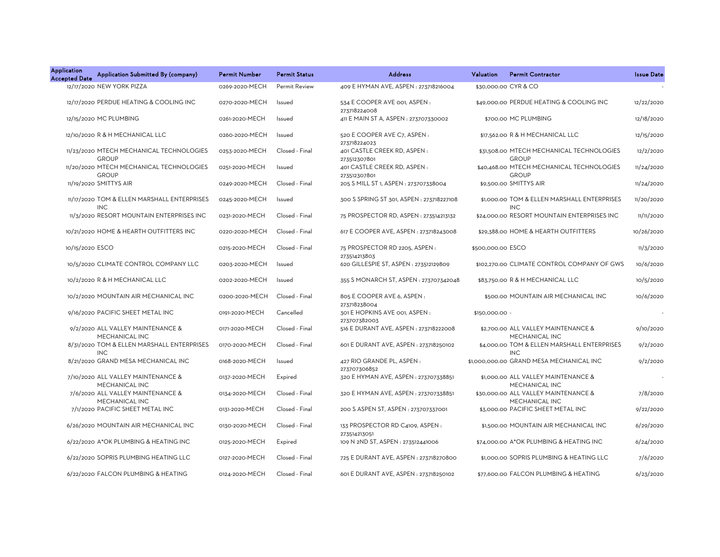| <b>Application</b><br><b>Accepted Date</b> | Application Submitted By (company)                        | Permit Number  | <b>Permit Status</b> | <b>Address</b>                                              | Valuation         | <b>Permit Contractor</b>                                  | <b>Issue Date</b> |
|--------------------------------------------|-----------------------------------------------------------|----------------|----------------------|-------------------------------------------------------------|-------------------|-----------------------------------------------------------|-------------------|
|                                            | 12/17/2020 NEW YORK PIZZA                                 | 0269-2020-MECH | <b>Permit Review</b> | 409 E HYMAN AVE, ASPEN: 273718216004                        |                   | \$30,000.00 CYR & CO                                      |                   |
|                                            | 12/17/2020 PERDUE HEATING & COOLING INC                   | 0270-2020-MECH | Issued               | 534 E COOPER AVE 001, ASPEN:<br>273718224008                |                   | \$49,000.00 PERDUE HEATING & COOLING INC                  | 12/22/2020        |
|                                            | 12/15/2020 MC PLUMBING                                    | 0261-2020-MECH | Issued               | 411 E MAIN ST A, ASPEN : 273707330002                       |                   | \$700.00 MC PLUMBING                                      | 12/18/2020        |
|                                            | 12/10/2020 R & H MECHANICAL LLC                           | 0260-2020-MECH | Issued               | 520 E COOPER AVE C7, ASPEN :                                |                   | \$17,562.00 R & H MECHANICAL LLC                          | 12/15/2020        |
|                                            | 11/23/2020 MTECH MECHANICAL TECHNOLOGIES<br><b>GROUP</b>  | 0253-2020-MECH | Closed - Final       | 273718224023<br>401 CASTLE CREEK RD, ASPEN:<br>273512307801 |                   | \$31,508.00 MTECH MECHANICAL TECHNOLOGIES<br><b>GROUP</b> | 12/2/2020         |
|                                            | 11/20/2020 MTECH MECHANICAL TECHNOLOGIES<br><b>GROUP</b>  | 0251-2020-MECH | Issued               | 401 CASTLE CREEK RD, ASPEN:                                 |                   | \$40,468.00 MTECH MECHANICAL TECHNOLOGIES<br><b>GROUP</b> | 11/24/2020        |
|                                            | 11/19/2020 SMITTYS AIR                                    | 0249-2020-MECH | Closed - Final       | 273512307801<br>205 S MILL ST 1, ASPEN : 273707338004       |                   | \$9,500.00 SMITTYS AIR                                    | 11/24/2020        |
|                                            | 11/17/2020 TOM & ELLEN MARSHALL ENTERPRISES<br><b>INC</b> | 0245-2020-MECH | Issued               | 300 S SPRING ST 301, ASPEN : 273718227108                   |                   | \$1,000.00 TOM & ELLEN MARSHALL ENTERPRISES<br><b>INC</b> | 11/20/2020        |
|                                            | 11/3/2020 RESORT MOUNTAIN ENTERPRISES INC                 | 0231-2020-MECH | Closed - Final       | 75 PROSPECTOR RD, ASPEN: 273514213132                       |                   | \$24,000.00 RESORT MOUNTAIN ENTERPRISES INC               | 11/11/2020        |
|                                            | 10/21/2020 HOME & HEARTH OUTFITTERS INC                   | 0220-2020-MECH | Closed - Final       | 617 E COOPER AVE, ASPEN : 273718243008                      |                   | \$29,388.00 HOME & HEARTH OUTFITTERS                      | 10/26/2020        |
| 10/15/2020 ESCO                            |                                                           | 0215-2020-MECH | Closed - Final       | 75 PROSPECTOR RD 2205, ASPEN:                               | \$500,000.00 ESCO |                                                           | 11/3/2020         |
|                                            | 10/5/2020 CLIMATE CONTROL COMPANY LLC                     | 0203-2020-MECH | Issued               | 273514213803<br>620 GILLESPIE ST, ASPEN: 273512129809       |                   | \$102,270.00 CLIMATE CONTROL COMPANY OF GWS               | 10/6/2020         |
|                                            | 10/2/2020 R & H MECHANICAL LLC                            | 0202-2020-MECH | Issued               | 355 S MONARCH ST, ASPEN : 273707342048                      |                   | \$83,750.00 R & H MECHANICAL LLC                          | 10/5/2020         |
|                                            | 10/2/2020 MOUNTAIN AIR MECHANICAL INC                     | 0200-2020-MECH | Closed - Final       | 805 E COOPER AVE 6, ASPEN :<br>273718238004                 |                   | \$500.00 MOUNTAIN AIR MECHANICAL INC                      | 10/6/2020         |
|                                            | 9/16/2020 PACIFIC SHEET METAL INC                         | 0191-2020-MECH | Cancelled            | 301 E HOPKINS AVE 001, ASPEN:<br>273707382003               | \$150,000.00 -    |                                                           |                   |
|                                            | 9/2/2020 ALL VALLEY MAINTENANCE &<br>MECHANICAL INC       | 0171-2020-MECH | Closed - Final       | 516 E DURANT AVE, ASPEN : 273718222008                      |                   | \$2,700.00 ALL VALLEY MAINTENANCE &<br>MECHANICAL INC     | 9/10/2020         |
|                                            | 8/31/2020 TOM & ELLEN MARSHALL ENTERPRISES<br><b>INC</b>  | 0170-2020-MECH | Closed - Final       | 601 E DURANT AVE, ASPEN : 273718250102                      |                   | \$4,000.00 TOM & ELLEN MARSHALL ENTERPRISES<br><b>INC</b> | 9/2/2020          |
|                                            | 8/21/2020 GRAND MESA MECHANICAL INC                       | 0168-2020-MECH | Issued               | 427 RIO GRANDE PL, ASPEN:<br>273707306852                   |                   | \$1,000,000.00 GRAND MESA MECHANICAL INC                  | 9/2/2020          |
|                                            | 7/10/2020 ALL VALLEY MAINTENANCE &<br>MECHANICAL INC      | 0137-2020-MECH | Expired              | 320 E HYMAN AVE, ASPEN : 273707338851                       |                   | \$1,000.00 ALL VALLEY MAINTENANCE &<br>MECHANICAL INC     |                   |
|                                            | 7/6/2020 ALL VALLEY MAINTENANCE &<br>MECHANICAL INC       | 0134-2020-MECH | Closed - Final       | 320 E HYMAN AVE, ASPEN : 273707338851                       |                   | \$30,000.00 ALL VALLEY MAINTENANCE &<br>MECHANICAL INC    | 7/8/2020          |
|                                            | 7/1/2020 PACIFIC SHEET METAL INC                          | 0131-2020-MECH | Closed - Final       | 200 S ASPEN ST, ASPEN : 273707337001                        |                   | \$3,000.00 PACIFIC SHEET METAL INC                        | 9/22/2020         |
|                                            | 6/26/2020 MOUNTAIN AIR MECHANICAL INC                     | 0130-2020-MECH | Closed - Final       | 133 PROSPECTOR RD C4109, ASPEN :<br>273514213051            |                   | \$1,500.00 MOUNTAIN AIR MECHANICAL INC                    | 6/29/2020         |
|                                            | 6/22/2020 A*OK PLUMBING & HEATING INC                     | 0125-2020-MECH | Expired              | 109 N 2ND ST, ASPEN : 273512441006                          |                   | \$74,000.00 A*OK PLUMBING & HEATING INC                   | 6/24/2020         |
|                                            | 6/22/2020 SOPRIS PLUMBING HEATING LLC                     | 0127-2020-MECH | Closed - Final       | 725 E DURANT AVE, ASPEN : 273718270800                      |                   | \$1,000.00 SOPRIS PLUMBING & HEATING LLC                  | 7/6/2020          |
|                                            | 6/22/2020 FALCON PLUMBING & HEATING                       | 0124-2020-MECH | Closed - Final       | 601 E DURANT AVE, ASPEN : 273718250102                      |                   | \$77,600.00 FALCON PLUMBING & HEATING                     | 6/23/2020         |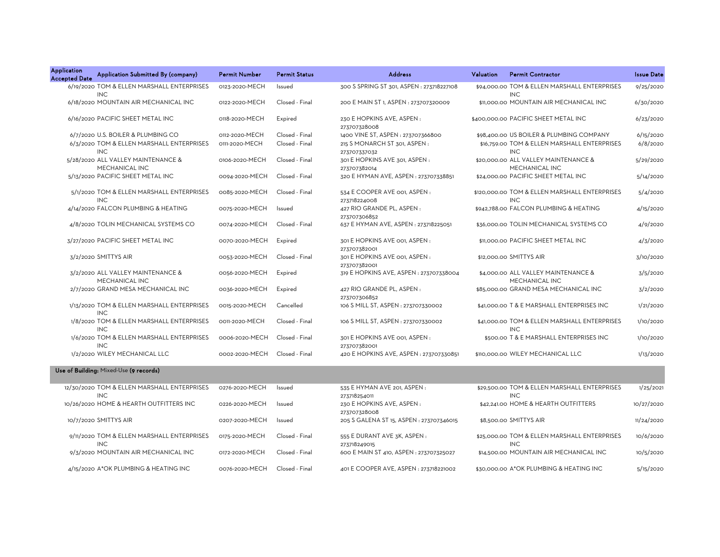| <b>Application</b><br><b>Accepted Date</b> | Application Submitted By (company)                       | <b>Permit Number</b> | <b>Permit Status</b> | <b>Address</b>                                | <b>Valuation</b> | <b>Permit Contractor</b>                                    | <b>Issue Date</b> |
|--------------------------------------------|----------------------------------------------------------|----------------------|----------------------|-----------------------------------------------|------------------|-------------------------------------------------------------|-------------------|
|                                            | 6/19/2020 TOM & ELLEN MARSHALL ENTERPRISES<br><b>INC</b> | 0123-2020-MECH       | Issued               | 300 S SPRING ST 301, ASPEN : 273718227108     |                  | \$94,000,00 TOM & ELLEN MARSHALL ENTERPRISES<br><b>INC</b>  | 9/25/2020         |
|                                            | 6/18/2020 MOUNTAIN AIR MECHANICAL INC                    | 0122-2020-MECH       | Closed - Final       | 200 E MAIN ST 1, ASPEN : 273707320009         |                  | \$11,000.00 MOUNTAIN AIR MECHANICAL INC                     | 6/30/2020         |
|                                            | 6/16/2020 PACIFIC SHEET METAL INC                        | 0118-2020-MECH       | Expired              | 230 E HOPKINS AVE. ASPEN:<br>273707328008     |                  | \$400,000,00 PACIFIC SHEET METAL INC                        | 6/23/2020         |
|                                            | 6/7/2020 U.S. BOILER & PLUMBING CO                       | 0112-2020-MECH       | Closed - Final       | 1400 VINE ST, ASPEN: 273707366800             |                  | \$98,400.00 US BOILER & PLUMBING COMPANY                    | 6/15/2020         |
|                                            | 6/3/2020 TOM & ELLEN MARSHALL ENTERPRISES<br><b>INC</b>  | 0111-2020-MECH       | Closed - Final       | 215 S MONARCH ST 301, ASPEN:<br>273707337032  |                  | \$16,759.00 TOM & ELLEN MARSHALL ENTERPRISES<br><b>INC</b>  | 6/8/2020          |
|                                            | 5/28/2020 ALL VALLEY MAINTENANCE &<br>MECHANICAL INC     | 0106-2020-MECH       | Closed - Final       | 301 E HOPKINS AVE 301, ASPEN:<br>273707382014 |                  | \$20,000,00 ALL VALLEY MAINTENANCE &<br>MECHANICAL INC      | 5/29/2020         |
|                                            | 5/13/2020 PACIFIC SHEET METAL INC                        | 0094-2020-MECH       | Closed - Final       | 320 E HYMAN AVE, ASPEN : 273707338851         |                  | \$24,000.00 PACIFIC SHEET METAL INC                         | 5/14/2020         |
|                                            | 5/1/2020 TOM & ELLEN MARSHALL ENTERPRISES<br><b>INC</b>  | 0085-2020-MECH       | Closed - Final       | 534 E COOPER AVE 001, ASPEN:<br>273718224008  |                  | \$120,000.00 TOM & ELLEN MARSHALL ENTERPRISES<br><b>INC</b> | 5/4/2020          |
|                                            | 4/14/2020 FALCON PLUMBING & HEATING                      | 0075-2020-MECH       | Issued               | 427 RIO GRANDE PL, ASPEN :<br>273707306852    |                  | \$942,788.00 FALCON PLUMBING & HEATING                      | 4/15/2020         |
|                                            | 4/8/2020 TOLIN MECHANICAL SYSTEMS CO                     | 0074-2020-MECH       | Closed - Final       | 637 E HYMAN AVE, ASPEN : 273718225051         |                  | \$36,000.00 TOLIN MECHANICAL SYSTEMS CO                     | 4/9/2020          |
|                                            | 3/27/2020 PACIFIC SHEET METAL INC                        | 0070-2020-MECH       | Expired              | 301 E HOPKINS AVE 001, ASPEN:<br>273707382001 |                  | \$11,000.00 PACIFIC SHEET METAL INC                         | 4/3/2020          |
|                                            | 3/2/2020 SMITTYS AIR                                     | 0053-2020-MECH       | Closed - Final       | 301 E HOPKINS AVE 001, ASPEN:<br>273707382001 |                  | \$12,000.00 SMITTYS AIR                                     | 3/10/2020         |
|                                            | 3/2/2020 ALL VALLEY MAINTENANCE &<br>MECHANICAL INC      | 0056-2020-MECH       | Expired              | 319 E HOPKINS AVE, ASPEN: 273707338004        |                  | \$4,000.00 ALL VALLEY MAINTENANCE &<br>MECHANICAL INC       | 3/5/2020          |
|                                            | 2/7/2020 GRAND MESA MECHANICAL INC                       | 0036-2020-MECH       | Expired              | 427 RIO GRANDE PL. ASPEN:<br>273707306852     |                  | \$85,000.00 GRAND MESA MECHANICAL INC                       | 3/2/2020          |
|                                            | 1/13/2020 TOM & ELLEN MARSHALL ENTERPRISES<br><b>INC</b> | 0015-2020-MECH       | Cancelled            | 106 S MILL ST, ASPEN : 273707330002           |                  | \$41,000.00 T & E MARSHALL ENTERPRISES INC                  | 1/21/2020         |
|                                            | 1/8/2020 TOM & ELLEN MARSHALL ENTERPRISES<br><b>INC</b>  | 0011-2020-MECH       | Closed - Final       | 106 S MILL ST, ASPEN : 273707330002           |                  | \$41,000.00 TOM & ELLEN MARSHALL ENTERPRISES<br><b>INC</b>  | 1/10/2020         |
|                                            | 1/6/2020 TOM & ELLEN MARSHALL ENTERPRISES<br><b>INC</b>  | 0006-2020-MECH       | Closed - Final       | 301 E HOPKINS AVE 001, ASPEN:<br>273707382001 |                  | \$500.00 T & E MARSHALL ENTERPRISES INC                     | 1/10/2020         |
|                                            | 1/2/2020 WILEY MECHANICAL LLC                            | 0002-2020-MECH       | Closed - Final       | 420 E HOPKINS AVE, ASPEN : 273707330851       |                  | \$110,000,00 WILEY MECHANICAL LLC                           | 1/13/2020         |

## Use of Building: Mixed-Use (9 records)

| 12/30/2020 TOM & ELLEN MARSHALL ENTERPRISES | 0276-2020-MECH | Issued         | 535 E HYMAN AVE 201, ASPEN:              | \$29,500.00 TOM & ELLEN MARSHALL ENTERPRISES | 1/25/2021  |
|---------------------------------------------|----------------|----------------|------------------------------------------|----------------------------------------------|------------|
| <b>INC</b>                                  |                |                | 273718254011                             | <b>INC</b>                                   |            |
| 10/26/2020 HOME & HEARTH OUTFITTERS INC     | 0226-2020-MECH | Issued         | 230 E HOPKINS AVE, ASPEN:                | \$42,241.00 HOME & HEARTH OUTFITTERS         | 10/27/2020 |
|                                             |                |                | 273707328008                             |                                              |            |
| 10/7/2020 SMITTYS AIR                       | 0207-2020-MECH | Issued         | 205 S GALENA ST 15, ASPEN : 273707346015 | \$8,500.00 SMITTYS AIR                       | 11/24/2020 |
|                                             |                |                |                                          |                                              |            |
| 9/11/2020 TOM & ELLEN MARSHALL ENTERPRISES  | 0175-2020-MECH | Closed - Final | 555 E DURANT AVE 3K, ASPEN:              | \$25,000.00 TOM & ELLEN MARSHALL ENTERPRISES | 10/6/2020  |
| <b>INC</b>                                  |                |                | 273718249015                             | INC.                                         |            |
| 9/3/2020 MOUNTAIN AIR MECHANICAL INC        | 0172-2020-MECH | Closed - Final | 600 E MAIN ST 410, ASPEN : 273707325027  | \$14,500.00 MOUNTAIN AIR MECHANICAL INC      | 10/5/2020  |
|                                             |                |                |                                          |                                              |            |
| 4/15/2020 A*OK PLUMBING & HEATING INC       | 0076-2020-MECH | Closed - Final | 401 E COOPER AVE, ASPEN : 273718221002   | \$30,000.00 A*OK PLUMBING & HEATING INC      | 5/15/2020  |
|                                             |                |                |                                          |                                              |            |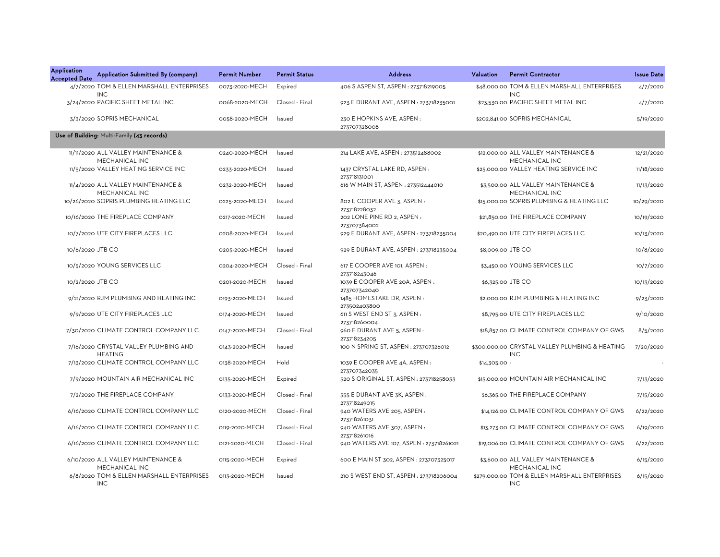| <b>Application</b><br><b>Accepted Date</b> | Application Submitted By (company)                      | <b>Permit Number</b> | <b>Permit Status</b> | <b>Address</b>                                | Valuation         | <b>Permit Contractor</b>                                     | <b>Issue Date</b> |
|--------------------------------------------|---------------------------------------------------------|----------------------|----------------------|-----------------------------------------------|-------------------|--------------------------------------------------------------|-------------------|
|                                            | 4/7/2020 TOM & ELLEN MARSHALL ENTERPRISES<br><b>INC</b> | 0073-2020-MECH       | Expired              | 406 S ASPEN ST, ASPEN : 273718219005          |                   | \$48,000.00 TOM & ELLEN MARSHALL ENTERPRISES<br><b>INC</b>   | 4/7/2020          |
|                                            | 3/24/2020 PACIFIC SHEET METAL INC                       | 0068-2020-MECH       | Closed - Final       | 923 E DURANT AVE, ASPEN : 273718235001        |                   | \$23,530.00 PACIFIC SHEET METAL INC                          | 4/7/2020          |
|                                            | 3/3/2020 SOPRIS MECHANICAL                              | 0058-2020-MECH       | Issued               | 230 E HOPKINS AVE, ASPEN:<br>273707328008     |                   | \$202,841.00 SOPRIS MECHANICAL                               | 5/19/2020         |
|                                            | Use of Building: Multi-Family (43 records)              |                      |                      |                                               |                   |                                                              |                   |
|                                            | 11/11/2020 ALL VALLEY MAINTENANCE &<br>MECHANICAL INC   | 0240-2020-MECH       | Issued               | 214 LAKE AVE, ASPEN : 273512488002            |                   | \$12,000.00 ALL VALLEY MAINTENANCE &<br>MECHANICAL INC       | 12/21/2020        |
|                                            | 11/5/2020 VALLEY HEATING SERVICE INC                    | 0233-2020-MECH       | Issued               | 1437 CRYSTAL LAKE RD, ASPEN:<br>273718131001  |                   | \$25,000.00 VALLEY HEATING SERVICE INC                       | 11/18/2020        |
|                                            | 11/4/2020 ALL VALLEY MAINTENANCE &<br>MECHANICAL INC    | 0232-2020-MECH       | Issued               | 616 W MAIN ST, ASPEN : 273512444010           |                   | \$3,500.00 ALL VALLEY MAINTENANCE &<br>MECHANICAL INC        | 11/13/2020        |
|                                            | 10/26/2020 SOPRIS PLUMBING HEATING LLC                  | 0225-2020-MECH       | Issued               | 802 E COOPER AVE 3, ASPEN :<br>273718228032   |                   | \$15,000.00 SOPRIS PLUMBING & HEATING LLC                    | 10/29/2020        |
|                                            | 10/16/2020 THE FIREPLACE COMPANY                        | 0217-2020-MECH       | Issued               | 202 LONE PINE RD 2, ASPEN :<br>273707384002   |                   | \$21,850.00 THE FIREPLACE COMPANY                            | 10/19/2020        |
|                                            | 10/7/2020 UTE CITY FIREPLACES LLC                       | 0208-2020-MECH       | Issued               | 929 E DURANT AVE, ASPEN : 273718235004        |                   | \$20,490.00 UTE CITY FIREPLACES LLC                          | 10/13/2020        |
| 10/6/2020 JTB CO                           |                                                         | 0205-2020-MECH       | Issued               | 929 E DURANT AVE, ASPEN : 273718235004        | \$8,009.00 JTB CO |                                                              | 10/8/2020         |
|                                            | 10/5/2020 YOUNG SERVICES LLC                            | 0204-2020-MECH       | Closed - Final       | 617 E COOPER AVE 101, ASPEN:<br>273718243046  |                   | \$3,450.00 YOUNG SERVICES LLC                                | 10/7/2020         |
| 10/2/2020 JTB CO                           |                                                         | 0201-2020-MECH       | Issued               | 1039 E COOPER AVE 20A, ASPEN:<br>273707342040 |                   | \$6,325.00 JTB CO                                            | 10/13/2020        |
|                                            | 9/21/2020 RJM PLUMBING AND HEATING INC                  | 0193-2020-MECH       | Issued               | 1485 HOMESTAKE DR, ASPEN:<br>273502403800     |                   | \$2,000.00 RJM PLUMBING & HEATING INC                        | 9/23/2020         |
|                                            | 9/9/2020 UTE CITY FIREPLACES LLC                        | 0174-2020-MECH       | Issued               | 611 S WEST END ST 3, ASPEN:<br>273718260004   |                   | \$8,795.00 UTE CITY FIREPLACES LLC                           | 9/10/2020         |
|                                            | 7/30/2020 CLIMATE CONTROL COMPANY LLC                   | 0147-2020-MECH       | Closed - Final       | 960 E DURANT AVE 5, ASPEN :<br>273718234205   |                   | \$18,857.00 CLIMATE CONTROL COMPANY OF GWS                   | 8/5/2020          |
|                                            | 7/16/2020 CRYSTAL VALLEY PLUMBING AND<br><b>HEATING</b> | 0143-2020-MECH       | Issued               | 100 N SPRING ST, ASPEN : 273707326012         |                   | \$300,000.00 CRYSTAL VALLEY PLUMBING & HEATING<br><b>INC</b> | 7/20/2020         |
|                                            | 7/13/2020 CLIMATE CONTROL COMPANY LLC                   | 0138-2020-MECH       | Hold                 | 1039 E COOPER AVE 4A, ASPEN:<br>273707342035  | \$14,305.00 -     |                                                              |                   |
|                                            | 7/9/2020 MOUNTAIN AIR MECHANICAL INC                    | 0135-2020-MECH       | Expired              | 520 S ORIGINAL ST, ASPEN : 273718258033       |                   | \$15,000.00 MOUNTAIN AIR MECHANICAL INC                      | 7/13/2020         |
|                                            | 7/2/2020 THE FIREPLACE COMPANY                          | 0133-2020-MECH       | Closed - Final       | 555 E DURANT AVE 3K, ASPEN:<br>273718249015   |                   | \$6,365.00 THE FIREPLACE COMPANY                             | 7/15/2020         |
|                                            | 6/16/2020 CLIMATE CONTROL COMPANY LLC                   | 0120-2020-MECH       | Closed - Final       | 940 WATERS AVE 205, ASPEN:<br>273718261031    |                   | \$14,126.00 CLIMATE CONTROL COMPANY OF GWS                   | 6/22/2020         |
|                                            | 6/16/2020 CLIMATE CONTROL COMPANY LLC                   | 0119-2020-MECH       | Closed - Final       | 940 WATERS AVE 307, ASPEN:<br>273718261016    |                   | \$13,273.00 CLIMATE CONTROL COMPANY OF GWS                   | 6/19/2020         |
|                                            | 6/16/2020 CLIMATE CONTROL COMPANY LLC                   | 0121-2020-MECH       | Closed - Final       | 940 WATERS AVE 107, ASPEN : 273718261021      |                   | \$19,006.00 CLIMATE CONTROL COMPANY OF GWS                   | 6/22/2020         |
|                                            | 6/10/2020 ALL VALLEY MAINTENANCE &<br>MECHANICAL INC    | 0115-2020-MECH       | Expired              | 600 E MAIN ST 302, ASPEN : 273707325017       |                   | \$3,600.00 ALL VALLEY MAINTENANCE &<br>MECHANICAL INC        | 6/15/2020         |
|                                            | 6/8/2020 TOM & ELLEN MARSHALL ENTERPRISES<br><b>INC</b> | 0113-2020-MECH       | Issued               | 210 S WEST END ST, ASPEN : 273718206004       |                   | \$279,000.00 TOM & ELLEN MARSHALL ENTERPRISES<br><b>INC</b>  | 6/15/2020         |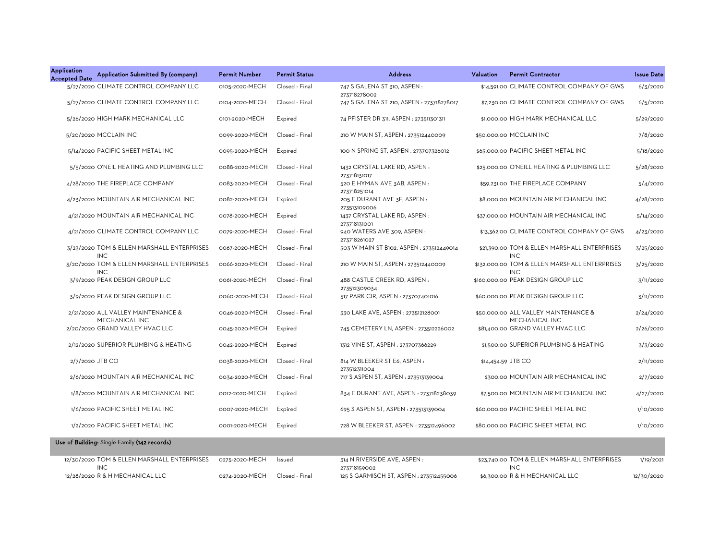| <b>Application</b><br><b>Accepted Date</b> | Application Submitted By (company)                       | <b>Permit Number</b> | <b>Permit Status</b> | <b>Address</b>                               | Valuation | <b>Permit Contractor</b>                                    | <b>Issue Date</b> |
|--------------------------------------------|----------------------------------------------------------|----------------------|----------------------|----------------------------------------------|-----------|-------------------------------------------------------------|-------------------|
|                                            | 5/27/2020 CLIMATE CONTROL COMPANY LLC                    | 0105-2020-MECH       | Closed - Final       | 747 S GALENA ST 310, ASPEN :<br>273718278002 |           | \$14,591.00 CLIMATE CONTROL COMPANY OF GWS                  | 6/3/2020          |
|                                            | 5/27/2020 CLIMATE CONTROL COMPANY LLC                    | 0104-2020-MECH       | Closed - Final       | 747 S GALENA ST 210, ASPEN : 273718278017    |           | \$7,230.00 CLIMATE CONTROL COMPANY OF GWS                   | 6/5/2020          |
|                                            | 5/26/2020 HIGH MARK MECHANICAL LLC                       | 0101-2020-MECH       | Expired              | 74 PFISTER DR 311, ASPEN : 273511301311      |           | \$1,000.00 HIGH MARK MECHANICAL LLC                         | 5/29/2020         |
|                                            | 5/20/2020 MCCLAIN INC                                    | 0099-2020-MECH       | Closed - Final       | 210 W MAIN ST, ASPEN: 273512440009           |           | \$50,000.00 MCCLAIN INC                                     | 7/8/2020          |
|                                            | 5/14/2020 PACIFIC SHEET METAL INC                        | 0095-2020-MECH       | Expired              | 100 N SPRING ST, ASPEN : 273707326012        |           | \$65,000.00 PACIFIC SHEET METAL INC                         | 5/18/2020         |
|                                            | 5/5/2020 O'NEIL HEATING AND PLUMBING LLC                 | 0088-2020-MECH       | Closed - Final       | 1432 CRYSTAL LAKE RD, ASPEN:<br>273718131017 |           | \$25,000.00 O'NEILL HEATING & PLUMBING LLC                  | 5/28/2020         |
|                                            | 4/28/2020 THE FIREPLACE COMPANY                          | 0083-2020-MECH       | Closed - Final       | 520 E HYMAN AVE 3AB, ASPEN:<br>273718251014  |           | \$59,231.00 THE FIREPLACE COMPANY                           | 5/4/2020          |
|                                            | 4/23/2020 MOUNTAIN AIR MECHANICAL INC                    | 0082-2020-MECH       | Expired              | 205 E DURANT AVE 3F, ASPEN :<br>273513109006 |           | \$8,000.00 MOUNTAIN AIR MECHANICAL INC                      | 4/28/2020         |
|                                            | 4/21/2020 MOUNTAIN AIR MECHANICAL INC                    | 0078-2020-MECH       | Expired              | 1437 CRYSTAL LAKE RD, ASPEN:<br>273718131001 |           | \$37,000.00 MOUNTAIN AIR MECHANICAL INC                     | 5/14/2020         |
|                                            | 4/21/2020 CLIMATE CONTROL COMPANY LLC                    | 0079-2020-MECH       | Closed - Final       | 940 WATERS AVE 309, ASPEN:<br>273718261027   |           | \$13,362.00 CLIMATE CONTROL COMPANY OF GWS                  | 4/23/2020         |
|                                            | 3/23/2020 TOM & ELLEN MARSHALL ENTERPRISES<br><b>INC</b> | 0067-2020-MECH       | Closed - Final       | 503 W MAIN ST B102, ASPEN: 273512449014      |           | \$21,390.00 TOM & ELLEN MARSHALL ENTERPRISES<br><b>INC</b>  | 3/25/2020         |
|                                            | 3/20/2020 TOM & ELLEN MARSHALL ENTERPRISES<br><b>INC</b> | 0066-2020-MECH       | Closed - Final       | 210 W MAIN ST, ASPEN : 273512440009          |           | \$132,000.00 TOM & ELLEN MARSHALL ENTERPRISES<br><b>INC</b> | 3/25/2020         |
|                                            | 3/9/2020 PEAK DESIGN GROUP LLC                           | 0061-2020-MECH       | Closed - Final       | 488 CASTLE CREEK RD, ASPEN:<br>273512309034  |           | \$160,000.00 PEAK DESIGN GROUP LLC                          | 3/11/2020         |
|                                            | 3/9/2020 PEAK DESIGN GROUP LLC                           | 0060-2020-MECH       | Closed - Final       | 517 PARK CIR, ASPEN : 273707401016           |           | \$60,000.00 PEAK DESIGN GROUP LLC                           | 3/11/2020         |
|                                            | 2/21/2020 ALL VALLEY MAINTENANCE &<br>MECHANICAL INC     | 0046-2020-MECH       | Closed - Final       | 330 LAKE AVE, ASPEN : 273512128001           |           | \$50,000.00 ALL VALLEY MAINTENANCE &<br>MECHANICAL INC      | 2/24/2020         |
|                                            | 2/20/2020 GRAND VALLEY HVAC LLC                          | 0045-2020-MECH       | Expired              | 745 CEMETERY LN, ASPEN : 273512226002        |           | \$81,400.00 GRAND VALLEY HVAC LLC                           | 2/26/2020         |
|                                            | 2/12/2020 SUPERIOR PLUMBING & HEATING                    | 0042-2020-MECH       | Expired              | 1312 VINE ST, ASPEN : 273707366229           |           | \$1,500.00 SUPERIOR PLUMBING & HEATING                      | 3/3/2020          |
| 2/7/2020 JTB CO                            |                                                          | 0038-2020-MECH       | Closed - Final       | 814 W BLEEKER ST E6, ASPEN:<br>273512311004  |           | \$14,454.59 JTB CO                                          | 2/11/2020         |
|                                            | 2/6/2020 MOUNTAIN AIR MECHANICAL INC                     | 0034-2020-MECH       | Closed - Final       | 717 S ASPEN ST, ASPEN : 273513139004         |           | \$300.00 MOUNTAIN AIR MECHANICAL INC                        | 2/7/2020          |
|                                            | 1/8/2020 MOUNTAIN AIR MECHANICAL INC                     | 0012-2020-MECH       | Expired              | 834 E DURANT AVE, ASPEN : 273718238039       |           | \$7,500.00 MOUNTAIN AIR MECHANICAL INC                      | 4/27/2020         |
|                                            | 1/6/2020 PACIFIC SHEET METAL INC                         | 0007-2020-MECH       | Expired              | 695 S ASPEN ST, ASPEN : 273513139004         |           | \$60,000.00 PACIFIC SHEET METAL INC                         | 1/10/2020         |
|                                            | 1/2/2020 PACIFIC SHEET METAL INC                         | 0001-2020-MECH       | Expired              | 728 W BLEEKER ST, ASPEN : 273512496002       |           | \$80,000.00 PACIFIC SHEET METAL INC                         | 1/10/2020         |
|                                            | Use of Building: Single Family (142 records)             |                      |                      |                                              |           |                                                             |                   |

| 12/30/2020 TOM & ELLEN MARSHALL ENTERPRISES | 0275-2020-MECH Issued |                | 314 N RIVERSIDE AVE. ASPEN :            | \$23,740.00 TOM & ELLEN MARSHALL ENTERPRISES | 1/19/2021  |
|---------------------------------------------|-----------------------|----------------|-----------------------------------------|----------------------------------------------|------------|
| <b>INC</b>                                  |                       |                | 273718159002                            | INC.                                         |            |
| 12/28/2020 R & H MECHANICAL LLC             | 0274-2020-MECH        | Closed - Final | 125 S GARMISCH ST. ASPEN : 273512455006 | \$6.300.00 R & H MECHANICAL LLC              | 12/30/2020 |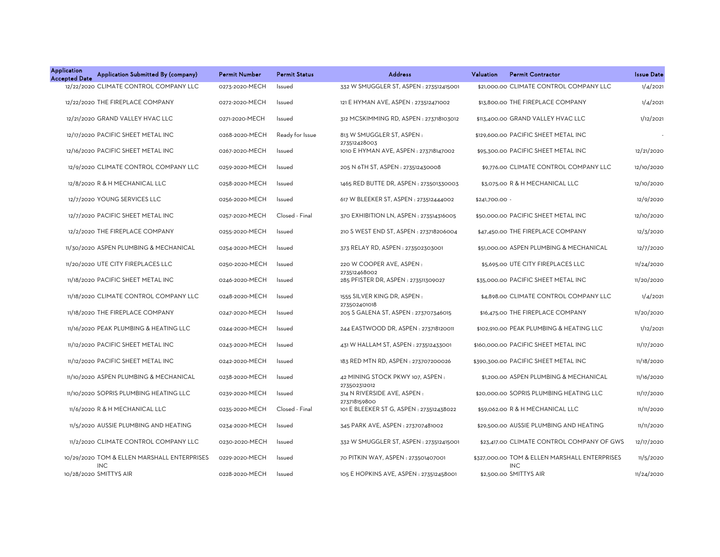| <b>Application</b><br>Application Submitted By (company)<br><b>Accepted Date</b> | <b>Permit Number</b> | <b>Permit Status</b> | <b>Address</b>                                           | Valuation<br><b>Permit Contractor</b>                       | <b>Issue Date</b> |
|----------------------------------------------------------------------------------|----------------------|----------------------|----------------------------------------------------------|-------------------------------------------------------------|-------------------|
| 12/22/2020 CLIMATE CONTROL COMPANY LLC                                           | 0273-2020-MECH       | Issued               | 332 W SMUGGLER ST, ASPEN : 273512415001                  | \$21,000,00 CLIMATE CONTROL COMPANY LLC                     | 1/4/2021          |
| 12/22/2020 THE FIREPLACE COMPANY                                                 | 0272-2020-MECH       | Issued               | 121 E HYMAN AVE, ASPEN : 273512471002                    | \$13,800.00 THE FIREPLACE COMPANY                           | 1/4/2021          |
| 12/21/2020 GRAND VALLEY HVAC LLC                                                 | 0271-2020-MECH       | Issued               | 312 MCSKIMMING RD, ASPEN: 273718103012                   | \$113,400.00 GRAND VALLEY HVAC LLC                          | 1/12/2021         |
| 12/17/2020 PACIFIC SHEET METAL INC                                               | 0268-2020-MECH       | Ready for Issue      | 813 W SMUGGLER ST, ASPEN:                                | \$129,600.00 PACIFIC SHEET METAL INC                        |                   |
| 12/16/2020 PACIFIC SHEET METAL INC                                               | 0267-2020-MECH       | Issued               | 273512428003<br>1010 E HYMAN AVE, ASPEN : 273718147002   | \$95,300.00 PACIFIC SHEET METAL INC                         | 12/21/2020        |
| 12/9/2020 CLIMATE CONTROL COMPANY LLC                                            | 0259-2020-MECH       | Issued               | 205 N 6TH ST, ASPEN: 273512430008                        | \$9,776.00 CLIMATE CONTROL COMPANY LLC                      | 12/10/2020        |
| 12/8/2020 R & H MECHANICAL LLC                                                   | 0258-2020-MECH       | Issued               | 1465 RED BUTTE DR, ASPEN : 273501330003                  | \$3,075.00 R & H MECHANICAL LLC                             | 12/10/2020        |
| 12/7/2020 YOUNG SERVICES LLC                                                     | 0256-2020-MECH       | Issued               | 617 W BLEEKER ST, ASPEN : 273512444002                   | \$241,700.00 -                                              | 12/9/2020         |
| 12/7/2020 PACIFIC SHEET METAL INC                                                | 0257-2020-MECH       | Closed - Final       | 370 EXHIBITION LN, ASPEN : 273514316005                  | \$50,000.00 PACIFIC SHEET METAL INC                         | 12/10/2020        |
| 12/2/2020 THE FIREPLACE COMPANY                                                  | 0255-2020-MECH       | Issued               | 210 S WEST END ST, ASPEN : 273718206004                  | \$47,450.00 THE FIREPLACE COMPANY                           | 12/3/2020         |
| 11/30/2020 ASPEN PLUMBING & MECHANICAL                                           | 0254-2020-MECH       | Issued               | 373 RELAY RD, ASPEN : 273502303001                       | \$51,000.00 ASPEN PLUMBING & MECHANICAL                     | 12/7/2020         |
| 11/20/2020 UTE CITY FIREPLACES LLC                                               | 0250-2020-MECH       | Issued               | 220 W COOPER AVE, ASPEN:                                 | \$5,695.00 UTE CITY FIREPLACES LLC                          | 11/24/2020        |
| 11/18/2020 PACIFIC SHEET METAL INC                                               | 0246-2020-MECH       | Issued               | 273512468002<br>285 PFISTER DR, ASPEN : 273511309027     | \$35,000.00 PACIFIC SHEET METAL INC                         | 11/20/2020        |
| 11/18/2020 CLIMATE CONTROL COMPANY LLC                                           | 0248-2020-MECH       | Issued               | 1555 SILVER KING DR, ASPEN:<br>273502401018              | \$4,898.00 CLIMATE CONTROL COMPANY LLC                      | 1/4/2021          |
| 11/18/2020 THE FIREPLACE COMPANY                                                 | 0247-2020-MECH       | Issued               | 205 S GALENA ST, ASPEN : 273707346015                    | \$16,475.00 THE FIREPLACE COMPANY                           | 11/20/2020        |
| 11/16/2020 PEAK PLUMBING & HEATING LLC                                           | 0244-2020-MECH       | Issued               | 244 EASTWOOD DR, ASPEN : 273718120011                    | \$102,910.00 PEAK PLUMBING & HEATING LLC                    | 1/12/2021         |
| 11/12/2020 PACIFIC SHEET METAL INC                                               | 0243-2020-MECH       | Issued               | 431 W HALLAM ST, ASPEN : 273512433001                    | \$160,000.00 PACIFIC SHEET METAL INC                        | 11/17/2020        |
| 11/12/2020 PACIFIC SHEET METAL INC                                               | 0242-2020-MECH       | Issued               | 183 RED MTN RD, ASPEN: 273707200026                      | \$390,300.00 PACIFIC SHEET METAL INC                        | 11/18/2020        |
| 11/10/2020 ASPEN PLUMBING & MECHANICAL                                           | 0238-2020-MECH       | Issued               | 42 MINING STOCK PKWY 107, ASPEN:                         | \$1,200.00 ASPEN PLUMBING & MECHANICAL                      | 11/16/2020        |
| 11/10/2020 SOPRIS PLUMBING HEATING LLC                                           | 0239-2020-MECH       | Issued               | 273502312012<br>314 N RIVERSIDE AVE, ASPEN :             | \$20,000.00 SOPRIS PLUMBING HEATING LLC                     | 11/17/2020        |
| 11/6/2020 R & H MECHANICAL LLC                                                   | 0235-2020-MECH       | Closed - Final       | 273718159800<br>101 E BLEEKER ST G, ASPEN : 273512438022 | \$59,062.00 R & H MECHANICAL LLC                            | 11/11/2020        |
| 11/5/2020 AUSSIE PLUMBING AND HEATING                                            | 0234-2020-MECH       | Issued               | 345 PARK AVE, ASPEN : 273707481002                       | \$29,500.00 AUSSIE PLUMBING AND HEATING                     | 11/11/2020        |
| 11/2/2020 CLIMATE CONTROL COMPANY LLC                                            | 0230-2020-MECH       | Issued               | 332 W SMUGGLER ST, ASPEN : 273512415001                  | \$23,417.00 CLIMATE CONTROL COMPANY OF GWS                  | 12/17/2020        |
| 10/29/2020 TOM & ELLEN MARSHALL ENTERPRISES<br><b>INC</b>                        | 0229-2020-MECH       | Issued               | 70 PITKIN WAY, ASPEN : 273501407001                      | \$327,000.00 TOM & ELLEN MARSHALL ENTERPRISES<br><b>INC</b> | 11/5/2020         |
| 10/28/2020 SMITTYS AIR                                                           | 0228-2020-MECH       | <b>Issued</b>        | 105 E HOPKINS AVE, ASPEN : 273512458001                  | \$2,500.00 SMITTYS AIR                                      | 11/24/2020        |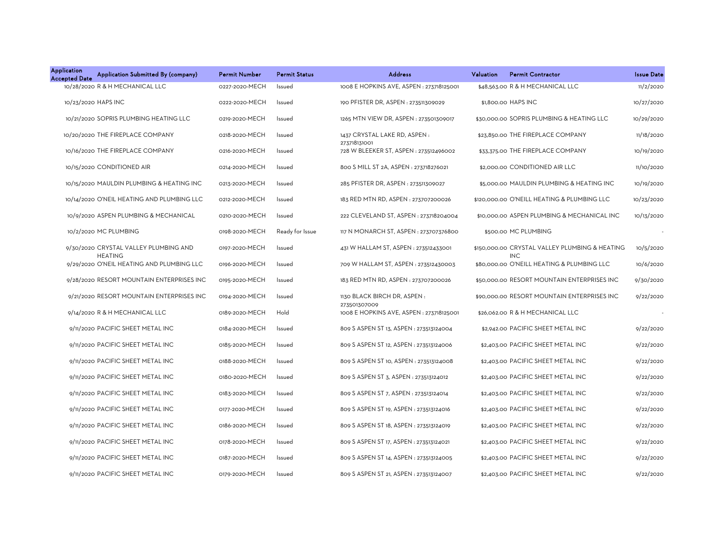| <b>Application</b><br>Application Submitted By (company)<br><b>Accepted Date</b> | <b>Permit Number</b> | <b>Permit Status</b> | <b>Address</b>                                           | Valuation | <b>Permit Contractor</b>                                     | <b>Issue Date</b> |
|----------------------------------------------------------------------------------|----------------------|----------------------|----------------------------------------------------------|-----------|--------------------------------------------------------------|-------------------|
| 10/28/2020 R & H MECHANICAL LLC                                                  | 0227-2020-MECH       | Issued               | 1008 E HOPKINS AVE, ASPEN : 273718125001                 |           | \$48,563.00 R & H MECHANICAL LLC                             | 11/2/2020         |
| 10/23/2020 HAPS INC                                                              | 0222-2020-MECH       | Issued               | 190 PFISTER DR, ASPEN : 273511309029                     |           | \$1,800.00 HAPS INC                                          | 10/27/2020        |
| 10/21/2020 SOPRIS PLUMBING HEATING LLC                                           | 0219-2020-MECH       | Issued               | 1265 MTN VIEW DR, ASPEN : 273501309017                   |           | \$30,000.00 SOPRIS PLUMBING & HEATING LLC                    | 10/29/2020        |
| 10/20/2020 THE FIREPLACE COMPANY                                                 | 0218-2020-MECH       | Issued               | 1437 CRYSTAL LAKE RD, ASPEN:                             |           | \$23,850.00 THE FIREPLACE COMPANY                            | 11/18/2020        |
| 10/16/2020 THE FIREPLACE COMPANY                                                 | 0216-2020-MECH       | Issued               | 273718131001<br>728 W BLEEKER ST, ASPEN : 273512496002   |           | \$33,375.00 THE FIREPLACE COMPANY                            | 10/19/2020        |
| 10/15/2020 CONDITIONED AIR                                                       | 0214-2020-MECH       | Issued               | 800 S MILL ST 2A, ASPEN : 273718276021                   |           | \$2,000.00 CONDITIONED AIR LLC                               | 11/10/2020        |
| 10/15/2020 MAULDIN PLUMBING & HEATING INC                                        | 0213-2020-MECH       | Issued               | 285 PFISTER DR, ASPEN : 273511309027                     |           | \$5,000.00 MAULDIN PLUMBING & HEATING INC                    | 10/19/2020        |
| 10/14/2020 O'NEIL HEATING AND PLUMBING LLC                                       | 0212-2020-MECH       | Issued               | 183 RED MTN RD, ASPEN: 273707200026                      |           | \$120,000.00 O'NEILL HEATING & PLUMBING LLC                  | 10/23/2020        |
| 10/9/2020 ASPEN PLUMBING & MECHANICAL                                            | 0210-2020-MECH       | Issued               | 222 CLEVELAND ST, ASPEN : 273718204004                   |           | \$10,000.00 ASPEN PLUMBING & MECHANICAL INC                  | 10/13/2020        |
| 10/2/2020 MC PLUMBING                                                            | 0198-2020-MECH       | Ready for Issue      | 117 N MONARCH ST, ASPEN: 273707376800                    |           | \$500.00 MC PLUMBING                                         |                   |
| 9/30/2020 CRYSTAL VALLEY PLUMBING AND<br><b>HEATING</b>                          | 0197-2020-MECH       | Issued               | 431 W HALLAM ST, ASPEN : 273512433001                    |           | \$150,000.00 CRYSTAL VALLEY PLUMBING & HEATING<br><b>INC</b> | 10/5/2020         |
| 9/29/2020 O'NEIL HEATING AND PLUMBING LLC                                        | 0196-2020-MECH       | Issued               | 709 W HALLAM ST, ASPEN: 273512430003                     |           | \$80,000.00 O'NEILL HEATING & PLUMBING LLC                   | 10/6/2020         |
| 9/28/2020 RESORT MOUNTAIN ENTERPRISES INC                                        | 0195-2020-MECH       | Issued               | 183 RED MTN RD, ASPEN: 273707200026                      |           | \$50,000.00 RESORT MOUNTAIN ENTERPRISES INC                  | 9/30/2020         |
| 9/21/2020 RESORT MOUNTAIN ENTERPRISES INC                                        | 0194-2020-MECH       | Issued               | 1130 BLACK BIRCH DR, ASPEN:                              |           | \$90,000.00 RESORT MOUNTAIN ENTERPRISES INC                  | 9/22/2020         |
| 9/14/2020 R & H MECHANICAL LLC                                                   | 0189-2020-MECH       | Hold                 | 273501307009<br>1008 E HOPKINS AVE, ASPEN : 273718125001 |           | \$26,062.00 R & H MECHANICAL LLC                             |                   |
| 9/11/2020 PACIFIC SHEET METAL INC                                                | 0184-2020-MECH       | Issued               | 809 S ASPEN ST 13, ASPEN : 273513124004                  |           | \$2,942.00 PACIFIC SHEET METAL INC                           | 9/22/2020         |
| 9/11/2020 PACIFIC SHEET METAL INC                                                | 0185-2020-MECH       | Issued               | 809 S ASPEN ST 12, ASPEN : 273513124006                  |           | \$2,403.00 PACIFIC SHEET METAL INC                           | 9/22/2020         |
| 9/11/2020 PACIFIC SHEET METAL INC                                                | 0188-2020-MECH       | Issued               | 809 S ASPEN ST 10, ASPEN : 273513124008                  |           | \$2,403.00 PACIFIC SHEET METAL INC                           | 9/22/2020         |
| 9/11/2020 PACIFIC SHEET METAL INC                                                | 0180-2020-MECH       | Issued               | 809 S ASPEN ST 3, ASPEN : 273513124012                   |           | \$2,403.00 PACIFIC SHEET METAL INC                           | 9/22/2020         |
| 9/11/2020 PACIFIC SHEET METAL INC                                                | 0183-2020-MECH       | Issued               | 809 S ASPEN ST 7, ASPEN : 273513124014                   |           | \$2,403.00 PACIFIC SHEET METAL INC                           | 9/22/2020         |
| 9/11/2020 PACIFIC SHEET METAL INC                                                | 0177-2020-MECH       | Issued               | 809 S ASPEN ST 19, ASPEN : 273513124016                  |           | \$2,403.00 PACIFIC SHEET METAL INC                           | 9/22/2020         |
| 9/11/2020 PACIFIC SHEET METAL INC                                                | 0186-2020-MECH       | Issued               | 809 S ASPEN ST 18, ASPEN : 273513124019                  |           | \$2,403.00 PACIFIC SHEET METAL INC                           | 9/22/2020         |
| 9/11/2020 PACIFIC SHEET METAL INC                                                | 0178-2020-MECH       | Issued               | 809 S ASPEN ST 17, ASPEN : 273513124021                  |           | \$2,403.00 PACIFIC SHEET METAL INC                           | 9/22/2020         |
| 9/11/2020 PACIFIC SHEET METAL INC                                                | 0187-2020-MECH       | Issued               | 809 S ASPEN ST 14, ASPEN : 273513124005                  |           | \$2,403.00 PACIFIC SHEET METAL INC                           | 9/22/2020         |
| 9/11/2020 PACIFIC SHEET METAL INC                                                | 0179-2020-MECH       | Issued               | 809 S ASPEN ST 21, ASPEN : 273513124007                  |           | \$2.403.00 PACIFIC SHEET METAL INC                           | 9/22/2020         |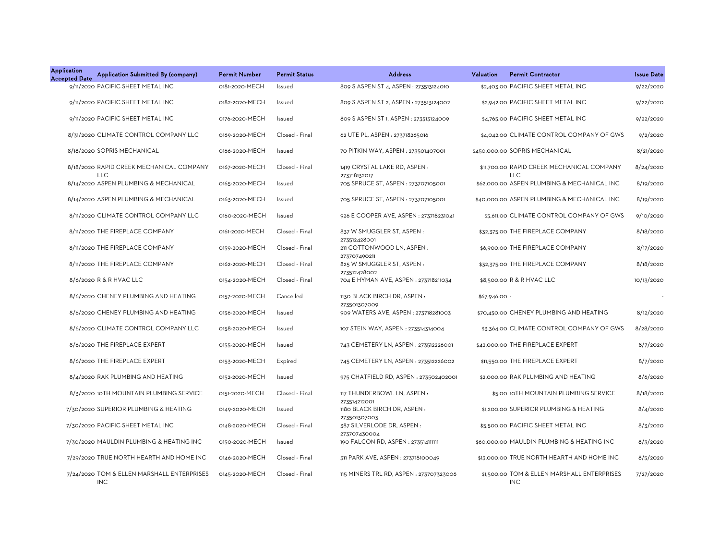| Application<br><b>Accepted Date</b> | Application Submitted By (company)                       | <b>Permit Number</b> | <b>Permit Status</b> | <b>Address</b>                                        | Valuation     | <b>Permit Contractor</b>                                  | <b>Issue Date</b> |
|-------------------------------------|----------------------------------------------------------|----------------------|----------------------|-------------------------------------------------------|---------------|-----------------------------------------------------------|-------------------|
|                                     | 9/11/2020 PACIFIC SHEET METAL INC                        | 0181-2020-MECH       | Issued               | 809 S ASPEN ST 4, ASPEN : 273513124010                |               | \$2,403.00 PACIFIC SHEET METAL INC                        | 9/22/2020         |
|                                     | 9/11/2020 PACIFIC SHEET METAL INC                        | 0182-2020-MECH       | Issued               | 809 S ASPEN ST 2, ASPEN : 273513124002                |               | \$2,942.00 PACIFIC SHEET METAL INC                        | 9/22/2020         |
|                                     | 9/11/2020 PACIFIC SHEET METAL INC                        | 0176-2020-MECH       | Issued               | 809 S ASPEN ST 1, ASPEN : 273513124009                |               | \$4,765.00 PACIFIC SHEET METAL INC                        | 9/22/2020         |
|                                     | 8/31/2020 CLIMATE CONTROL COMPANY LLC                    | 0169-2020-MECH       | Closed - Final       | 62 UTE PL, ASPEN : 273718265016                       |               | \$4,042.00 CLIMATE CONTROL COMPANY OF GWS                 | 9/2/2020          |
|                                     | 8/18/2020 SOPRIS MECHANICAL                              | 0166-2020-MECH       | Issued               | 70 PITKIN WAY, ASPEN : 273501407001                   |               | \$450,000.00 SOPRIS MECHANICAL                            | 8/21/2020         |
|                                     | 8/18/2020 RAPID CREEK MECHANICAL COMPANY<br><b>LLC</b>   | 0167-2020-MECH       | Closed - Final       | 1419 CRYSTAL LAKE RD, ASPEN:<br>273718132017          |               | \$11,700.00 RAPID CREEK MECHANICAL COMPANY<br><b>LLC</b>  | 8/24/2020         |
|                                     | 8/14/2020 ASPEN PLUMBING & MECHANICAL                    | 0165-2020-MECH       | Issued               | 705 SPRUCE ST, ASPEN : 273707105001                   |               | \$62,000.00 ASPEN PLUMBING & MECHANICAL INC               | 8/19/2020         |
|                                     | 8/14/2020 ASPEN PLUMBING & MECHANICAL                    | 0163-2020-MECH       | Issued               | 705 SPRUCE ST, ASPEN : 273707105001                   |               | \$40,000.00 ASPEN PLUMBING & MECHANICAL INC               | 8/19/2020         |
|                                     | 8/11/2020 CLIMATE CONTROL COMPANY LLC                    | 0160-2020-MECH       | Issued               | 926 E COOPER AVE, ASPEN : 273718231041                |               | \$5,611,00 CLIMATE CONTROL COMPANY OF GWS                 | 9/10/2020         |
|                                     | 8/11/2020 THE FIREPLACE COMPANY                          | 0161-2020-MECH       | Closed - Final       | 837 W SMUGGLER ST, ASPEN:<br>273512428001             |               | \$32,375.00 THE FIREPLACE COMPANY                         | 8/18/2020         |
|                                     | 8/11/2020 THE FIREPLACE COMPANY                          | 0159-2020-MECH       | Closed - Final       | 211 COTTONWOOD LN, ASPEN:                             |               | \$6,900.00 THE FIREPLACE COMPANY                          | 8/17/2020         |
|                                     | 8/11/2020 THE FIREPLACE COMPANY                          | 0162-2020-MECH       | Closed - Final       | 273707490211<br>825 W SMUGGLER ST, ASPEN:             |               | \$32,375.00 THE FIREPLACE COMPANY                         | 8/18/2020         |
|                                     | 8/6/2020 R & R HVAC LLC                                  | 0154-2020-MECH       | Closed - Final       | 273512428002<br>704 E HYMAN AVE, ASPEN : 273718211034 |               | \$8,500.00 R & R HVAC LLC                                 | 10/13/2020        |
|                                     | 8/6/2020 CHENEY PLUMBING AND HEATING                     | 0157-2020-MECH       | Cancelled            | 1130 BLACK BIRCH DR, ASPEN:                           | \$67,946.00 - |                                                           |                   |
|                                     | 8/6/2020 CHENEY PLUMBING AND HEATING                     | 0156-2020-MECH       | Issued               | 273501307009<br>909 WATERS AVE, ASPEN : 273718281003  |               | \$70,450.00 CHENEY PLUMBING AND HEATING                   | 8/12/2020         |
|                                     | 8/6/2020 CLIMATE CONTROL COMPANY LLC                     | 0158-2020-MECH       | Issued               | 107 STEIN WAY, ASPEN : 273514314004                   |               | \$3,364.00 CLIMATE CONTROL COMPANY OF GWS                 | 8/28/2020         |
|                                     | 8/6/2020 THE FIREPLACE EXPERT                            | 0155-2020-MECH       | Issued               | 743 CEMETERY LN, ASPEN : 273512226001                 |               | \$42,000.00 THE FIREPLACE EXPERT                          | 8/7/2020          |
|                                     | 8/6/2020 THE FIREPLACE EXPERT                            | 0153-2020-MECH       | Expired              | 745 CEMETERY LN, ASPEN : 273512226002                 |               | \$11,550.00 THE FIREPLACE EXPERT                          | 8/7/2020          |
|                                     | 8/4/2020 RAK PLUMBING AND HEATING                        | 0152-2020-MECH       | Issued               | 975 CHATFIELD RD, ASPEN: 273502402001                 |               | \$2,000.00 RAK PLUMBING AND HEATING                       | 8/6/2020          |
|                                     | 8/3/2020 10TH MOUNTAIN PLUMBING SERVICE                  | 0151-2020-MECH       | Closed - Final       | 117 THUNDERBOWL LN, ASPEN:                            |               | \$5.00 10TH MOUNTAIN PLUMBING SERVICE                     | 8/18/2020         |
|                                     | 7/30/2020 SUPERIOR PLUMBING & HEATING                    | 0149-2020-MECH       | Issued               | 273514212001<br>1180 BLACK BIRCH DR, ASPEN:           |               | \$1,200.00 SUPERIOR PLUMBING & HEATING                    | 8/4/2020          |
|                                     | 7/30/2020 PACIFIC SHEET METAL INC                        | 0148-2020-MECH       | Closed - Final       | 273501307003<br>387 SILVERLODE DR, ASPEN :            |               | \$5,500.00 PACIFIC SHEET METAL INC                        | 8/3/2020          |
|                                     | 7/30/2020 MAULDIN PLUMBING & HEATING INC                 | 0150-2020-MECH       | Issued               | 273707430004<br>190 FALCON RD, ASPEN : 273514111111   |               | \$60,000.00 MAULDIN PLUMBING & HEATING INC                | 8/3/2020          |
|                                     | 7/29/2020 TRUE NORTH HEARTH AND HOME INC                 | 0146-2020-MECH       | Closed - Final       | 311 PARK AVE, ASPEN : 273718100049                    |               | \$13,000.00 TRUE NORTH HEARTH AND HOME INC                | 8/5/2020          |
|                                     | 7/24/2020 TOM & ELLEN MARSHALL ENTERPRISES<br><b>INC</b> | 0145-2020-MECH       | Closed - Final       | 115 MINERS TRL RD, ASPEN : 273707323006               |               | \$1,500.00 TOM & ELLEN MARSHALL ENTERPRISES<br><b>INC</b> | 7/27/2020         |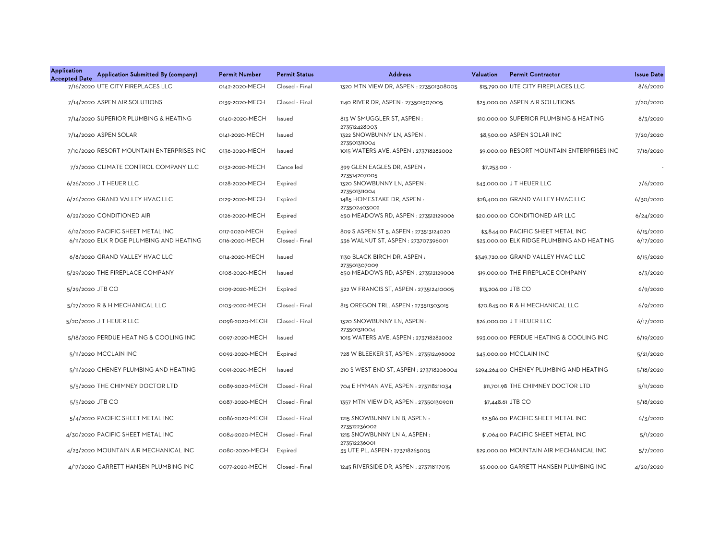| <b>Application</b><br><b>Accepted Date</b> | Application Submitted By (company)        | <b>Permit Number</b> | <b>Permit Status</b> | <b>Address</b>                                       | Valuation     | <b>Permit Contractor</b>                   | <b>Issue Date</b> |
|--------------------------------------------|-------------------------------------------|----------------------|----------------------|------------------------------------------------------|---------------|--------------------------------------------|-------------------|
|                                            | 7/16/2020 UTE CITY FIREPLACES LLC         | 0142-2020-MECH       | Closed - Final       | 1320 MTN VIEW DR, ASPEN : 273501308005               |               | \$15,790.00 UTE CITY FIREPLACES LLC        | 8/6/2020          |
|                                            | 7/14/2020 ASPEN AIR SOLUTIONS             | 0139-2020-MECH       | Closed - Final       | 1140 RIVER DR, ASPEN : 273501307005                  |               | \$25,000,00 ASPEN AIR SOLUTIONS            | 7/20/2020         |
|                                            | 7/14/2020 SUPERIOR PLUMBING & HEATING     | 0140-2020-MECH       | Issued               | 813 W SMUGGLER ST, ASPEN:<br>273512428003            |               | \$10,000.00 SUPERIOR PLUMBING & HEATING    | 8/3/2020          |
|                                            | 7/14/2020 ASPEN SOLAR                     | 0141-2020-MECH       | Issued               | 1322 SNOWBUNNY LN, ASPEN:<br>273501311004            |               | \$8,500.00 ASPEN SOLAR INC                 | 7/20/2020         |
|                                            | 7/10/2020 RESORT MOUNTAIN ENTERPRISES INC | 0136-2020-MECH       | Issued               | 1015 WATERS AVE, ASPEN : 273718282002                |               | \$9,000.00 RESORT MOUNTAIN ENTERPRISES INC | 7/16/2020         |
|                                            | 7/2/2020 CLIMATE CONTROL COMPANY LLC      | 0132-2020-MECH       | Cancelled            | 399 GLEN EAGLES DR, ASPEN :                          | $$7,253.00 -$ |                                            |                   |
|                                            | 6/26/2020 J T HEUER LLC                   | 0128-2020-MECH       | Expired              | 273514207005<br>1320 SNOWBUNNY LN, ASPEN:            |               | \$43,000.00 J T HEUER LLC                  | 7/6/2020          |
|                                            | 6/26/2020 GRAND VALLEY HVAC LLC           | 0129-2020-MECH       | Expired              | 273501311004<br>1485 HOMESTAKE DR, ASPEN:            |               | \$28,400.00 GRAND VALLEY HVAC LLC          | 6/30/2020         |
|                                            | 6/22/2020 CONDITIONED AIR                 | 0126-2020-MECH       | Expired              | 273502403002<br>650 MEADOWS RD, ASPEN : 273512129006 |               | \$20,000.00 CONDITIONED AIR LLC            | 6/24/2020         |
|                                            | 6/12/2020 PACIFIC SHEET METAL INC         | 0117-2020-MECH       | Expired              | 809 S ASPEN ST 5, ASPEN : 273513124020               |               | \$3,844.00 PACIFIC SHEET METAL INC         | 6/15/2020         |
|                                            | 6/11/2020 ELK RIDGE PLUMBING AND HEATING  | 0116-2020-MECH       | Closed - Final       | 536 WALNUT ST, ASPEN : 273707396001                  |               | \$25,000.00 ELK RIDGE PLUMBING AND HEATING | 6/17/2020         |
|                                            | 6/8/2020 GRAND VALLEY HVAC LLC            | 0114-2020-MECH       | Issued               | 1130 BLACK BIRCH DR, ASPEN:<br>273501307009          |               | \$349,720.00 GRAND VALLEY HVAC LLC         | 6/15/2020         |
|                                            | 5/29/2020 THE FIREPLACE COMPANY           | 0108-2020-MECH       | Issued               | 650 MEADOWS RD, ASPEN : 273512129006                 |               | \$19,000.00 THE FIREPLACE COMPANY          | 6/3/2020          |
| 5/29/2020 JTB CO                           |                                           | 0109-2020-MECH       | Expired              | 522 W FRANCIS ST, ASPEN : 273512410005               |               | \$13,206.00 JTB CO                         | 6/9/2020          |
|                                            | 5/27/2020 R & H MECHANICAL LLC            | 0103-2020-MECH       | Closed - Final       | 815 OREGON TRL, ASPEN : 273511303015                 |               | \$70,845.00 R & H MECHANICAL LLC           | 6/9/2020          |
|                                            | 5/20/2020 J T HEUER LLC                   | 0098-2020-MECH       | Closed - Final       | 1320 SNOWBUNNY LN, ASPEN:<br>273501311004            |               | \$26,000.00 J T HEUER LLC                  | 6/17/2020         |
|                                            | 5/18/2020 PERDUE HEATING & COOLING INC    | 0097-2020-MECH       | Issued               | 1015 WATERS AVE, ASPEN : 273718282002                |               | \$93,000.00 PERDUE HEATING & COOLING INC   | 6/19/2020         |
|                                            | 5/11/2020 MCCLAIN INC                     | 0092-2020-MECH       | Expired              | 728 W BLEEKER ST, ASPEN : 273512496002               |               | \$45,000.00 MCCLAIN INC                    | 5/21/2020         |
|                                            | 5/11/2020 CHENEY PLUMBING AND HEATING     | 0091-2020-MECH       | Issued               | 210 S WEST END ST, ASPEN : 273718206004              |               | \$294,264.00 CHENEY PLUMBING AND HEATING   | 5/18/2020         |
|                                            | 5/5/2020 THE CHIMNEY DOCTOR LTD           | 0089-2020-MECH       | Closed - Final       | 704 E HYMAN AVE, ASPEN : 273718211034                |               | \$11,701.98 THE CHIMNEY DOCTOR LTD         | 5/11/2020         |
| 5/5/2020 JTB CO                            |                                           | 0087-2020-MECH       | Closed - Final       | 1357 MTN VIEW DR, ASPEN : 273501309011               |               | \$7,448.61 JTB CO                          | 5/18/2020         |
|                                            | 5/4/2020 PACIFIC SHEET METAL INC          | 0086-2020-MECH       | Closed - Final       | 1215 SNOWBUNNY LN B, ASPEN:                          |               | \$2,586.00 PACIFIC SHEET METAL INC         | 6/3/2020          |
|                                            | 4/30/2020 PACIFIC SHEET METAL INC         | 0084-2020-MECH       | Closed - Final       | 273512236002<br>1215 SNOWBUNNY LN A, ASPEN:          |               | \$1,064.00 PACIFIC SHEET METAL INC         | 5/1/2020          |
|                                            | 4/23/2020 MOUNTAIN AIR MECHANICAL INC     | 0080-2020-MECH       | Expired              | 273512236001<br>35 UTE PL, ASPEN : 273718265005      |               | \$29,000.00 MOUNTAIN AIR MECHANICAL INC    | 5/7/2020          |
|                                            | 4/17/2020 GARRETT HANSEN PLUMBING INC     | 0077-2020-MECH       | Closed - Final       | 1245 RIVERSIDE DR, ASPEN : 273718117015              |               | \$5,000.00 GARRETT HANSEN PLUMBING INC     | 4/20/2020         |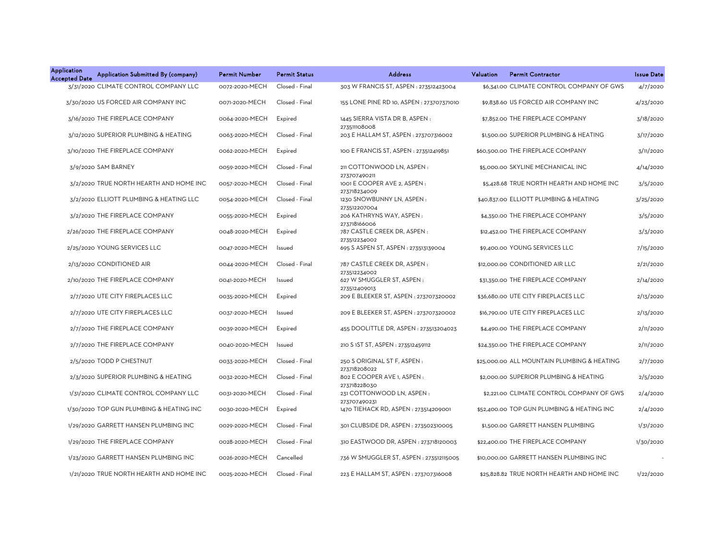| <b>Application</b><br>Application Submitted By (company)<br><b>Accepted Date</b> | <b>Permit Number</b> | <b>Permit Status</b> | <b>Address</b>                                        | Valuation | <b>Permit Contractor</b>                    | <b>Issue Date</b> |
|----------------------------------------------------------------------------------|----------------------|----------------------|-------------------------------------------------------|-----------|---------------------------------------------|-------------------|
| 3/31/2020 CLIMATE CONTROL COMPANY LLC                                            | 0072-2020-MECH       | Closed - Final       | 303 W FRANCIS ST, ASPEN : 273512423004                |           | \$6,341.00 CLIMATE CONTROL COMPANY OF GWS   | 4/7/2020          |
| 3/30/2020 US FORCED AIR COMPANY INC                                              | 0071-2020-MECH       | Closed - Final       | 155 LONE PINE RD 10, ASPEN : 273707371010             |           | \$9,838.60 US FORCED AIR COMPANY INC        | 4/23/2020         |
| 3/16/2020 THE FIREPLACE COMPANY                                                  | 0064-2020-MECH       | Expired              | 1445 SIERRA VISTA DR B, ASPEN:                        |           | \$7.852.00 THE FIREPLACE COMPANY            | 3/18/2020         |
| 3/12/2020 SUPERIOR PLUMBING & HEATING                                            | 0063-2020-MECH       | Closed - Final       | 273511108008<br>203 E HALLAM ST, ASPEN : 273707316002 |           | \$1,500.00 SUPERIOR PLUMBING & HEATING      | 3/17/2020         |
| 3/10/2020 THE FIREPLACE COMPANY                                                  | 0062-2020-MECH       | Expired              | 100 E FRANCIS ST, ASPEN : 273512419851                |           | \$60,500.00 THE FIREPLACE COMPANY           | 3/11/2020         |
| 3/9/2020 SAM BARNEY                                                              | 0059-2020-MECH       | Closed - Final       | 211 COTTONWOOD LN, ASPEN:<br>273707490211             |           | \$5,000.00 SKYLINE MECHANICAL INC           | 4/14/2020         |
| 3/2/2020 TRUE NORTH HEARTH AND HOME INC                                          | 0057-2020-MECH       | Closed - Final       | 1001 E COOPER AVE 2, ASPEN :<br>273718234009          |           | \$5,428.68 TRUE NORTH HEARTH AND HOME INC   | 3/5/2020          |
| 3/2/2020 ELLIOTT PLUMBING & HEATING LLC                                          | 0054-2020-MECH       | Closed - Final       | 1230 SNOWBUNNY LN, ASPEN:<br>273512207004             |           | \$40,837.00 ELLIOTT PLUMBING & HEATING      | 3/25/2020         |
| 3/2/2020 THE FIREPLACE COMPANY                                                   | 0055-2020-MECH       | Expired              | 206 KATHRYNS WAY, ASPEN:<br>273718166006              |           | \$4,350.00 THE FIREPLACE COMPANY            | 3/5/2020          |
| 2/26/2020 THE FIREPLACE COMPANY                                                  | 0048-2020-MECH       | Expired              | 787 CASTLE CREEK DR, ASPEN:<br>273512234002           |           | \$12,452.00 THE FIREPLACE COMPANY           | 3/3/2020          |
| 2/25/2020 YOUNG SERVICES LLC                                                     | 0047-2020-MECH       | Issued               | 695 S ASPEN ST, ASPEN : 273513139004                  |           | \$9,400.00 YOUNG SERVICES LLC               | 7/15/2020         |
| 2/13/2020 CONDITIONED AIR                                                        | 0044-2020-MECH       | Closed - Final       | 787 CASTLE CREEK DR, ASPEN:                           |           | \$12,000,00 CONDITIONED AIR LLC             | 2/21/2020         |
| 2/10/2020 THE FIREPLACE COMPANY                                                  | 0041-2020-MECH       | Issued               | 273512234002<br>627 W SMUGGLER ST, ASPEN:             |           | \$31,350.00 THE FIREPLACE COMPANY           | 2/14/2020         |
| 2/7/2020 UTE CITY FIREPLACES LLC                                                 | 0035-2020-MECH       | Expired              | 273512409013<br>209 E BLEEKER ST, ASPEN: 273707320002 |           | \$36,680.00 UTE CITY FIREPLACES LLC         | 2/13/2020         |
| 2/7/2020 UTE CITY FIREPLACES LLC                                                 | 0037-2020-MECH       | Issued               | 209 E BLEEKER ST, ASPEN : 273707320002                |           | \$16,790.00 UTE CITY FIREPLACES LLC         | 2/13/2020         |
| 2/7/2020 THE FIREPLACE COMPANY                                                   | 0039-2020-MECH       | Expired              | 455 DOOLITTLE DR, ASPEN: 273513204023                 |           | \$4,490.00 THE FIREPLACE COMPANY            | 2/11/2020         |
| 2/7/2020 THE FIREPLACE COMPANY                                                   | 0040-2020-MECH       | Issued               | 210 S 1ST ST, ASPEN : 273512459112                    |           | \$24,350.00 THE FIREPLACE COMPANY           | 2/11/2020         |
| 2/5/2020 TODD P CHESTNUT                                                         | 0033-2020-MECH       | Closed - Final       | 250 S ORIGINAL ST F, ASPEN :                          |           | \$25,000.00 ALL MOUNTAIN PLUMBING & HEATING | 2/7/2020          |
| 2/3/2020 SUPERIOR PLUMBING & HEATING                                             | 0032-2020-MECH       | Closed - Final       | 273718208022<br>802 E COOPER AVE 1, ASPEN :           |           | \$2,000.00 SUPERIOR PLUMBING & HEATING      | 2/5/2020          |
| 1/31/2020 CLIMATE CONTROL COMPANY LLC                                            | 0031-2020-MECH       | Closed - Final       | 273718228030<br>231 COTTONWOOD LN, ASPEN:             |           | \$2,221.00 CLIMATE CONTROL COMPANY OF GWS   | 2/4/2020          |
| 1/30/2020 TOP GUN PLUMBING & HEATING INC                                         | 0030-2020-MECH       | Expired              | 273707490231<br>1470 TIEHACK RD, ASPEN: 273514209001  |           | \$52,400.00 TOP GUN PLUMBING & HEATING INC  | 2/4/2020          |
| 1/29/2020 GARRETT HANSEN PLUMBING INC                                            | 0029-2020-MECH       | Closed - Final       | 301 CLUBSIDE DR, ASPEN : 273502310005                 |           | \$1,500.00 GARRETT HANSEN PLUMBING          | 1/31/2020         |
| 1/29/2020 THE FIREPLACE COMPANY                                                  | 0028-2020-MECH       | Closed - Final       | 310 EASTWOOD DR, ASPEN: 273718120003                  |           | \$22,400.00 THE FIREPLACE COMPANY           | 1/30/2020         |
| 1/23/2020 GARRETT HANSEN PLUMBING INC                                            | 0026-2020-MECH       | Cancelled            | 736 W SMUGGLER ST, ASPEN : 273512115005               |           | \$10,000.00 GARRETT HANSEN PLUMBING INC     |                   |
| 1/21/2020 TRUE NORTH HEARTH AND HOME INC                                         | 0025-2020-MECH       | Closed - Final       | 223 E HALLAM ST, ASPEN : 273707316008                 |           | \$25,828,82 TRUE NORTH HEARTH AND HOME INC  | 1/22/2020         |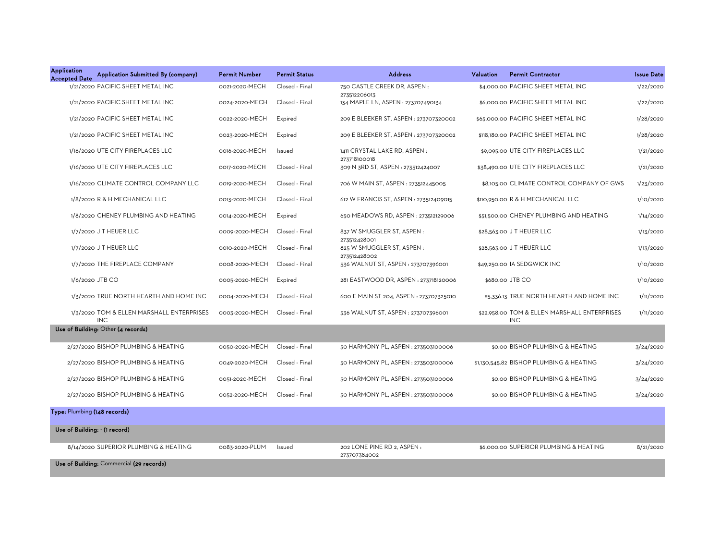| <b>Application</b><br><b>Accepted Date</b> | Application Submitted By (company)                      | <b>Permit Number</b> | <b>Permit Status</b> | <b>Address</b>                                     | Valuation<br><b>Permit Contractor</b>                      | <b>Issue Date</b> |
|--------------------------------------------|---------------------------------------------------------|----------------------|----------------------|----------------------------------------------------|------------------------------------------------------------|-------------------|
|                                            | 1/21/2020 PACIFIC SHEET METAL INC                       | 0021-2020-MECH       | Closed - Final       | 750 CASTLE CREEK DR, ASPEN:<br>273512206013        | \$4,000.00 PACIFIC SHEET METAL INC                         | 1/22/2020         |
|                                            | 1/21/2020 PACIFIC SHEET METAL INC                       | 0024-2020-MECH       | Closed - Final       | 134 MAPLE LN, ASPEN : 273707490134                 | \$6,000.00 PACIFIC SHEET METAL INC                         | 1/22/2020         |
|                                            | 1/21/2020 PACIFIC SHEET METAL INC                       | 0022-2020-MECH       | Expired              | 209 E BLEEKER ST, ASPEN : 273707320002             | \$65,000.00 PACIFIC SHEET METAL INC                        | 1/28/2020         |
|                                            | 1/21/2020 PACIFIC SHEET METAL INC                       | 0023-2020-MECH       | Expired              | 209 E BLEEKER ST, ASPEN : 273707320002             | \$118,180.00 PACIFIC SHEET METAL INC                       | 1/28/2020         |
|                                            | 1/16/2020 UTE CITY FIREPLACES LLC                       | 0016-2020-MECH       | Issued               | 1411 CRYSTAL LAKE RD, ASPEN:                       | \$9,095.00 UTE CITY FIREPLACES LLC                         | 1/21/2020         |
|                                            | 1/16/2020 UTE CITY FIREPLACES LLC                       | 0017-2020-MECH       | Closed - Final       | 273718100018<br>309 N 3RD ST, ASPEN : 273512424007 | \$38,490.00 UTE CITY FIREPLACES LLC                        | 1/21/2020         |
|                                            | 1/16/2020 CLIMATE CONTROL COMPANY LLC                   | 0019-2020-MECH       | Closed - Final       | 706 W MAIN ST, ASPEN: 273512445005                 | \$8,105.00 CLIMATE CONTROL COMPANY OF GWS                  | 1/23/2020         |
|                                            | 1/8/2020 R & H MECHANICAL LLC                           | 0013-2020-MECH       | Closed - Final       | 612 W FRANCIS ST, ASPEN : 273512409015             | \$110,950.00 R & H MECHANICAL LLC                          | 1/10/2020         |
|                                            | 1/8/2020 CHENEY PLUMBING AND HEATING                    | 0014-2020-MECH       | Expired              | 650 MEADOWS RD, ASPEN : 273512129006               | \$51,500.00 CHENEY PLUMBING AND HEATING                    | 1/14/2020         |
|                                            | 1/7/2020 JT HEUER LLC                                   | 0009-2020-MECH       | Closed - Final       | 837 W SMUGGLER ST, ASPEN:                          | \$28,563.00 J T HEUER LLC                                  | 1/13/2020         |
|                                            | 1/7/2020 JT HEUER LLC                                   | 0010-2020-MECH       | Closed - Final       | 273512428001<br>825 W SMUGGLER ST, ASPEN:          | \$28,563.00 J T HEUER LLC                                  | 1/13/2020         |
|                                            | 1/7/2020 THE FIREPLACE COMPANY                          | 0008-2020-MECH       | Closed - Final       | 273512428002<br>536 WALNUT ST, ASPEN: 273707396001 | \$49,250.00 IA SEDGWICK INC                                | 1/10/2020         |
|                                            | 1/6/2020 JTB CO                                         | 0005-2020-MECH       | Expired              | 281 EASTWOOD DR, ASPEN: 273718120006               | \$680.00 JTB CO                                            | 1/10/2020         |
|                                            | 1/3/2020 TRUE NORTH HEARTH AND HOME INC                 | 0004-2020-MECH       | Closed - Final       | 600 E MAIN ST 204, ASPEN : 273707325010            | \$5,336.13 TRUE NORTH HEARTH AND HOME INC                  | 1/11/2020         |
|                                            | 1/3/2020 TOM & ELLEN MARSHALL ENTERPRISES<br><b>INC</b> | 0003-2020-MECH       | Closed - Final       | 536 WALNUT ST, ASPEN : 273707396001                | \$22,958.00 TOM & ELLEN MARSHALL ENTERPRISES<br><b>INC</b> | 1/11/2020         |
|                                            | Use of Building: Other (4 records)                      |                      |                      |                                                    |                                                            |                   |
|                                            | 2/27/2020 BISHOP PLUMBING & HEATING                     | 0050-2020-MECH       | Closed - Final       | 50 HARMONY PL, ASPEN : 273503100006                | \$0.00 BISHOP PLUMBING & HEATING                           | 3/24/2020         |
|                                            | 2/27/2020 BISHOP PLUMBING & HEATING                     | 0049-2020-MECH       | Closed - Final       | 50 HARMONY PL, ASPEN : 273503100006                | \$1,130,545.82 BISHOP PLUMBING & HEATING                   | 3/24/2020         |
|                                            | 2/27/2020 BISHOP PLUMBING & HEATING                     | 0051-2020-MECH       | Closed - Final       | 50 HARMONY PL, ASPEN : 273503100006                | \$0.00 BISHOP PLUMBING & HEATING                           | 3/24/2020         |
|                                            | 2/27/2020 BISHOP PLUMBING & HEATING                     | 0052-2020-MECH       | Closed - Final       | 50 HARMONY PL, ASPEN : 273503100006                | \$0.00 BISHOP PLUMBING & HEATING                           | 3/24/2020         |
| Type: Plumbing (148 records)               |                                                         |                      |                      |                                                    |                                                            |                   |
|                                            | Use of Building: - (1 record)                           |                      |                      |                                                    |                                                            |                   |
|                                            | 8/14/2020 SUPERIOR PLUMBING & HEATING                   | 0083-2020-PLUM       | Issued               | 202 LONE PINE RD 2, ASPEN:<br>273707384002         | \$6,000.00 SUPERIOR PLUMBING & HEATING                     | 8/21/2020         |
|                                            | Use of Building: Commercial (29 records)                |                      |                      |                                                    |                                                            |                   |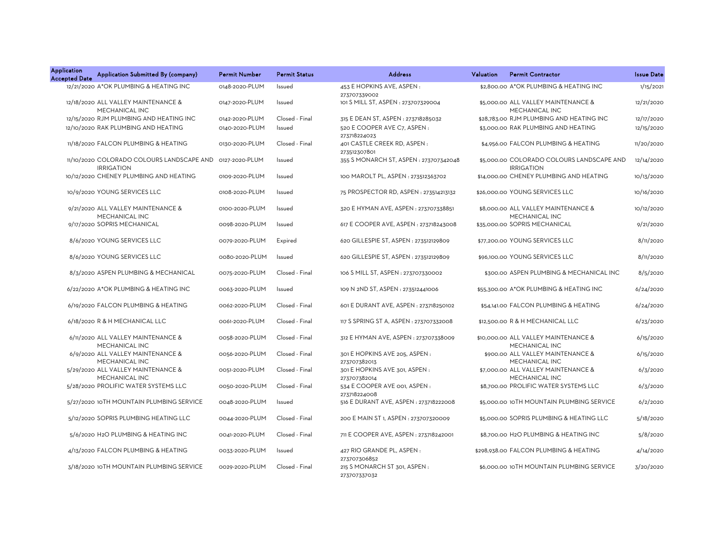| <b>Application</b><br><b>Accepted Date</b> | Application Submitted By (company)                             | <b>Permit Number</b> | <b>Permit Status</b> | <b>Address</b>                                | Valuation | <b>Permit Contractor</b>                                       | <b>Issue Date</b> |
|--------------------------------------------|----------------------------------------------------------------|----------------------|----------------------|-----------------------------------------------|-----------|----------------------------------------------------------------|-------------------|
|                                            | 12/21/2020 A*OK PLUMBING & HEATING INC                         | 0148-2020-PLUM       | Issued               | 453 E HOPKINS AVE, ASPEN:<br>273707339002     |           | \$2.800.00 A*OK PLUMBING & HEATING INC                         | 1/15/2021         |
|                                            | 12/18/2020 ALL VALLEY MAINTENANCE &<br>MECHANICAL INC          | 0147-2020-PLUM       | Issued               | 101 S MILL ST, ASPEN : 273707329004           |           | \$5,000.00 ALL VALLEY MAINTENANCE &<br>MECHANICAL INC          | 12/21/2020        |
|                                            | 12/15/2020 RJM PLUMBING AND HEATING INC                        | 0142-2020-PLUM       | Closed - Final       | 315 E DEAN ST, ASPEN : 273718285032           |           | \$28,783.00 RJM PLUMBING AND HEATING INC                       | 12/17/2020        |
|                                            | 12/10/2020 RAK PLUMBING AND HEATING                            | 0140-2020-PLUM       | Issued               | 520 E COOPER AVE C7, ASPEN:<br>273718224023   |           | \$3,000.00 RAK PLUMBING AND HEATING                            | 12/15/2020        |
|                                            | 11/18/2020 FALCON PLUMBING & HEATING                           | 0130-2020-PLUM       | Closed - Final       | 401 CASTLE CREEK RD, ASPEN:<br>273512307801   |           | \$4,956.00 FALCON PLUMBING & HEATING                           | 11/20/2020        |
|                                            | 11/10/2020 COLORADO COLOURS LANDSCAPE AND<br><b>IRRIGATION</b> | 0127-2020-PLUM       | Issued               | 355 S MONARCH ST, ASPEN : 273707342048        |           | \$5,000.00 COLORADO COLOURS LANDSCAPE AND<br><b>IRRIGATION</b> | 12/14/2020        |
|                                            | 10/12/2020 CHENEY PLUMBING AND HEATING                         | 0109-2020-PLUM       | Issued               | 100 MAROLT PL, ASPEN : 273512363702           |           | \$14,000.00 CHENEY PLUMBING AND HEATING                        | 10/13/2020        |
|                                            | 10/9/2020 YOUNG SERVICES LLC                                   | 0108-2020-PLUM       | Issued               | 75 PROSPECTOR RD, ASPEN: 273514213132         |           | \$26,000.00 YOUNG SERVICES LLC                                 | 10/16/2020        |
|                                            | 9/21/2020 ALL VALLEY MAINTENANCE &<br>MECHANICAL INC           | 0100-2020-PLUM       | Issued               | 320 E HYMAN AVE, ASPEN : 273707338851         |           | \$8,000.00 ALL VALLEY MAINTENANCE &<br>MECHANICAL INC          | 10/12/2020        |
|                                            | 9/17/2020 SOPRIS MECHANICAL                                    | 0098-2020-PLUM       | Issued               | 617 E COOPER AVE, ASPEN : 273718243008        |           | \$35,000.00 SOPRIS MECHANICAL                                  | 9/21/2020         |
|                                            | 8/6/2020 YOUNG SERVICES LLC                                    | 0079-2020-PLUM       | Expired              | 620 GILLESPIE ST, ASPEN : 273512129809        |           | \$77,200.00 YOUNG SERVICES LLC                                 | 8/11/2020         |
|                                            | 8/6/2020 YOUNG SERVICES LLC                                    | 0080-2020-PLUM       | Issued               | 620 GILLESPIE ST, ASPEN: 273512129809         |           | \$96,100.00 YOUNG SERVICES LLC                                 | 8/11/2020         |
|                                            | 8/3/2020 ASPEN PLUMBING & MECHANICAL                           | 0075-2020-PLUM       | Closed - Final       | 106 S MILL ST, ASPEN : 273707330002           |           | \$300.00 ASPEN PLUMBING & MECHANICAL INC                       | 8/5/2020          |
|                                            | 6/22/2020 A*OK PLUMBING & HEATING INC                          | 0063-2020-PLUM       | Issued               | 109 N 2ND ST, ASPEN : 273512441006            |           | \$55,300.00 A*OK PLUMBING & HEATING INC                        | 6/24/2020         |
|                                            | 6/19/2020 FALCON PLUMBING & HEATING                            | 0062-2020-PLUM       | Closed - Final       | 601 E DURANT AVE, ASPEN : 273718250102        |           | \$54,141.00 FALCON PLUMBING & HEATING                          | 6/24/2020         |
|                                            | 6/18/2020 R & H MECHANICAL LLC                                 | 0061-2020-PLUM       | Closed - Final       | 117 S SPRING ST A, ASPEN : 273707332008       |           | \$12,500.00 R & H MECHANICAL LLC                               | 6/23/2020         |
|                                            | 6/11/2020 ALL VALLEY MAINTENANCE &<br>MECHANICAL INC           | 0058-2020-PLUM       | Closed - Final       | 312 E HYMAN AVE, ASPEN : 273707338009         |           | \$10,000.00 ALL VALLEY MAINTENANCE &<br>MECHANICAL INC         | 6/15/2020         |
|                                            | 6/9/2020 ALL VALLEY MAINTENANCE &<br>MECHANICAL INC            | 0056-2020-PLUM       | Closed - Final       | 301 E HOPKINS AVE 205, ASPEN:<br>273707382013 |           | \$900.00 ALL VALLEY MAINTENANCE &<br>MECHANICAL INC            | 6/15/2020         |
|                                            | 5/29/2020 ALL VALLEY MAINTENANCE &<br>MECHANICAL INC           | 0051-2020-PLUM       | Closed - Final       | 301 E HOPKINS AVE 301, ASPEN:<br>273707382014 |           | \$7,000.00 ALL VALLEY MAINTENANCE &<br>MECHANICAL INC          | 6/3/2020          |
|                                            | 5/28/2020 PROLIFIC WATER SYSTEMS LLC                           | 0050-2020-PLUM       | Closed - Final       | 534 E COOPER AVE 001, ASPEN :<br>273718224008 |           | \$8,700.00 PROLIFIC WATER SYSTEMS LLC                          | 6/3/2020          |
|                                            | 5/27/2020 10TH MOUNTAIN PLUMBING SERVICE                       | 0048-2020-PLUM       | Issued               | 516 E DURANT AVE, ASPEN : 273718222008        |           | \$5,000.00 10TH MOUNTAIN PLUMBING SERVICE                      | 6/2/2020          |
|                                            | 5/12/2020 SOPRIS PLUMBING HEATING LLC                          | 0044-2020-PLUM       | Closed - Final       | 200 E MAIN ST 1, ASPEN : 273707320009         |           | \$5,000.00 SOPRIS PLUMBING & HEATING LLC                       | 5/18/2020         |
|                                            | 5/6/2020 H2O PLUMBING & HEATING INC                            | 0041-2020-PLUM       | Closed - Final       | 711 E COOPER AVE, ASPEN : 273718242001        |           | \$8,700.00 H2O PLUMBING & HEATING INC                          | 5/8/2020          |
|                                            | 4/13/2020 FALCON PLUMBING & HEATING                            | 0033-2020-PLUM       | Issued               | 427 RIO GRANDE PL, ASPEN :<br>273707306852    |           | \$298,938.00 FALCON PLUMBING & HEATING                         | 4/14/2020         |
|                                            | 3/18/2020 10TH MOUNTAIN PLUMBING SERVICE                       | 0029-2020-PLUM       | Closed - Final       | 215 S MONARCH ST 301, ASPEN:<br>273707337032  |           | \$6,000.00 10TH MOUNTAIN PLUMBING SERVICE                      | 3/20/2020         |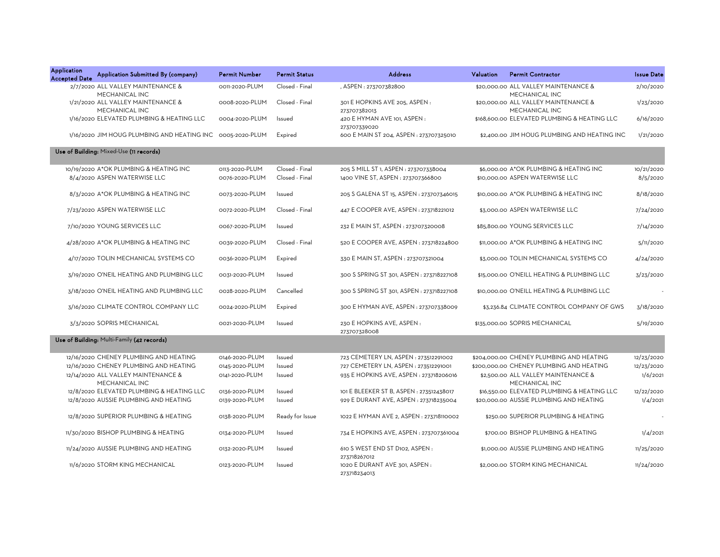| <b>Application</b><br><b>Accepted Date</b> | Application Submitted By (company)                    | <b>Permit Number</b> | <b>Permit Status</b> | <b>Address</b>                                 | Valuation | <b>Permit Contractor</b>                               | <b>Issue Date</b> |
|--------------------------------------------|-------------------------------------------------------|----------------------|----------------------|------------------------------------------------|-----------|--------------------------------------------------------|-------------------|
|                                            | 2/7/2020 ALL VALLEY MAINTENANCE &<br>MECHANICAL INC   | 0011-2020-PLUM       | Closed - Final       | , ASPEN: 273707382800                          |           | \$20,000,00 ALL VALLEY MAINTENANCE &<br>MECHANICAL INC | 2/10/2020         |
|                                            | 1/21/2020 ALL VALLEY MAINTENANCE &<br>MECHANICAL INC  | 0008-2020-PLUM       | Closed - Final       | 301 E HOPKINS AVE 205, ASPEN:<br>273707382013  |           | \$20,000.00 ALL VALLEY MAINTENANCE &<br>MECHANICAL INC | 1/23/2020         |
|                                            | 1/16/2020 ELEVATED PLUMBING & HEATING LLC             | 0004-2020-PLUM       | Issued               | 420 E HYMAN AVE 101, ASPEN :<br>273707339020   |           | \$168,600.00 ELEVATED PLUMBING & HEATING LLC           | 6/16/2020         |
|                                            | 1/16/2020 JIM HOUG PLUMBING AND HEATING INC           | 0005-2020-PLUM       | Expired              | 600 E MAIN ST 204, ASPEN : 273707325010        |           | \$2,400.00 JIM HOUG PLUMBING AND HEATING INC           | 1/21/2020         |
|                                            | Use of Building: Mixed-Use (11 records)               |                      |                      |                                                |           |                                                        |                   |
|                                            | 10/19/2020 A*OK PLUMBING & HEATING INC                | 0113-2020-PLUM       | Closed - Final       | 205 S MILL ST 1, ASPEN : 273707338004          |           | \$6,000.00 A*OK PLUMBING & HEATING INC                 | 10/21/2020        |
|                                            | 8/4/2020 ASPEN WATERWISE LLC                          | 0076-2020-PLUM       | Closed - Final       | 1400 VINE ST, ASPEN : 273707366800             |           | \$10,000,00 ASPEN WATERWISE LLC                        | 8/5/2020          |
|                                            | 8/3/2020 A*OK PLUMBING & HEATING INC                  | 0073-2020-PLUM       | Issued               | 205 S GALENA ST 15, ASPEN : 273707346015       |           | \$10,000.00 A*OK PLUMBING & HEATING INC                | 8/18/2020         |
|                                            | 7/23/2020 ASPEN WATERWISE LLC                         | 0072-2020-PLUM       | Closed - Final       | 447 E COOPER AVE, ASPEN : 273718221012         |           | \$3,000.00 ASPEN WATERWISE LLC                         | 7/24/2020         |
|                                            | 7/10/2020 YOUNG SERVICES LLC                          | 0067-2020-PLUM       | Issued               | 232 E MAIN ST, ASPEN : 273707320008            |           | \$85,800.00 YOUNG SERVICES LLC                         | 7/14/2020         |
|                                            | 4/28/2020 A*OK PLUMBING & HEATING INC                 | 0039-2020-PLUM       | Closed - Final       | 520 E COOPER AVE, ASPEN : 273718224800         |           | \$11,000.00 A*OK PLUMBING & HEATING INC                | 5/11/2020         |
|                                            | 4/17/2020 TOLIN MECHANICAL SYSTEMS CO                 | 0036-2020-PLUM       | Expired              | 330 E MAIN ST, ASPEN : 273707321004            |           | \$3,000.00 TOLIN MECHANICAL SYSTEMS CO                 | 4/24/2020         |
|                                            | 3/19/2020 O'NEIL HEATING AND PLUMBING LLC             | 0031-2020-PLUM       | Issued               | 300 S SPRING ST 301, ASPEN : 273718227108      |           | \$15,000.00 O'NEILL HEATING & PLUMBING LLC             | 3/23/2020         |
|                                            | 3/18/2020 O'NEIL HEATING AND PLUMBING LLC             | 0028-2020-PLUM       | Cancelled            | 300 S SPRING ST 301, ASPEN : 273718227108      |           | \$10,000.00 O'NEILL HEATING & PLUMBING LLC             |                   |
|                                            | 3/16/2020 CLIMATE CONTROL COMPANY LLC                 | 0024-2020-PLUM       | Expired              | 300 E HYMAN AVE, ASPEN : 273707338009          |           | \$3,236.84 CLIMATE CONTROL COMPANY OF GWS              | 3/18/2020         |
|                                            | 3/3/2020 SOPRIS MECHANICAL                            | 0021-2020-PLUM       | Issued               | 230 E HOPKINS AVE, ASPEN:<br>273707328008      |           | \$135,000.00 SOPRIS MECHANICAL                         | 5/19/2020         |
|                                            | Use of Building: Multi-Family (42 records)            |                      |                      |                                                |           |                                                        |                   |
|                                            | 12/16/2020 CHENEY PLUMBING AND HEATING                | 0146-2020-PLUM       | Issued               | 723 CEMETERY LN, ASPEN : 273512291002          |           | \$204,000.00 CHENEY PLUMBING AND HEATING               | 12/23/2020        |
|                                            | 12/16/2020 CHENEY PLUMBING AND HEATING                | 0145-2020-PLUM       | Issued               | 727 CEMETERY LN, ASPEN : 273512291001          |           | \$200,000.00 CHENEY PLUMBING AND HEATING               | 12/23/2020        |
|                                            | 12/14/2020 ALL VALLEY MAINTENANCE &<br>MECHANICAL INC | 0141-2020-PLUM       | Issued               | 935 E HOPKINS AVE, ASPEN : 273718206016        |           | \$2,500.00 ALL VALLEY MAINTENANCE &<br>MECHANICAL INC  | 1/6/2021          |
|                                            | 12/8/2020 ELEVATED PLUMBING & HEATING LLC             | 0136-2020-PLUM       | Issued               | 101 E BLEEKER ST B, ASPEN : 273512438017       |           | \$16,550.00 ELEVATED PLUMBING & HEATING LLC            | 12/22/2020        |
|                                            | 12/8/2020 AUSSIE PLUMBING AND HEATING                 | 0139-2020-PLUM       | Issued               | 929 E DURANT AVE, ASPEN : 273718235004         |           | \$20,000.00 AUSSIE PLUMBING AND HEATING                | 1/4/2021          |
|                                            | 12/8/2020 SUPERIOR PLUMBING & HEATING                 | 0138-2020-PLUM       | Ready for Issue      | 1022 E HYMAN AVE 2, ASPEN : 273718110002       |           | \$250.00 SUPERIOR PLUMBING & HEATING                   |                   |
|                                            | 11/30/2020 BISHOP PLUMBING & HEATING                  | 0134-2020-PLUM       | Issued               | 734 E HOPKINS AVE, ASPEN : 273707361004        |           | \$700.00 BISHOP PLUMBING & HEATING                     | 1/4/2021          |
|                                            | 11/24/2020 AUSSIE PLUMBING AND HEATING                | 0132-2020-PLUM       | Issued               | 610 S WEST END ST D102, ASPEN:<br>273718267012 |           | \$1,000.00 AUSSIE PLUMBING AND HEATING                 | 11/25/2020        |
|                                            | 11/6/2020 STORM KING MECHANICAL                       | 0123-2020-PLUM       | Issued               | 1020 E DURANT AVE 301, ASPEN :<br>273718234013 |           | \$2,000.00 STORM KING MECHANICAL                       | 11/24/2020        |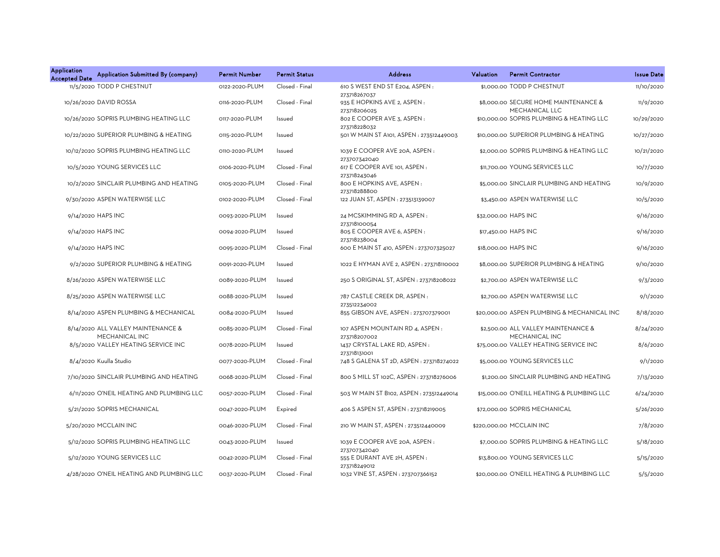| <b>Application</b><br><b>Accepted Date</b> | Application Submitted By (company)                   | Permit Number  | <b>Permit Status</b> | <b>Address</b>                                  | Valuation | <b>Permit Contractor</b>                               | <b>Issue Date</b> |
|--------------------------------------------|------------------------------------------------------|----------------|----------------------|-------------------------------------------------|-----------|--------------------------------------------------------|-------------------|
|                                            | 11/5/2020 TODD P CHESTNUT                            | 0122-2020-PLUM | Closed - Final       | 610 S WEST END ST E204, ASPEN:<br>273718267037  |           | \$1,000.00 TODD P CHESTNUT                             | 11/10/2020        |
|                                            | 10/26/2020 DAVID ROSSA                               | 0116-2020-PLUM | Closed - Final       | 935 E HOPKINS AVE 2, ASPEN :<br>273718206025    |           | \$8,000.00 SECURE HOME MAINTENANCE &<br>MECHANICAL LLC | 11/9/2020         |
|                                            | 10/26/2020 SOPRIS PLUMBING HEATING LLC               | 0117-2020-PLUM | Issued               | 802 E COOPER AVE 3, ASPEN :<br>273718228032     |           | \$10,000.00 SOPRIS PLUMBING & HEATING LLC              | 10/29/2020        |
|                                            | 10/22/2020 SUPERIOR PLUMBING & HEATING               | 0115-2020-PLUM | Issued               | 501 W MAIN ST A101, ASPEN : 273512449003        |           | \$10,000.00 SUPERIOR PLUMBING & HEATING                | 10/27/2020        |
|                                            | 10/12/2020 SOPRIS PLUMBING HEATING LLC               | 0110-2020-PLUM | Issued               | 1039 E COOPER AVE 20A, ASPEN :<br>273707342040  |           | \$2,000.00 SOPRIS PLUMBING & HEATING LLC               | 10/21/2020        |
|                                            | 10/5/2020 YOUNG SERVICES LLC                         | 0106-2020-PLUM | Closed - Final       | 617 E COOPER AVE 101, ASPEN :<br>273718243046   |           | \$11,700.00 YOUNG SERVICES LLC                         | 10/7/2020         |
|                                            | 10/2/2020 SINCLAIR PLUMBING AND HEATING              | 0105-2020-PLUM | Closed - Final       | 800 E HOPKINS AVE, ASPEN:<br>273718288800       |           | \$5,000.00 SINCLAIR PLUMBING AND HEATING               | 10/9/2020         |
|                                            | 9/30/2020 ASPEN WATERWISE LLC                        | 0102-2020-PLUM | Closed - Final       | 122 JUAN ST, ASPEN : 273513139007               |           | \$3,450.00 ASPEN WATERWISE LLC                         | 10/5/2020         |
|                                            | 9/14/2020 HAPS INC                                   | 0093-2020-PLUM | Issued               | 24 MCSKIMMING RD A, ASPEN:<br>273718100054      |           | \$32,000.00 HAPS INC                                   | 9/16/2020         |
|                                            | 9/14/2020 HAPS INC                                   | 0094-2020-PLUM | Issued               | 805 E COOPER AVE 6, ASPEN :<br>273718238004     |           | \$17,450.00 HAPS INC                                   | 9/16/2020         |
|                                            | 9/14/2020 HAPS INC                                   | 0095-2020-PLUM | Closed - Final       | 600 E MAIN ST 410, ASPEN : 273707325027         |           | \$18,000.00 HAPS INC                                   | 9/16/2020         |
|                                            | 9/2/2020 SUPERIOR PLUMBING & HEATING                 | 0091-2020-PLUM | Issued               | 1022 E HYMAN AVE 2, ASPEN : 273718110002        |           | \$8,000.00 SUPERIOR PLUMBING & HEATING                 | 9/10/2020         |
|                                            | 8/26/2020 ASPEN WATERWISE LLC                        | 0089-2020-PLUM | Issued               | 250 S ORIGINAL ST, ASPEN : 273718208022         |           | \$2,700.00 ASPEN WATERWISE LLC                         | 9/3/2020          |
|                                            | 8/25/2020 ASPEN WATERWISE LLC                        | 0088-2020-PLUM | Issued               | 787 CASTLE CREEK DR, ASPEN:<br>273512234002     |           | \$2,700.00 ASPEN WATERWISE LLC                         | 9/1/2020          |
|                                            | 8/14/2020 ASPEN PLUMBING & MECHANICAL                | 0084-2020-PLUM | Issued               | 855 GIBSON AVE, ASPEN : 273707379001            |           | \$20,000.00 ASPEN PLUMBING & MECHANICAL INC            | 8/18/2020         |
|                                            | 8/14/2020 ALL VALLEY MAINTENANCE &<br>MECHANICAL INC | 0085-2020-PLUM | Closed - Final       | 107 ASPEN MOUNTAIN RD 4, ASPEN:<br>273718207002 |           | \$2,500.00 ALL VALLEY MAINTENANCE &<br>MECHANICAL INC  | 8/24/2020         |
|                                            | 8/5/2020 VALLEY HEATING SERVICE INC                  | 0078-2020-PLUM | Issued               | 1437 CRYSTAL LAKE RD, ASPEN:<br>273718131001    |           | \$75,000.00 VALLEY HEATING SERVICE INC                 | 8/6/2020          |
|                                            | 8/4/2020 Kuulla Studio                               | 0077-2020-PLUM | Closed - Final       | 748 S GALENA ST 2D, ASPEN: 273718274022         |           | \$5,000.00 YOUNG SERVICES LLC                          | 9/1/2020          |
|                                            | 7/10/2020 SINCLAIR PLUMBING AND HEATING              | 0068-2020-PLUM | Closed - Final       | 800 S MILL ST 102C, ASPEN : 273718276006        |           | \$1,200.00 SINCLAIR PLUMBING AND HEATING               | 7/13/2020         |
|                                            | 6/11/2020 O'NEIL HEATING AND PLUMBING LLC            | 0057-2020-PLUM | Closed - Final       | 503 W MAIN ST B102, ASPEN: 273512449014         |           | \$15,000.00 O'NEILL HEATING & PLUMBING LLC             | 6/24/2020         |
|                                            | 5/21/2020 SOPRIS MECHANICAL                          | 0047-2020-PLUM | Expired              | 406 S ASPEN ST, ASPEN : 273718219005            |           | \$72,000.00 SOPRIS MECHANICAL                          | 5/26/2020         |
|                                            | 5/20/2020 MCCLAIN INC                                | 0046-2020-PLUM | Closed - Final       | 210 W MAIN ST, ASPEN : 273512440009             |           | \$220,000.00 MCCLAIN INC                               | 7/8/2020          |
|                                            | 5/12/2020 SOPRIS PLUMBING HEATING LLC                | 0043-2020-PLUM | Issued               | 1039 E COOPER AVE 20A, ASPEN:<br>273707342040   |           | \$7,000.00 SOPRIS PLUMBING & HEATING LLC               | 5/18/2020         |
|                                            | 5/12/2020 YOUNG SERVICES LLC                         | 0042-2020-PLUM | Closed - Final       | 555 E DURANT AVE 2H, ASPEN:<br>273718249012     |           | \$13,800.00 YOUNG SERVICES LLC                         | 5/15/2020         |
|                                            | 4/28/2020 O'NEIL HEATING AND PLUMBING LLC            | 0037-2020-PLUM | Closed - Final       | 1032 VINE ST, ASPEN : 273707366152              |           | \$20,000,00 O'NEILL HEATING & PLUMBING LLC             | 5/5/2020          |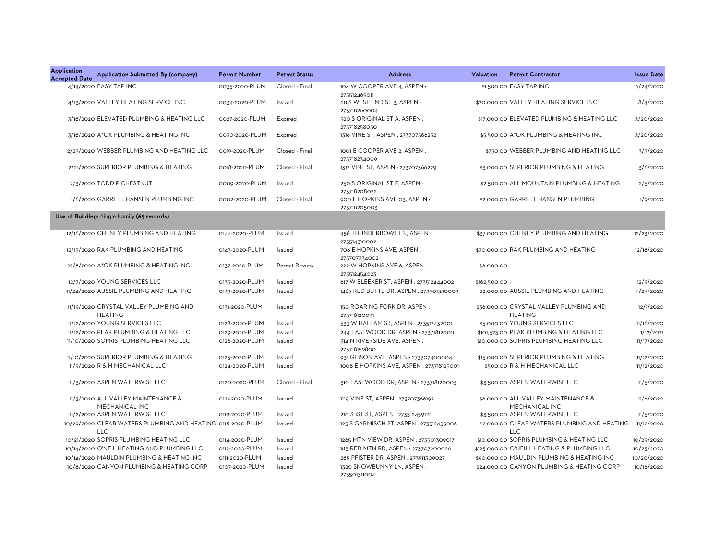| <b>Application</b><br><b>Accepted Date</b> | Application Submitted By (company)                                        | <b>Permit Number</b> | <b>Permit Status</b> | <b>Address</b>                               | Valuation      | <b>Permit Contractor</b>                                   | <b>Issue Date</b> |
|--------------------------------------------|---------------------------------------------------------------------------|----------------------|----------------------|----------------------------------------------|----------------|------------------------------------------------------------|-------------------|
|                                            | 4/14/2020 EASY TAP INC                                                    | 0035-2020-PLUM       | Closed - Final       | 104 W COOPER AVE 4, ASPEN :<br>273512469011  |                | \$1,500.00 EASY TAP INC                                    | 6/24/2020         |
|                                            | 4/13/2020 VALLEY HEATING SERVICE INC                                      | 0034-2020-PLUM       | Issued               | 611 S WEST END ST 3, ASPEN :<br>273718260004 |                | \$20,000.00 VALLEY HEATING SERVICE INC                     | 8/4/2020          |
|                                            | 3/18/2020 ELEVATED PLUMBING & HEATING LLC                                 | 0027-2020-PLUM       | Expired              | 520 S ORIGINAL ST A, ASPEN:<br>273718258030  |                | \$17,000.00 ELEVATED PLUMBING & HEATING LLC                | 3/20/2020         |
|                                            | 3/18/2020 A*OK PLUMBING & HEATING INC                                     | 0030-2020-PLUM       | Expired              | 1316 VINE ST, ASPEN : 273707366232           |                | \$5,500.00 A*OK PLUMBING & HEATING INC                     | 3/20/2020         |
|                                            | 2/25/2020 WEBBER PLUMBING AND HEATING LLC                                 | 0019-2020-PLUM       | Closed - Final       | 1001 E COOPER AVE 2. ASPEN:<br>273718234009  |                | \$750.00 WEBBER PLUMBING AND HEATING LLC                   | 3/3/2020          |
|                                            | 2/21/2020 SUPERIOR PLUMBING & HEATING                                     | 0018-2020-PLUM       | Closed - Final       | 1312 VINE ST, ASPEN : 273707366229           |                | \$3,000.00 SUPERIOR PLUMBING & HEATING                     | 3/6/2020          |
|                                            | 2/3/2020 TODD P CHESTNUT                                                  | 0009-2020-PLUM       | Issued               | 250 S ORIGINAL ST F, ASPEN :<br>273718208022 |                | \$2,500.00 ALL MOUNTAIN PLUMBING & HEATING                 | 2/5/2020          |
|                                            | 1/6/2020 GARRETT HANSEN PLUMBING INC                                      | 0002-2020-PLUM       | Closed - Final       | 900 E HOPKINS AVE 03, ASPEN:<br>273718205003 |                | \$2,000.00 GARRETT HANSEN PLUMBING                         | 1/9/2020          |
|                                            | Use of Building: Single Family (65 records)                               |                      |                      |                                              |                |                                                            |                   |
|                                            | 12/16/2020 CHENEY PLUMBING AND HEATING                                    | 0144-2020-PLUM       | Issued               | 458 THUNDERBOWL LN, ASPEN:<br>273514310002   |                | \$37,000.00 CHENEY PLUMBING AND HEATING                    | 12/23/2020        |
|                                            | 12/15/2020 RAK PLUMBING AND HEATING                                       | 0143-2020-PLUM       | Issued               | 708 E HOPKINS AVE, ASPEN:<br>273707334002    |                | \$30,000.00 RAK PLUMBING AND HEATING                       | 12/18/2020        |
|                                            | 12/8/2020 A*OK PLUMBING & HEATING INC                                     | 0137-2020-PLUM       | <b>Permit Review</b> | 222 W HOPKINS AVE 6, ASPEN:<br>273512454023  | \$6,000.00 -   |                                                            |                   |
|                                            | 12/7/2020 YOUNG SERVICES LLC                                              | 0135-2020-PLUM       | Issued               | 617 W BLEEKER ST, ASPEN : 273512444002       | \$162,500.00 - |                                                            | 12/9/2020         |
|                                            | 11/24/2020 AUSSIE PLUMBING AND HEATING                                    | 0133-2020-PLUM       | Issued               | 1465 RED BUTTE DR, ASPEN: 273501330003       |                | \$2,000.00 AUSSIE PLUMBING AND HEATING                     | 11/25/2020        |
|                                            | 11/19/2020 CRYSTAL VALLEY PLUMBING AND<br><b>HEATING</b>                  | 0131-2020-PLUM       | Issued               | 150 ROARING FORK DR, ASPEN:<br>273718120031  |                | \$36,000.00 CRYSTAL VALLEY PLUMBING AND<br><b>HEATING</b>  | 12/1/2020         |
|                                            | 11/12/2020 YOUNG SERVICES LLC                                             | 0128-2020-PLUM       | Issued               | 533 W HALLAM ST, ASPEN : 273512432001        |                | \$5,000.00 YOUNG SERVICES LLC                              | 11/16/2020        |
|                                            | 11/12/2020 PEAK PLUMBING & HEATING LLC                                    | 0129-2020-PLUM       | Issued               | 244 EASTWOOD DR, ASPEN : 273718120011        |                | \$101,525.00 PEAK PLUMBING & HEATING LLC                   | 1/12/2021         |
|                                            | 11/10/2020 SOPRIS PLUMBING HEATING LLC                                    | 0126-2020-PLUM       | Issued               | 314 N RIVERSIDE AVE, ASPEN :<br>273718159800 |                | \$10,000.00 SOPRIS PLUMBING HEATING LLC                    | 11/17/2020        |
|                                            | 11/10/2020 SUPERIOR PLUMBING & HEATING                                    | 0125-2020-PLUM       | Issued               | 931 GIBSON AVE, ASPEN : 273707400004         |                | \$15,000.00 SUPERIOR PLUMBING & HEATING                    | 11/12/2020        |
|                                            | 11/9/2020 R & H MECHANICAL LLC                                            | 0124-2020-PLUM       | Issued               | 1008 E HOPKINS AVE, ASPEN : 273718125001     |                | \$500.00 R & H MECHANICAL LLC                              | 11/12/2020        |
|                                            | 11/3/2020 ASPEN WATERWISE LLC                                             | 0120-2020-PLUM       | Closed - Final       | 310 EASTWOOD DR, ASPEN: 273718120003         |                | \$3,500.00 ASPEN WATERWISE LLC                             | 11/5/2020         |
|                                            | 11/3/2020 ALL VALLEY MAINTENANCE &<br>MECHANICAL INC                      | 0121-2020-PLUM       | Issued               | 1119 VINE ST, ASPEN : 273707366192           |                | \$6,000.00 ALL VALLEY MAINTENANCE &<br>MECHANICAL INC      | 11/6/2020         |
|                                            | 11/2/2020 ASPEN WATERWISE LLC                                             | 0119-2020-PLUM       | Issued               | 210 S 1ST ST, ASPEN : 273512459112           |                | \$3,500.00 ASPEN WATERWISE LLC                             | 11/5/2020         |
|                                            | 10/29/2020 CLEAR WATERS PLUMBING AND HEATING 0118-2020-PLUM<br><b>LLC</b> |                      | Issued               | 125 S GARMISCH ST, ASPEN : 273512455006      |                | \$2,000.00 CLEAR WATERS PLUMBING AND HEATING<br><b>LLC</b> | 11/12/2020        |
|                                            | 10/21/2020 SOPRIS PLUMBING HEATING LLC                                    | 0114-2020-PLUM       | Issued               | 1265 MTN VIEW DR, ASPEN : 273501309017       |                | \$10,000.00 SOPRIS PLUMBING & HEATING LLC                  | 10/29/2020        |
|                                            | 10/14/2020 O'NEIL HEATING AND PLUMBING LLC                                | 0112-2020-PLUM       | Issued               | 183 RED MTN RD, ASPEN: 273707200026          |                | \$125,000.00 O'NEILL HEATING & PLUMBING LLC                | 10/23/2020        |
|                                            | 10/14/2020 MAULDIN PLUMBING & HEATING INC                                 | 0111-2020-PLUM       | Issued               | 285 PFISTER DR, ASPEN : 273511309027         |                | \$90,000.00 MAULDIN PLUMBING & HEATING INC                 | 10/20/2020        |
|                                            | 10/8/2020 CANYON PLUMBING & HEATING CORP                                  | 0107-2020-PLUM       | Issued               | 1320 SNOWBUNNY LN, ASPEN:<br>273501311004    |                | \$24,000.00 CANYON PLUMBING & HEATING CORP                 | 10/16/2020        |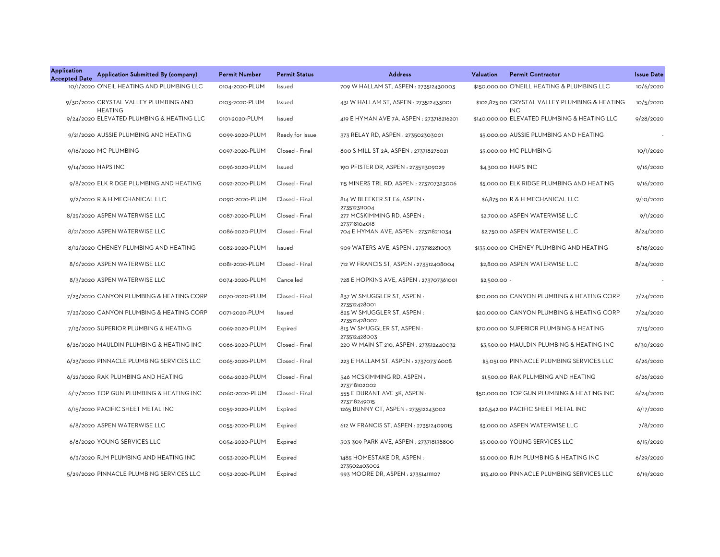| <b>Application</b><br><b>Accepted Date</b> | Application Submitted By (company)                      | <b>Permit Number</b> | <b>Permit Status</b> | <b>Address</b>                                    | Valuation    | <b>Permit Contractor</b>                                     | <b>Issue Date</b> |
|--------------------------------------------|---------------------------------------------------------|----------------------|----------------------|---------------------------------------------------|--------------|--------------------------------------------------------------|-------------------|
|                                            | 10/1/2020 O'NEIL HEATING AND PLUMBING LLC               | 0104-2020-PLUM       | Issued               | 709 W HALLAM ST, ASPEN: 273512430003              |              | \$150,000.00 O'NEILL HEATING & PLUMBING LLC                  | 10/6/2020         |
|                                            | 9/30/2020 CRYSTAL VALLEY PLUMBING AND<br><b>HEATING</b> | 0103-2020-PLUM       | Issued               | 431 W HALLAM ST, ASPEN : 273512433001             |              | \$102,825.00 CRYSTAL VALLEY PLUMBING & HEATING<br><b>INC</b> | 10/5/2020         |
|                                            | 9/24/2020 ELEVATED PLUMBING & HEATING LLC               | 0101-2020-PLUM       | Issued               | 419 E HYMAN AVE 7A, ASPEN : 273718216201          |              | \$140,000.00 ELEVATED PLUMBING & HEATING LLC                 | 9/28/2020         |
|                                            | 9/21/2020 AUSSIE PLUMBING AND HEATING                   | 0099-2020-PLUM       | Ready for Issue      | 373 RELAY RD, ASPEN : 273502303001                |              | \$5,000.00 AUSSIE PLUMBING AND HEATING                       |                   |
|                                            | 9/16/2020 MC PLUMBING                                   | 0097-2020-PLUM       | Closed - Final       | 800 S MILL ST 2A, ASPEN : 273718276021            |              | \$5,000.00 MC PLUMBING                                       | 10/1/2020         |
|                                            | 9/14/2020 HAPS INC                                      | 0096-2020-PLUM       | Issued               | 190 PFISTER DR, ASPEN : 273511309029              |              | \$4,300.00 HAPS INC                                          | 9/16/2020         |
|                                            | 9/8/2020 ELK RIDGE PLUMBING AND HEATING                 | 0092-2020-PLUM       | Closed - Final       | 115 MINERS TRL RD, ASPEN : 273707323006           |              | \$5,000.00 ELK RIDGE PLUMBING AND HEATING                    | 9/16/2020         |
|                                            | 9/2/2020 R & H MECHANICAL LLC                           | 0090-2020-PLUM       | Closed - Final       | 814 W BLEEKER ST E6, ASPEN:<br>273512311004       |              | \$6,875.00 R & H MECHANICAL LLC                              | 9/10/2020         |
|                                            | 8/25/2020 ASPEN WATERWISE LLC                           | 0087-2020-PLUM       | Closed - Final       | 277 MCSKIMMING RD, ASPEN:<br>273718104018         |              | \$2,700.00 ASPEN WATERWISE LLC                               | 9/1/2020          |
|                                            | 8/21/2020 ASPEN WATERWISE LLC                           | 0086-2020-PLUM       | Closed - Final       | 704 E HYMAN AVE, ASPEN : 273718211034             |              | \$2,750.00 ASPEN WATERWISE LLC                               | 8/24/2020         |
|                                            | 8/12/2020 CHENEY PLUMBING AND HEATING                   | 0082-2020-PLUM       | Issued               | 909 WATERS AVE, ASPEN : 273718281003              |              | \$135,000.00 CHENEY PLUMBING AND HEATING                     | 8/18/2020         |
|                                            | 8/6/2020 ASPEN WATERWISE LLC                            | 0081-2020-PLUM       | Closed - Final       | 712 W FRANCIS ST, ASPEN : 273512408004            |              | \$2,800.00 ASPEN WATERWISE LLC                               | 8/24/2020         |
|                                            | 8/3/2020 ASPEN WATERWISE LLC                            | 0074-2020-PLUM       | Cancelled            | 728 E HOPKINS AVE, ASPEN : 273707361001           | \$2,500.00 - |                                                              |                   |
|                                            | 7/23/2020 CANYON PLUMBING & HEATING CORP                | 0070-2020-PLUM       | Closed - Final       | 837 W SMUGGLER ST, ASPEN:<br>273512428001         |              | \$20,000,00 CANYON PLUMBING & HEATING CORP                   | 7/24/2020         |
|                                            | 7/23/2020 CANYON PLUMBING & HEATING CORP                | 0071-2020-PLUM       | Issued               | 825 W SMUGGLER ST, ASPEN:<br>273512428002         |              | \$20,000.00 CANYON PLUMBING & HEATING CORP                   | 7/24/2020         |
|                                            | 7/13/2020 SUPERIOR PLUMBING & HEATING                   | 0069-2020-PLUM       | Expired              | 813 W SMUGGLER ST, ASPEN:<br>273512428003         |              | \$70,000.00 SUPERIOR PLUMBING & HEATING                      | 7/13/2020         |
|                                            | 6/26/2020 MAULDIN PLUMBING & HEATING INC                | 0066-2020-PLUM       | Closed - Final       | 220 W MAIN ST 210, ASPEN: 273512440032            |              | \$3,500.00 MAULDIN PLUMBING & HEATING INC                    | 6/30/2020         |
|                                            | 6/23/2020 PINNACLE PLUMBING SERVICES LLC                | 0065-2020-PLUM       | Closed - Final       | 223 E HALLAM ST, ASPEN : 273707316008             |              | \$5,051.00 PINNACLE PLUMBING SERVICES LLC                    | 6/26/2020         |
|                                            | 6/22/2020 RAK PLUMBING AND HEATING                      | 0064-2020-PLUM       | Closed - Final       | 546 MCSKIMMING RD, ASPEN:<br>273718102002         |              | \$1,500.00 RAK PLUMBING AND HEATING                          | 6/26/2020         |
|                                            | 6/17/2020 TOP GUN PLUMBING & HEATING INC                | 0060-2020-PLUM       | Closed - Final       | 555 E DURANT AVE 3K, ASPEN:<br>273718249015       |              | \$50,000.00 TOP GUN PLUMBING & HEATING INC                   | 6/24/2020         |
|                                            | 6/15/2020 PACIFIC SHEET METAL INC                       | 0059-2020-PLUM       | Expired              | 1265 BUNNY CT, ASPEN: 273512243002                |              | \$26,542.00 PACIFIC SHEET METAL INC                          | 6/17/2020         |
|                                            | 6/8/2020 ASPEN WATERWISE LLC                            | 0055-2020-PLUM       | Expired              | 612 W FRANCIS ST, ASPEN : 273512409015            |              | \$3,000.00 ASPEN WATERWISE LLC                               | 7/8/2020          |
|                                            | 6/8/2020 YOUNG SERVICES LLC                             | 0054-2020-PLUM       | Expired              | 303 309 PARK AVE, ASPEN: 273718138800             |              | \$5,000.00 YOUNG SERVICES LLC                                | 6/15/2020         |
|                                            | 6/3/2020 RJM PLUMBING AND HEATING INC                   | 0053-2020-PLUM       | Expired              | 1485 HOMESTAKE DR, ASPEN:                         |              | \$5,000.00 RJM PLUMBING & HEATING INC                        | 6/29/2020         |
|                                            | 5/29/2020 PINNACLE PLUMBING SERVICES LLC                | 0052-2020-PLUM       | Expired              | 273502403002<br>993 MOORE DR, ASPEN: 273514111107 |              | \$13,410.00 PINNACLE PLUMBING SERVICES LLC                   | 6/19/2020         |